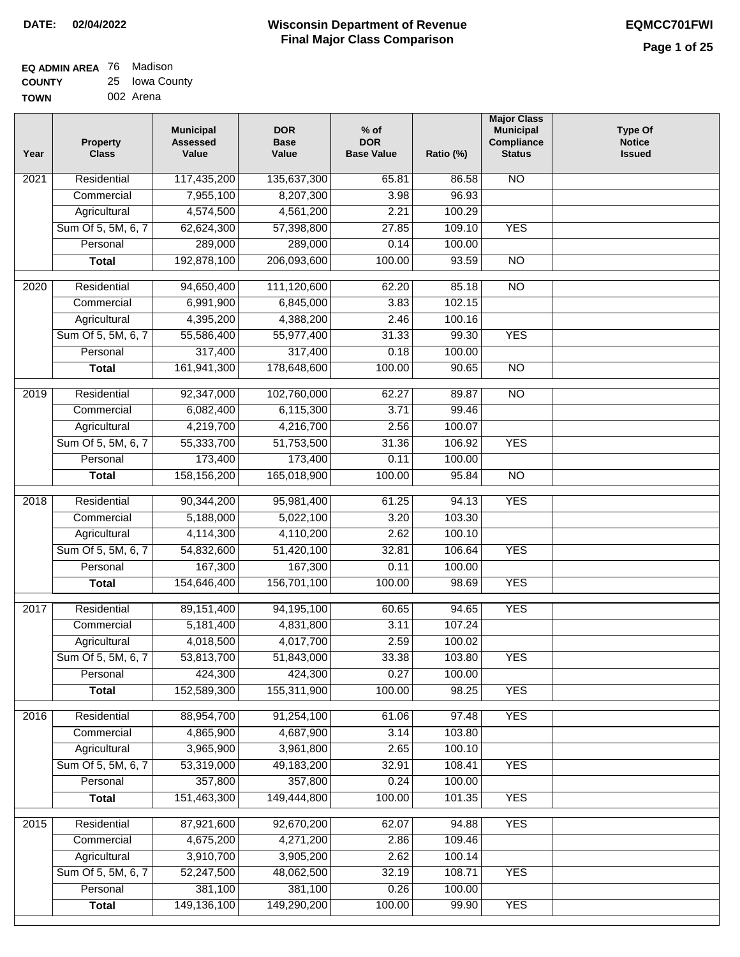| <b>EQ ADMIN AREA</b> 76 Madison |                |
|---------------------------------|----------------|
| <b>COUNTY</b>                   | 25 Iowa County |
| <b>TOWN</b>                     | 002 Arena      |

| Year | <b>Property</b><br><b>Class</b> | <b>Municipal</b><br><b>Assessed</b><br>Value | <b>DOR</b><br><b>Base</b><br>Value | $%$ of<br><b>DOR</b><br><b>Base Value</b> | Ratio (%) | <b>Major Class</b><br><b>Municipal</b><br>Compliance<br><b>Status</b> | <b>Type Of</b><br><b>Notice</b><br><b>Issued</b> |
|------|---------------------------------|----------------------------------------------|------------------------------------|-------------------------------------------|-----------|-----------------------------------------------------------------------|--------------------------------------------------|
| 2021 | Residential                     | 117,435,200                                  | 135,637,300                        | 65.81                                     | 86.58     | N <sub>O</sub>                                                        |                                                  |
|      | Commercial                      | 7,955,100                                    | 8,207,300                          | 3.98                                      | 96.93     |                                                                       |                                                  |
|      | Agricultural                    | 4,574,500                                    | 4,561,200                          | 2.21                                      | 100.29    |                                                                       |                                                  |
|      | Sum Of 5, 5M, 6, 7              | 62,624,300                                   | 57,398,800                         | 27.85                                     | 109.10    | <b>YES</b>                                                            |                                                  |
|      | Personal                        | 289,000                                      | 289,000                            | 0.14                                      | 100.00    |                                                                       |                                                  |
|      | <b>Total</b>                    | 192,878,100                                  | 206,093,600                        | 100.00                                    | 93.59     | $\overline{NO}$                                                       |                                                  |
| 2020 | Residential                     | 94,650,400                                   | 111,120,600                        | 62.20                                     | 85.18     | $\overline{3}$                                                        |                                                  |
|      | Commercial                      | 6,991,900                                    | 6,845,000                          | 3.83                                      | 102.15    |                                                                       |                                                  |
|      | Agricultural                    | 4,395,200                                    | 4,388,200                          | 2.46                                      | 100.16    |                                                                       |                                                  |
|      | Sum Of 5, 5M, 6, 7              | 55,586,400                                   | 55,977,400                         | 31.33                                     | 99.30     | <b>YES</b>                                                            |                                                  |
|      | Personal                        | 317,400                                      | 317,400                            | 0.18                                      | 100.00    |                                                                       |                                                  |
|      | <b>Total</b>                    | 161,941,300                                  | 178,648,600                        | 100.00                                    | 90.65     | $\overline{NO}$                                                       |                                                  |
| 2019 | Residential                     | 92,347,000                                   | 102,760,000                        | 62.27                                     | 89.87     | $\overline{NO}$                                                       |                                                  |
|      | Commercial                      | 6,082,400                                    | 6,115,300                          | 3.71                                      | 99.46     |                                                                       |                                                  |
|      | Agricultural                    | 4,219,700                                    | 4,216,700                          | 2.56                                      | 100.07    |                                                                       |                                                  |
|      | Sum Of 5, 5M, 6, 7              | 55,333,700                                   | 51,753,500                         | 31.36                                     | 106.92    | <b>YES</b>                                                            |                                                  |
|      | Personal                        | 173,400                                      | 173,400                            | 0.11                                      | 100.00    |                                                                       |                                                  |
|      | <b>Total</b>                    | 158,156,200                                  | 165,018,900                        | 100.00                                    | 95.84     | $\overline{NO}$                                                       |                                                  |
|      |                                 |                                              |                                    |                                           |           |                                                                       |                                                  |
| 2018 | Residential                     | 90,344,200                                   | 95,981,400                         | 61.25                                     | 94.13     | <b>YES</b>                                                            |                                                  |
|      | Commercial                      | 5,188,000                                    | 5,022,100                          | 3.20                                      | 103.30    |                                                                       |                                                  |
|      | Agricultural                    | 4,114,300                                    | 4,110,200                          | 2.62                                      | 100.10    |                                                                       |                                                  |
|      | Sum Of 5, 5M, 6, 7              | 54,832,600                                   | 51,420,100                         | 32.81                                     | 106.64    | <b>YES</b>                                                            |                                                  |
|      | Personal                        | 167,300                                      | 167,300                            | 0.11                                      | 100.00    |                                                                       |                                                  |
|      | <b>Total</b>                    | 154,646,400                                  | 156,701,100                        | 100.00                                    | 98.69     | <b>YES</b>                                                            |                                                  |
| 2017 | Residential                     | 89, 151, 400                                 | 94,195,100                         | 60.65                                     | 94.65     | <b>YES</b>                                                            |                                                  |
|      | Commercial                      | 5,181,400                                    | 4,831,800                          | 3.11                                      | 107.24    |                                                                       |                                                  |
|      | Agricultural                    | 4,018,500                                    | 4,017,700                          | 2.59                                      | 100.02    |                                                                       |                                                  |
|      | Sum Of 5, 5M, 6, 7              | 53,813,700                                   | 51,843,000                         | 33.38                                     | 103.80    | <b>YES</b>                                                            |                                                  |
|      | Personal                        | 424,300                                      | 424,300                            | 0.27                                      | 100.00    |                                                                       |                                                  |
|      | <b>Total</b>                    | 152,589,300                                  | 155,311,900                        | 100.00                                    | 98.25     | <b>YES</b>                                                            |                                                  |
| 2016 | Residential                     | 88,954,700                                   | 91,254,100                         | 61.06                                     | 97.48     | <b>YES</b>                                                            |                                                  |
|      | Commercial                      | 4,865,900                                    | 4,687,900                          | 3.14                                      | 103.80    |                                                                       |                                                  |
|      | Agricultural                    | 3,965,900                                    | 3,961,800                          | 2.65                                      | 100.10    |                                                                       |                                                  |
|      | Sum Of 5, 5M, 6, 7              | 53,319,000                                   | 49,183,200                         | 32.91                                     | 108.41    | <b>YES</b>                                                            |                                                  |
|      | Personal                        | 357,800                                      | 357,800                            | 0.24                                      | 100.00    |                                                                       |                                                  |
|      | <b>Total</b>                    | 151,463,300                                  | 149,444,800                        | 100.00                                    | 101.35    | <b>YES</b>                                                            |                                                  |
| 2015 | Residential                     | 87,921,600                                   | 92,670,200                         | 62.07                                     | 94.88     | <b>YES</b>                                                            |                                                  |
|      | Commercial                      | 4,675,200                                    | 4,271,200                          | 2.86                                      | 109.46    |                                                                       |                                                  |
|      | Agricultural                    | 3,910,700                                    | 3,905,200                          | 2.62                                      | 100.14    |                                                                       |                                                  |
|      | Sum Of 5, 5M, 6, 7              | 52,247,500                                   | 48,062,500                         | 32.19                                     | 108.71    | <b>YES</b>                                                            |                                                  |
|      | Personal                        | 381,100                                      | 381,100                            | 0.26                                      | 100.00    |                                                                       |                                                  |
|      | <b>Total</b>                    | 149,136,100                                  | 149,290,200                        | 100.00                                    | 99.90     | <b>YES</b>                                                            |                                                  |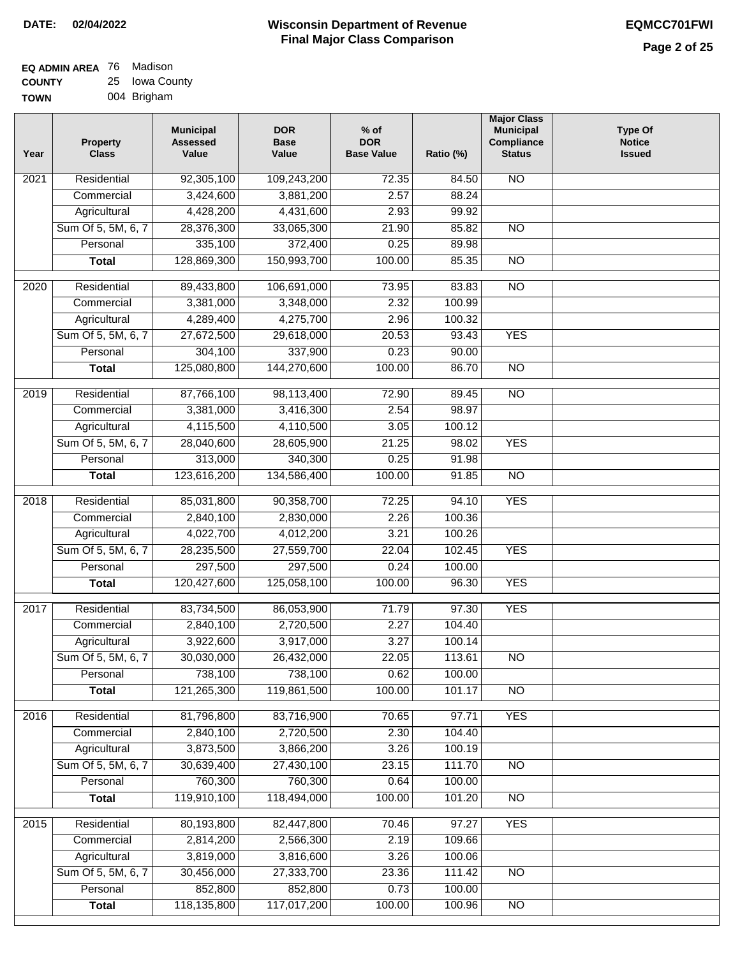| EQ ADMIN AREA 76 | Madison        |
|------------------|----------------|
| <b>COUNTY</b>    | 25 Iowa County |
| <b>TOWN</b>      | 004 Brigham    |

| Year              | <b>Property</b><br><b>Class</b> | <b>Municipal</b><br><b>Assessed</b><br>Value | <b>DOR</b><br><b>Base</b><br>Value | % of<br><b>DOR</b><br><b>Base Value</b> | Ratio (%)        | <b>Major Class</b><br><b>Municipal</b><br>Compliance<br><b>Status</b> | Type Of<br><b>Notice</b><br><b>Issued</b> |
|-------------------|---------------------------------|----------------------------------------------|------------------------------------|-----------------------------------------|------------------|-----------------------------------------------------------------------|-------------------------------------------|
| $\overline{202}1$ | Residential                     | 92,305,100                                   | 109,243,200                        | 72.35                                   | 84.50            | <b>NO</b>                                                             |                                           |
|                   | Commercial                      | 3,424,600                                    | 3,881,200                          | 2.57                                    | 88.24            |                                                                       |                                           |
|                   | Agricultural                    | 4,428,200                                    | 4,431,600                          | 2.93                                    | 99.92            |                                                                       |                                           |
|                   | Sum Of 5, 5M, 6, 7              | 28,376,300                                   | 33,065,300                         | 21.90                                   | 85.82            | $\overline{NO}$                                                       |                                           |
|                   | Personal                        | 335,100                                      | 372,400                            | 0.25                                    | 89.98            |                                                                       |                                           |
|                   | <b>Total</b>                    | 128,869,300                                  | 150,993,700                        | 100.00                                  | 85.35            | $\overline{NO}$                                                       |                                           |
| 2020              | Residential                     | 89,433,800                                   | 106,691,000                        | 73.95                                   | 83.83            | $\overline{NO}$                                                       |                                           |
|                   | Commercial                      | 3,381,000                                    | 3,348,000                          | 2.32                                    | 100.99           |                                                                       |                                           |
|                   | Agricultural                    | 4,289,400                                    | 4,275,700                          | 2.96                                    | 100.32           |                                                                       |                                           |
|                   | Sum Of 5, 5M, 6, 7              | 27,672,500                                   | 29,618,000                         | 20.53                                   | 93.43            | <b>YES</b>                                                            |                                           |
|                   | Personal                        | 304,100                                      | 337,900                            | 0.23                                    | 90.00            |                                                                       |                                           |
|                   | <b>Total</b>                    | 125,080,800                                  | 144,270,600                        | 100.00                                  | 86.70            | $\overline{NO}$                                                       |                                           |
| 2019              | Residential                     | 87,766,100                                   | 98,113,400                         | 72.90                                   | 89.45            | $\overline{NO}$                                                       |                                           |
|                   | Commercial                      | 3,381,000                                    | 3,416,300                          | 2.54                                    | 98.97            |                                                                       |                                           |
|                   | Agricultural                    | 4,115,500                                    | 4,110,500                          | 3.05                                    | 100.12           |                                                                       |                                           |
|                   | Sum Of 5, 5M, 6, 7              | 28,040,600                                   | 28,605,900                         | 21.25                                   | 98.02            | <b>YES</b>                                                            |                                           |
|                   | Personal                        | 313,000                                      | 340,300                            | 0.25                                    | 91.98            |                                                                       |                                           |
|                   | <b>Total</b>                    | 123,616,200                                  | 134,586,400                        | 100.00                                  | 91.85            | $\overline{NO}$                                                       |                                           |
| 2018              | Residential                     | 85,031,800                                   | 90,358,700                         | 72.25                                   | 94.10            | <b>YES</b>                                                            |                                           |
|                   | Commercial                      | 2,840,100                                    | 2,830,000                          | 2.26                                    | 100.36           |                                                                       |                                           |
|                   | Agricultural                    | 4,022,700                                    | 4,012,200                          | 3.21                                    | 100.26           |                                                                       |                                           |
|                   | Sum Of 5, 5M, 6, 7              | 28,235,500                                   | 27,559,700                         | 22.04                                   | 102.45           | <b>YES</b>                                                            |                                           |
|                   | Personal                        | 297,500                                      | 297,500                            | 0.24                                    | 100.00           |                                                                       |                                           |
|                   | <b>Total</b>                    | 120,427,600                                  | 125,058,100                        | 100.00                                  | 96.30            | <b>YES</b>                                                            |                                           |
|                   |                                 |                                              |                                    |                                         |                  |                                                                       |                                           |
| $\overline{2017}$ | Residential                     | 83,734,500                                   | 86,053,900                         | 71.79                                   | 97.30            | <b>YES</b>                                                            |                                           |
|                   | Commercial                      | 2,840,100                                    | 2,720,500                          | 2.27                                    | 104.40           |                                                                       |                                           |
|                   | Agricultural                    | 3,922,600                                    | 3,917,000                          | 3.27                                    | 100.14           |                                                                       |                                           |
|                   | Sum Of 5, 5M, 6, 7              | 30,030,000                                   | 26,432,000                         | 22.05                                   | 113.61           | <b>NO</b>                                                             |                                           |
|                   | Personal                        | 738,100<br>121,265,300                       | 738,100<br>119,861,500             | 0.62<br>100.00                          | 100.00<br>101.17 | <b>NO</b>                                                             |                                           |
|                   | <b>Total</b>                    |                                              |                                    |                                         |                  |                                                                       |                                           |
| 2016              | Residential                     | 81,796,800                                   | 83,716,900                         | 70.65                                   | 97.71            | <b>YES</b>                                                            |                                           |
|                   | Commercial                      | 2,840,100                                    | 2,720,500                          | 2.30                                    | 104.40           |                                                                       |                                           |
|                   | Agricultural                    | 3,873,500                                    | 3,866,200                          | 3.26                                    | 100.19           |                                                                       |                                           |
|                   | Sum Of 5, 5M, 6, 7              | 30,639,400                                   | 27,430,100                         | 23.15                                   | 111.70           | $\overline{NO}$                                                       |                                           |
|                   | Personal                        | 760,300                                      | 760,300                            | 0.64                                    | 100.00           |                                                                       |                                           |
|                   | <b>Total</b>                    | 119,910,100                                  | 118,494,000                        | 100.00                                  | 101.20           | $\overline{NO}$                                                       |                                           |
| 2015              | Residential                     | 80,193,800                                   | 82,447,800                         | 70.46                                   | 97.27            | <b>YES</b>                                                            |                                           |
|                   | Commercial                      | 2,814,200                                    | 2,566,300                          | 2.19                                    | 109.66           |                                                                       |                                           |
|                   | Agricultural                    | 3,819,000                                    | 3,816,600                          | 3.26                                    | 100.06           |                                                                       |                                           |
|                   | Sum Of 5, 5M, 6, 7              | 30,456,000                                   | 27,333,700                         | 23.36                                   | 111.42           | <b>NO</b>                                                             |                                           |
|                   | Personal                        | 852,800                                      | 852,800                            | 0.73                                    | 100.00           |                                                                       |                                           |
|                   | <b>Total</b>                    | 118,135,800                                  | 117,017,200                        | 100.00                                  | 100.96           | NO                                                                    |                                           |
|                   |                                 |                                              |                                    |                                         |                  |                                                                       |                                           |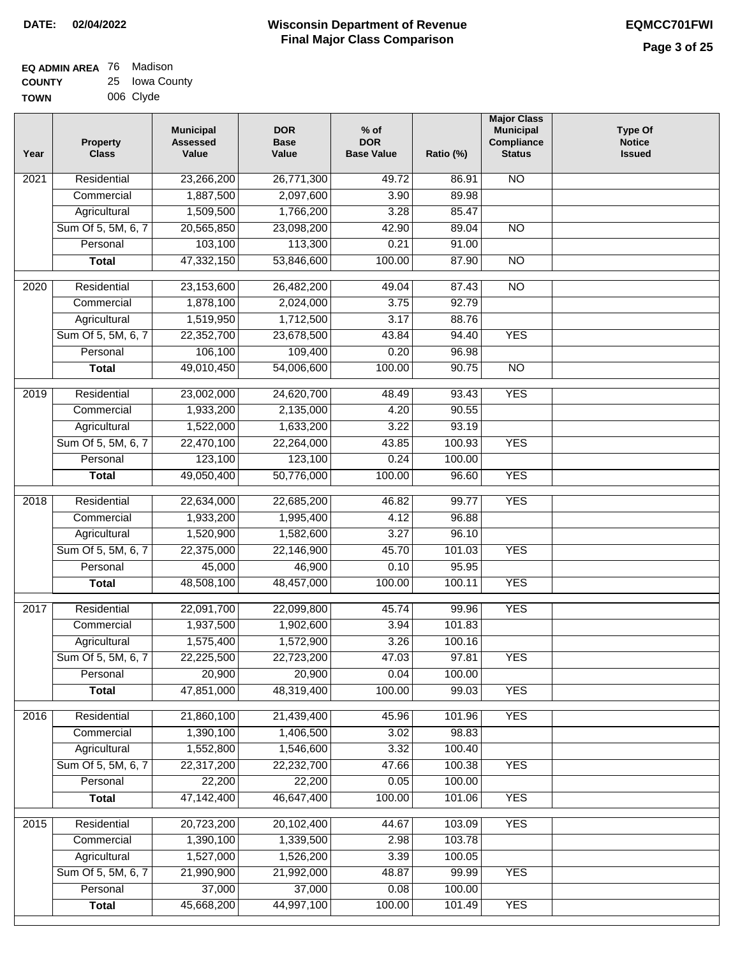| <b>EQ ADMIN AREA 76 Madison</b> |                |
|---------------------------------|----------------|
| <b>COUNTY</b>                   | 25 Iowa County |
| <b>TOWN</b>                     | 006 Clyde      |

| Year              | <b>Property</b><br><b>Class</b> | <b>Municipal</b><br><b>Assessed</b><br>Value | <b>DOR</b><br><b>Base</b><br>Value | $%$ of<br><b>DOR</b><br><b>Base Value</b> | Ratio (%) | <b>Major Class</b><br><b>Municipal</b><br>Compliance<br><b>Status</b> | <b>Type Of</b><br><b>Notice</b><br><b>Issued</b> |
|-------------------|---------------------------------|----------------------------------------------|------------------------------------|-------------------------------------------|-----------|-----------------------------------------------------------------------|--------------------------------------------------|
| $\overline{202}1$ | Residential                     | 23,266,200                                   | 26,771,300                         | 49.72                                     | 86.91     | <b>NO</b>                                                             |                                                  |
|                   | Commercial                      | 1,887,500                                    | 2,097,600                          | 3.90                                      | 89.98     |                                                                       |                                                  |
|                   | Agricultural                    | 1,509,500                                    | 1,766,200                          | 3.28                                      | 85.47     |                                                                       |                                                  |
|                   | Sum Of 5, 5M, 6, 7              | 20,565,850                                   | 23,098,200                         | 42.90                                     | 89.04     | $\overline{NO}$                                                       |                                                  |
|                   | Personal                        | 103,100                                      | 113,300                            | 0.21                                      | 91.00     |                                                                       |                                                  |
|                   | <b>Total</b>                    | 47,332,150                                   | 53,846,600                         | 100.00                                    | 87.90     | $\overline{NO}$                                                       |                                                  |
| $\overline{2020}$ | Residential                     | 23,153,600                                   | 26,482,200                         | 49.04                                     | 87.43     | $\overline{NO}$                                                       |                                                  |
|                   | Commercial                      | 1,878,100                                    | 2,024,000                          | 3.75                                      | 92.79     |                                                                       |                                                  |
|                   | Agricultural                    | 1,519,950                                    | 1,712,500                          | 3.17                                      | 88.76     |                                                                       |                                                  |
|                   | Sum Of 5, 5M, 6, 7              | 22,352,700                                   | 23,678,500                         | 43.84                                     | 94.40     | <b>YES</b>                                                            |                                                  |
|                   | Personal                        | 106,100                                      | 109,400                            | 0.20                                      | 96.98     |                                                                       |                                                  |
|                   | <b>Total</b>                    | 49,010,450                                   | 54,006,600                         | 100.00                                    | 90.75     | $\overline{NO}$                                                       |                                                  |
|                   |                                 |                                              |                                    |                                           |           |                                                                       |                                                  |
| 2019              | Residential                     | 23,002,000                                   | 24,620,700                         | 48.49                                     | 93.43     | <b>YES</b>                                                            |                                                  |
|                   | Commercial                      | 1,933,200                                    | 2,135,000                          | 4.20                                      | 90.55     |                                                                       |                                                  |
|                   | Agricultural                    | 1,522,000                                    | 1,633,200                          | 3.22                                      | 93.19     |                                                                       |                                                  |
|                   | Sum Of 5, 5M, 6, 7              | 22,470,100                                   | 22,264,000                         | 43.85                                     | 100.93    | <b>YES</b>                                                            |                                                  |
|                   | Personal                        | 123,100                                      | 123,100                            | 0.24                                      | 100.00    |                                                                       |                                                  |
|                   | <b>Total</b>                    | 49,050,400                                   | 50,776,000                         | 100.00                                    | 96.60     | <b>YES</b>                                                            |                                                  |
| 2018              | Residential                     | 22,634,000                                   | 22,685,200                         | 46.82                                     | 99.77     | <b>YES</b>                                                            |                                                  |
|                   | Commercial                      | 1,933,200                                    | 1,995,400                          | 4.12                                      | 96.88     |                                                                       |                                                  |
|                   | Agricultural                    | 1,520,900                                    | 1,582,600                          | 3.27                                      | 96.10     |                                                                       |                                                  |
|                   | Sum Of 5, 5M, 6, 7              | 22,375,000                                   | 22,146,900                         | 45.70                                     | 101.03    | <b>YES</b>                                                            |                                                  |
|                   | Personal                        | 45,000                                       | 46,900                             | 0.10                                      | 95.95     |                                                                       |                                                  |
|                   | <b>Total</b>                    | 48,508,100                                   | 48,457,000                         | 100.00                                    | 100.11    | <b>YES</b>                                                            |                                                  |
| 2017              | Residential                     | 22,091,700                                   | 22,099,800                         | 45.74                                     | 99.96     | <b>YES</b>                                                            |                                                  |
|                   | Commercial                      | 1,937,500                                    | 1,902,600                          | 3.94                                      | 101.83    |                                                                       |                                                  |
|                   | Agricultural                    | 1,575,400                                    | 1,572,900                          | 3.26                                      | 100.16    |                                                                       |                                                  |
|                   | Sum Of 5, 5M, 6, 7              | 22,225,500                                   | 22,723,200                         | 47.03                                     | 97.81     | <b>YES</b>                                                            |                                                  |
|                   | Personal                        | 20,900                                       | 20,900                             | 0.04                                      | 100.00    |                                                                       |                                                  |
|                   | <b>Total</b>                    | 47,851,000                                   | 48,319,400                         | 100.00                                    | 99.03     | <b>YES</b>                                                            |                                                  |
|                   |                                 |                                              |                                    |                                           |           |                                                                       |                                                  |
| 2016              | Residential                     | 21,860,100                                   | 21,439,400                         | 45.96                                     | 101.96    | <b>YES</b>                                                            |                                                  |
|                   | Commercial                      | 1,390,100                                    | 1,406,500                          | $\overline{3.02}$                         | 98.83     |                                                                       |                                                  |
|                   | Agricultural                    | 1,552,800                                    | 1,546,600                          | 3.32                                      | 100.40    |                                                                       |                                                  |
|                   | Sum Of 5, 5M, 6, 7<br>Personal  | 22,317,200                                   | 22,232,700                         | 47.66                                     | 100.38    | <b>YES</b>                                                            |                                                  |
|                   |                                 | 22,200<br>47,142,400                         | 22,200<br>46,647,400               | 0.05<br>100.00                            | 100.00    | <b>YES</b>                                                            |                                                  |
|                   | <b>Total</b>                    |                                              |                                    |                                           | 101.06    |                                                                       |                                                  |
| 2015              | Residential                     | 20,723,200                                   | 20,102,400                         | 44.67                                     | 103.09    | <b>YES</b>                                                            |                                                  |
|                   | Commercial                      | 1,390,100                                    | 1,339,500                          | 2.98                                      | 103.78    |                                                                       |                                                  |
|                   | Agricultural                    | 1,527,000                                    | 1,526,200                          | 3.39                                      | 100.05    |                                                                       |                                                  |
|                   | Sum Of 5, 5M, 6, 7              | 21,990,900                                   | 21,992,000                         | 48.87                                     | 99.99     | <b>YES</b>                                                            |                                                  |
|                   | Personal                        | 37,000                                       | 37,000                             | 0.08                                      | 100.00    |                                                                       |                                                  |
|                   | <b>Total</b>                    | 45,668,200                                   | 44,997,100                         | 100.00                                    | 101.49    | <b>YES</b>                                                            |                                                  |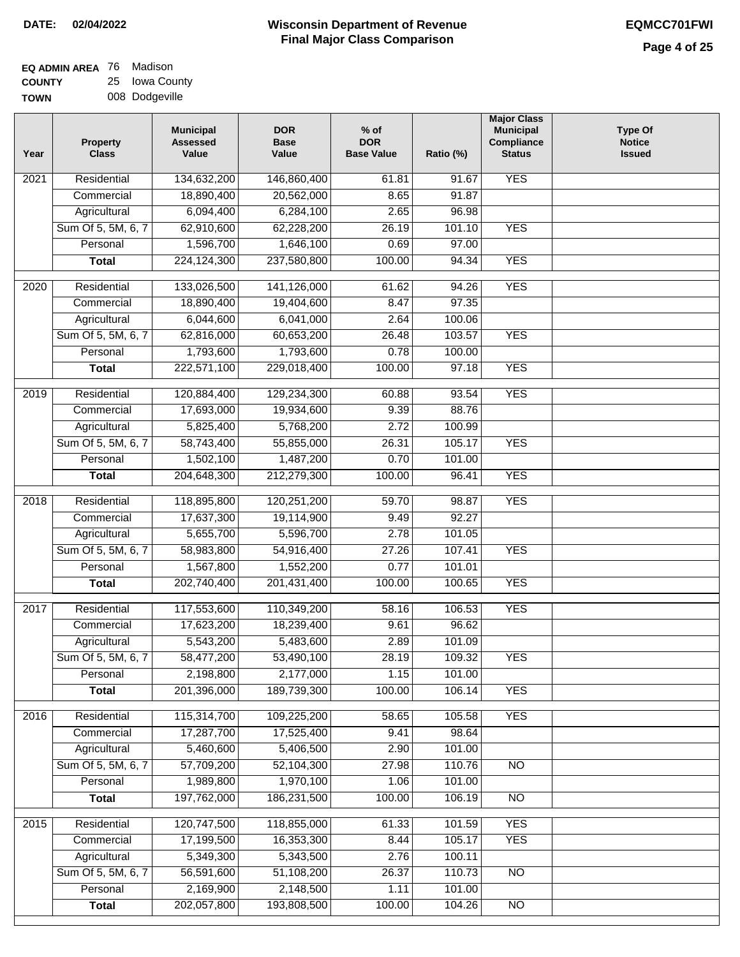| <b>EQ ADMIN AREA 76 Madison</b> |                |
|---------------------------------|----------------|
| <b>COUNTY</b>                   | 25 Iowa County |

**TOWN** 008 Dodgeville

| Year              | <b>Property</b><br><b>Class</b> | <b>Municipal</b><br><b>Assessed</b><br>Value | <b>DOR</b><br><b>Base</b><br>Value | % of<br><b>DOR</b><br><b>Base Value</b> | Ratio (%)       | <b>Major Class</b><br><b>Municipal</b><br>Compliance<br><b>Status</b> | <b>Type Of</b><br><b>Notice</b><br><b>Issued</b> |
|-------------------|---------------------------------|----------------------------------------------|------------------------------------|-----------------------------------------|-----------------|-----------------------------------------------------------------------|--------------------------------------------------|
| $\overline{202}1$ | Residential                     | 134,632,200                                  | 146,860,400                        | 61.81                                   | 91.67           | <b>YES</b>                                                            |                                                  |
|                   | Commercial                      | 18,890,400                                   | 20,562,000                         | 8.65                                    | 91.87           |                                                                       |                                                  |
|                   | Agricultural                    | 6,094,400                                    | 6,284,100                          | 2.65                                    | 96.98           |                                                                       |                                                  |
|                   | Sum Of 5, 5M, 6, 7              | 62,910,600                                   | 62,228,200                         | 26.19                                   | 101.10          | <b>YES</b>                                                            |                                                  |
|                   | Personal                        | 1,596,700                                    | 1,646,100                          | 0.69                                    | 97.00           |                                                                       |                                                  |
|                   | <b>Total</b>                    | 224,124,300                                  | 237,580,800                        | 100.00                                  | 94.34           | <b>YES</b>                                                            |                                                  |
| $\overline{2020}$ | Residential                     | 133,026,500                                  | 141,126,000                        | 61.62                                   | 94.26           | <b>YES</b>                                                            |                                                  |
|                   | Commercial                      | 18,890,400                                   | 19,404,600                         | 8.47                                    | 97.35           |                                                                       |                                                  |
|                   | Agricultural                    | 6,044,600                                    | 6,041,000                          | 2.64                                    | 100.06          |                                                                       |                                                  |
|                   | Sum Of 5, 5M, 6, 7              | 62,816,000                                   | 60,653,200                         | 26.48                                   | 103.57          | <b>YES</b>                                                            |                                                  |
|                   | Personal                        | 1,793,600                                    | 1,793,600                          | 0.78                                    | 100.00          |                                                                       |                                                  |
|                   | <b>Total</b>                    | 222,571,100                                  | 229,018,400                        | 100.00                                  | 97.18           | <b>YES</b>                                                            |                                                  |
|                   |                                 |                                              |                                    |                                         |                 |                                                                       |                                                  |
| $\frac{2019}{ }$  | Residential                     | 120,884,400                                  | 129,234,300                        | 60.88                                   | 93.54           | <b>YES</b>                                                            |                                                  |
|                   | Commercial                      | 17,693,000                                   | 19,934,600                         | 9.39                                    | 88.76           |                                                                       |                                                  |
|                   | Agricultural                    | 5,825,400                                    | 5,768,200                          | 2.72                                    | 100.99          |                                                                       |                                                  |
|                   | Sum Of 5, 5M, 6, 7              | 58,743,400                                   | 55,855,000                         | 26.31                                   | 105.17          | <b>YES</b>                                                            |                                                  |
|                   | Personal                        | 1,502,100                                    | 1,487,200                          | 0.70                                    | 101.00          |                                                                       |                                                  |
|                   | <b>Total</b>                    | 204,648,300                                  | 212,279,300                        | 100.00                                  | 96.41           | <b>YES</b>                                                            |                                                  |
| 2018              | Residential                     | 118,895,800                                  | 120,251,200                        | 59.70                                   | 98.87           | <b>YES</b>                                                            |                                                  |
|                   | Commercial                      | 17,637,300                                   | 19,114,900                         | 9.49                                    | 92.27           |                                                                       |                                                  |
|                   | Agricultural                    | 5,655,700                                    | 5,596,700                          | 2.78                                    | 101.05          |                                                                       |                                                  |
|                   | Sum Of 5, 5M, 6, 7              | 58,983,800                                   | 54,916,400                         | 27.26                                   | 107.41          | <b>YES</b>                                                            |                                                  |
|                   | Personal                        | 1,567,800                                    | 1,552,200                          | 0.77                                    | 101.01          |                                                                       |                                                  |
|                   | <b>Total</b>                    | 202,740,400                                  | 201,431,400                        | 100.00                                  | 100.65          | <b>YES</b>                                                            |                                                  |
| $\overline{2017}$ | Residential                     | 117,553,600                                  | 110,349,200                        | 58.16                                   | 106.53          | <b>YES</b>                                                            |                                                  |
|                   | Commercial                      | 17,623,200                                   | 18,239,400                         | 9.61                                    | 96.62           |                                                                       |                                                  |
|                   | Agricultural                    | 5,543,200                                    | 5,483,600                          | 2.89                                    | 101.09          |                                                                       |                                                  |
|                   | Sum Of 5, 5M, 6, 7              | 58,477,200                                   | 53,490,100                         | 28.19                                   | 109.32          | <b>YES</b>                                                            |                                                  |
|                   | Personal                        | 2,198,800                                    | 2,177,000                          | 1.15                                    | 101.00          |                                                                       |                                                  |
|                   | <b>Total</b>                    | 201,396,000                                  | 189,739,300                        | 100.00                                  | 106.14          | <b>YES</b>                                                            |                                                  |
|                   | Residential                     |                                              |                                    |                                         |                 |                                                                       |                                                  |
| 2016              |                                 | 115,314,700<br>17,287,700                    | 109,225,200<br>17,525,400          | 58.65<br>9.41                           | 105.58<br>98.64 | <b>YES</b>                                                            |                                                  |
|                   | Commercial<br>Agricultural      | 5,460,600                                    | 5,406,500                          | 2.90                                    | 101.00          |                                                                       |                                                  |
|                   | Sum Of 5, 5M, 6, 7              | 57,709,200                                   | 52,104,300                         | 27.98                                   | 110.76          | $\overline{NO}$                                                       |                                                  |
|                   | Personal                        | 1,989,800                                    | 1,970,100                          | 1.06                                    | 101.00          |                                                                       |                                                  |
|                   | <b>Total</b>                    | 197,762,000                                  | 186,231,500                        | 100.00                                  | 106.19          | $\overline{NO}$                                                       |                                                  |
|                   |                                 |                                              |                                    |                                         |                 |                                                                       |                                                  |
| 2015              | Residential                     | 120,747,500                                  | 118,855,000                        | 61.33                                   | 101.59          | <b>YES</b>                                                            |                                                  |
|                   | Commercial                      | 17,199,500                                   | 16,353,300                         | 8.44                                    | 105.17          | <b>YES</b>                                                            |                                                  |
|                   | Agricultural                    | 5,349,300                                    | 5,343,500                          | 2.76                                    | 100.11          |                                                                       |                                                  |
|                   | Sum Of 5, 5M, 6, 7              | 56,591,600                                   | 51,108,200                         | 26.37                                   | 110.73          | <b>NO</b>                                                             |                                                  |
|                   | Personal                        | 2,169,900                                    | 2,148,500                          | 1.11                                    | 101.00          |                                                                       |                                                  |
|                   | <b>Total</b>                    | 202,057,800                                  | 193,808,500                        | 100.00                                  | 104.26          | N <sub>O</sub>                                                        |                                                  |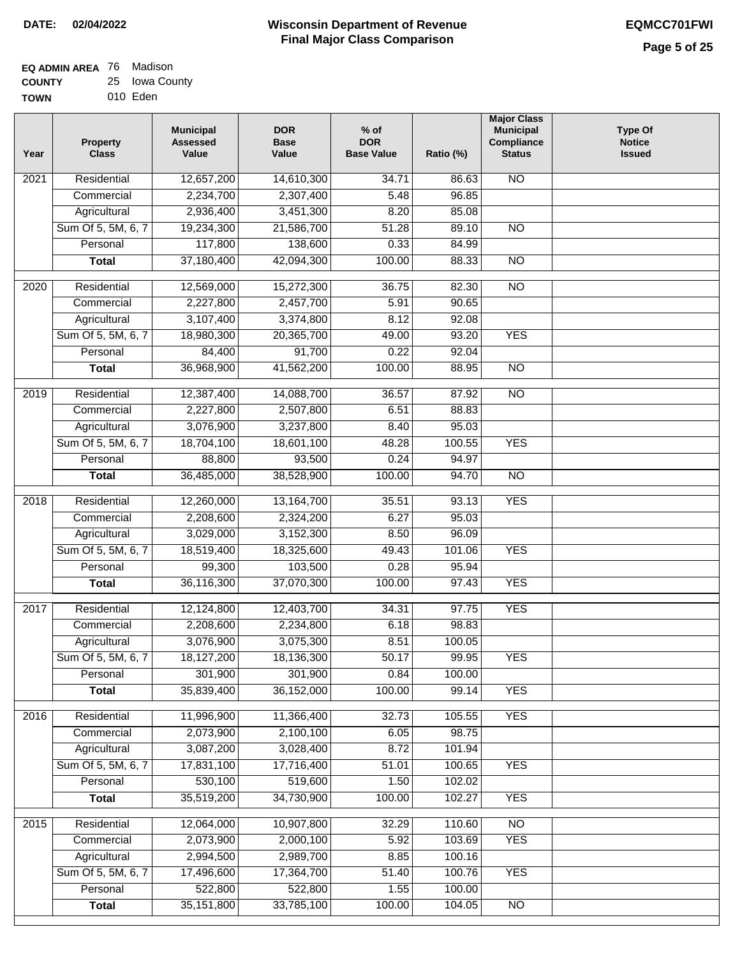| <b>EQ ADMIN AREA</b> 76 Madison |                |
|---------------------------------|----------------|
| <b>COUNTY</b>                   | 25 Iowa County |
| <b>TOWN</b>                     | 010 Eden       |

| Year              | <b>Property</b><br><b>Class</b> | <b>Municipal</b><br><b>Assessed</b><br>Value | <b>DOR</b><br><b>Base</b><br>Value | $%$ of<br><b>DOR</b><br><b>Base Value</b> | Ratio (%)        | <b>Major Class</b><br><b>Municipal</b><br>Compliance<br><b>Status</b> | <b>Type Of</b><br><b>Notice</b><br><b>Issued</b> |
|-------------------|---------------------------------|----------------------------------------------|------------------------------------|-------------------------------------------|------------------|-----------------------------------------------------------------------|--------------------------------------------------|
| 2021              | Residential                     | 12,657,200                                   | 14,610,300                         | 34.71                                     | 86.63            | <b>NO</b>                                                             |                                                  |
|                   | Commercial                      | 2,234,700                                    | 2,307,400                          | 5.48                                      | 96.85            |                                                                       |                                                  |
|                   | Agricultural                    | 2,936,400                                    | 3,451,300                          | 8.20                                      | 85.08            |                                                                       |                                                  |
|                   | Sum Of 5, 5M, 6, 7              | 19,234,300                                   | 21,586,700                         | 51.28                                     | 89.10            | $\overline{NO}$                                                       |                                                  |
|                   | Personal                        | 117,800                                      | 138,600                            | 0.33                                      | 84.99            |                                                                       |                                                  |
|                   | <b>Total</b>                    | 37,180,400                                   | 42,094,300                         | 100.00                                    | 88.33            | $\overline{NO}$                                                       |                                                  |
| $\overline{2020}$ | Residential                     | 12,569,000                                   | 15,272,300                         | 36.75                                     | 82.30            | $\overline{NO}$                                                       |                                                  |
|                   | Commercial                      | 2,227,800                                    | 2,457,700                          | 5.91                                      | 90.65            |                                                                       |                                                  |
|                   | Agricultural                    | 3,107,400                                    | 3,374,800                          | 8.12                                      | 92.08            |                                                                       |                                                  |
|                   | Sum Of 5, 5M, 6, 7              | 18,980,300                                   | 20,365,700                         | 49.00                                     | 93.20            | <b>YES</b>                                                            |                                                  |
|                   | Personal                        | 84,400                                       | 91,700                             | 0.22                                      | 92.04            |                                                                       |                                                  |
|                   | <b>Total</b>                    | 36,968,900                                   | 41,562,200                         | 100.00                                    | 88.95            | $\overline{NO}$                                                       |                                                  |
|                   |                                 |                                              |                                    |                                           |                  |                                                                       |                                                  |
| $\frac{1}{2019}$  | Residential                     | 12,387,400                                   | 14,088,700                         | 36.57                                     | 87.92            | $\overline{NO}$                                                       |                                                  |
|                   | Commercial                      | 2,227,800                                    | 2,507,800                          | 6.51                                      | 88.83            |                                                                       |                                                  |
|                   | Agricultural                    | 3,076,900                                    | 3,237,800                          | 8.40                                      | 95.03            |                                                                       |                                                  |
|                   | Sum Of 5, 5M, 6, 7              | 18,704,100                                   | 18,601,100                         | 48.28                                     | 100.55           | <b>YES</b>                                                            |                                                  |
|                   | Personal                        | 88,800                                       | 93,500                             | 0.24                                      | 94.97            |                                                                       |                                                  |
|                   | <b>Total</b>                    | 36,485,000                                   | 38,528,900                         | 100.00                                    | 94.70            | $\overline{NO}$                                                       |                                                  |
| 2018              | Residential                     | 12,260,000                                   | 13,164,700                         | 35.51                                     | 93.13            | <b>YES</b>                                                            |                                                  |
|                   | Commercial                      | 2,208,600                                    | 2,324,200                          | 6.27                                      | 95.03            |                                                                       |                                                  |
|                   | Agricultural                    | 3,029,000                                    | 3,152,300                          | 8.50                                      | 96.09            |                                                                       |                                                  |
|                   | Sum Of 5, 5M, 6, 7              | 18,519,400                                   | 18,325,600                         | 49.43                                     | 101.06           | <b>YES</b>                                                            |                                                  |
|                   | Personal                        | 99,300                                       | 103,500                            | 0.28                                      | 95.94            |                                                                       |                                                  |
|                   | <b>Total</b>                    | 36,116,300                                   | 37,070,300                         | 100.00                                    | 97.43            | <b>YES</b>                                                            |                                                  |
| $\overline{20}17$ | Residential                     | 12,124,800                                   | 12,403,700                         | 34.31                                     | 97.75            | <b>YES</b>                                                            |                                                  |
|                   | Commercial                      | 2,208,600                                    | 2,234,800                          | 6.18                                      | 98.83            |                                                                       |                                                  |
|                   | Agricultural                    | 3,076,900                                    | 3,075,300                          | 8.51                                      | 100.05           |                                                                       |                                                  |
|                   | Sum Of 5, 5M, 6, 7              | 18,127,200                                   | 18,136,300                         | 50.17                                     | 99.95            | <b>YES</b>                                                            |                                                  |
|                   | Personal                        | 301,900                                      | 301,900                            | 0.84                                      | 100.00           |                                                                       |                                                  |
|                   | <b>Total</b>                    | 35,839,400                                   | 36,152,000                         | 100.00                                    | 99.14            | <b>YES</b>                                                            |                                                  |
| 2016              | Residential                     | 11,996,900                                   | 11,366,400                         | 32.73                                     | 105.55           | <b>YES</b>                                                            |                                                  |
|                   | Commercial                      | 2,073,900                                    | 2,100,100                          | 6.05                                      | 98.75            |                                                                       |                                                  |
|                   | Agricultural                    | 3,087,200                                    | 3,028,400                          | 8.72                                      | 101.94           |                                                                       |                                                  |
|                   | Sum Of 5, 5M, 6, 7              | 17,831,100                                   | 17,716,400                         | 51.01                                     | 100.65           | <b>YES</b>                                                            |                                                  |
|                   | Personal                        | 530,100                                      | 519,600                            | 1.50                                      | 102.02           |                                                                       |                                                  |
|                   | <b>Total</b>                    | 35,519,200                                   | 34,730,900                         | 100.00                                    | 102.27           | <b>YES</b>                                                            |                                                  |
|                   |                                 |                                              |                                    |                                           |                  |                                                                       |                                                  |
| 2015              | Residential                     | 12,064,000<br>2,073,900                      | 10,907,800<br>2,000,100            | 32.29<br>5.92                             | 110.60<br>103.69 | $\overline{NO}$<br><b>YES</b>                                         |                                                  |
|                   | Commercial<br>Agricultural      | 2,994,500                                    | 2,989,700                          | 8.85                                      | 100.16           |                                                                       |                                                  |
|                   | Sum Of 5, 5M, 6, 7              | 17,496,600                                   | 17,364,700                         | 51.40                                     | 100.76           | <b>YES</b>                                                            |                                                  |
|                   | Personal                        | 522,800                                      | 522,800                            | 1.55                                      | 100.00           |                                                                       |                                                  |
|                   | <b>Total</b>                    | 35, 151, 800                                 | 33,785,100                         | 100.00                                    | 104.05           | NO                                                                    |                                                  |
|                   |                                 |                                              |                                    |                                           |                  |                                                                       |                                                  |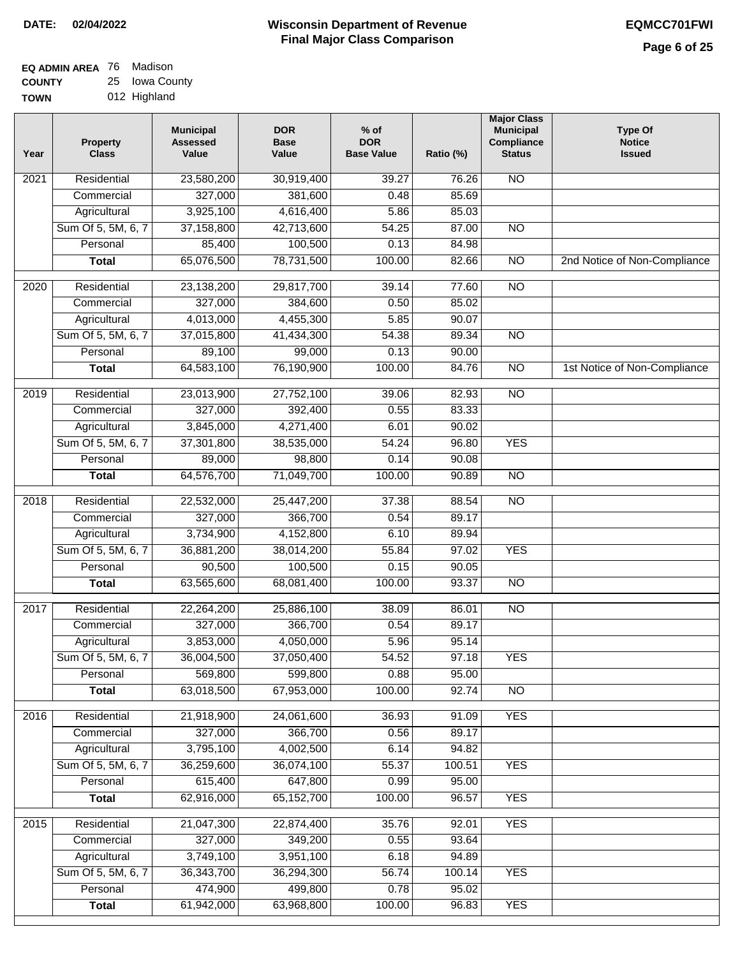| EQ ADMIN AREA 76 Madison |                |
|--------------------------|----------------|
| <b>COUNTY</b>            | 25 Iowa County |

**TOWN** 012 Highland

| Year              | <b>Property</b><br><b>Class</b> | <b>Municipal</b><br><b>Assessed</b><br>Value | <b>DOR</b><br><b>Base</b><br>Value | % of<br><b>DOR</b><br><b>Base Value</b> | Ratio (%) | <b>Major Class</b><br><b>Municipal</b><br>Compliance<br><b>Status</b> | <b>Type Of</b><br><b>Notice</b><br><b>Issued</b> |
|-------------------|---------------------------------|----------------------------------------------|------------------------------------|-----------------------------------------|-----------|-----------------------------------------------------------------------|--------------------------------------------------|
| $\overline{202}1$ | Residential                     | 23,580,200                                   | 30,919,400                         | 39.27                                   | 76.26     | <b>NO</b>                                                             |                                                  |
|                   | Commercial                      | 327,000                                      | 381,600                            | 0.48                                    | 85.69     |                                                                       |                                                  |
|                   | Agricultural                    | 3,925,100                                    | 4,616,400                          | 5.86                                    | 85.03     |                                                                       |                                                  |
|                   | Sum Of 5, 5M, 6, 7              | 37,158,800                                   | 42,713,600                         | 54.25                                   | 87.00     | $\overline{NO}$                                                       |                                                  |
|                   | Personal                        | 85,400                                       | 100,500                            | 0.13                                    | 84.98     |                                                                       |                                                  |
|                   | <b>Total</b>                    | 65,076,500                                   | 78,731,500                         | 100.00                                  | 82.66     | $\overline{NO}$                                                       | 2nd Notice of Non-Compliance                     |
| $\overline{2020}$ | Residential                     | 23,138,200                                   | 29,817,700                         | 39.14                                   | 77.60     | $\overline{NO}$                                                       |                                                  |
|                   | Commercial                      | 327,000                                      | 384,600                            | 0.50                                    | 85.02     |                                                                       |                                                  |
|                   | Agricultural                    | 4,013,000                                    | 4,455,300                          | 5.85                                    | 90.07     |                                                                       |                                                  |
|                   | Sum Of 5, 5M, 6, 7              | 37,015,800                                   | 41,434,300                         | 54.38                                   | 89.34     | $\overline{NO}$                                                       |                                                  |
|                   | Personal                        | 89,100                                       | 99,000                             | 0.13                                    | 90.00     |                                                                       |                                                  |
|                   | <b>Total</b>                    | 64,583,100                                   | 76,190,900                         | 100.00                                  | 84.76     | N <sub>O</sub>                                                        | 1st Notice of Non-Compliance                     |
| 2019              | Residential                     | 23,013,900                                   | 27,752,100                         | 39.06                                   | 82.93     | $\overline{3}$                                                        |                                                  |
|                   | Commercial                      | 327,000                                      | 392,400                            | 0.55                                    | 83.33     |                                                                       |                                                  |
|                   | Agricultural                    | 3,845,000                                    | 4,271,400                          | 6.01                                    | 90.02     |                                                                       |                                                  |
|                   | Sum Of 5, 5M, 6, 7              | 37,301,800                                   | 38,535,000                         | 54.24                                   | 96.80     | <b>YES</b>                                                            |                                                  |
|                   | Personal                        | 89,000                                       | 98,800                             | 0.14                                    | 90.08     |                                                                       |                                                  |
|                   | <b>Total</b>                    | 64,576,700                                   | 71,049,700                         | 100.00                                  | 90.89     | $\overline{NO}$                                                       |                                                  |
| 2018              | Residential                     | 22,532,000                                   | 25,447,200                         | 37.38                                   | 88.54     | $\overline{10}$                                                       |                                                  |
|                   | Commercial                      | 327,000                                      | 366,700                            | 0.54                                    | 89.17     |                                                                       |                                                  |
|                   | Agricultural                    | 3,734,900                                    | 4,152,800                          | 6.10                                    | 89.94     |                                                                       |                                                  |
|                   | Sum Of 5, 5M, 6, 7              | 36,881,200                                   | 38,014,200                         | 55.84                                   | 97.02     | <b>YES</b>                                                            |                                                  |
|                   | Personal                        | 90,500                                       | 100,500                            | 0.15                                    | 90.05     |                                                                       |                                                  |
|                   | <b>Total</b>                    | 63,565,600                                   | 68,081,400                         | 100.00                                  | 93.37     | <b>NO</b>                                                             |                                                  |
| $\overline{2017}$ | Residential                     | 22,264,200                                   | 25,886,100                         | 38.09                                   | 86.01     | <b>NO</b>                                                             |                                                  |
|                   | Commercial                      | 327,000                                      | 366,700                            | 0.54                                    | 89.17     |                                                                       |                                                  |
|                   | Agricultural                    | 3,853,000                                    | 4,050,000                          | 5.96                                    | 95.14     |                                                                       |                                                  |
|                   | Sum Of 5, 5M, 6, 7              | 36,004,500                                   | 37,050,400                         | 54.52                                   | 97.18     | <b>YES</b>                                                            |                                                  |
|                   | Personal                        | 569,800                                      | 599,800                            | 0.88                                    | 95.00     |                                                                       |                                                  |
|                   | <b>Total</b>                    | 63,018,500                                   | 67,953,000                         | 100.00                                  | 92.74     | <b>NO</b>                                                             |                                                  |
| 2016              | Residential                     | 21,918,900                                   | 24,061,600                         | 36.93                                   | 91.09     | <b>YES</b>                                                            |                                                  |
|                   | Commercial                      | 327,000                                      | 366,700                            | 0.56                                    | 89.17     |                                                                       |                                                  |
|                   | Agricultural                    | 3,795,100                                    | 4,002,500                          | 6.14                                    | 94.82     |                                                                       |                                                  |
|                   | Sum Of 5, 5M, 6, 7              | 36,259,600                                   | 36,074,100                         | 55.37                                   | 100.51    | <b>YES</b>                                                            |                                                  |
|                   | Personal                        | 615,400                                      | 647,800                            | 0.99                                    | 95.00     |                                                                       |                                                  |
|                   | <b>Total</b>                    | 62,916,000                                   | 65, 152, 700                       | 100.00                                  | 96.57     | <b>YES</b>                                                            |                                                  |
| 2015              | Residential                     | 21,047,300                                   | 22,874,400                         | 35.76                                   | 92.01     | <b>YES</b>                                                            |                                                  |
|                   | Commercial                      | 327,000                                      | 349,200                            | 0.55                                    | 93.64     |                                                                       |                                                  |
|                   | Agricultural                    | 3,749,100                                    | 3,951,100                          | 6.18                                    | 94.89     |                                                                       |                                                  |
|                   | Sum Of 5, 5M, 6, 7              | 36, 343, 700                                 | 36,294,300                         | 56.74                                   | 100.14    | <b>YES</b>                                                            |                                                  |
|                   | Personal                        | 474,900                                      | 499,800                            | 0.78                                    | 95.02     |                                                                       |                                                  |
|                   | <b>Total</b>                    | 61,942,000                                   | 63,968,800                         | 100.00                                  | 96.83     | <b>YES</b>                                                            |                                                  |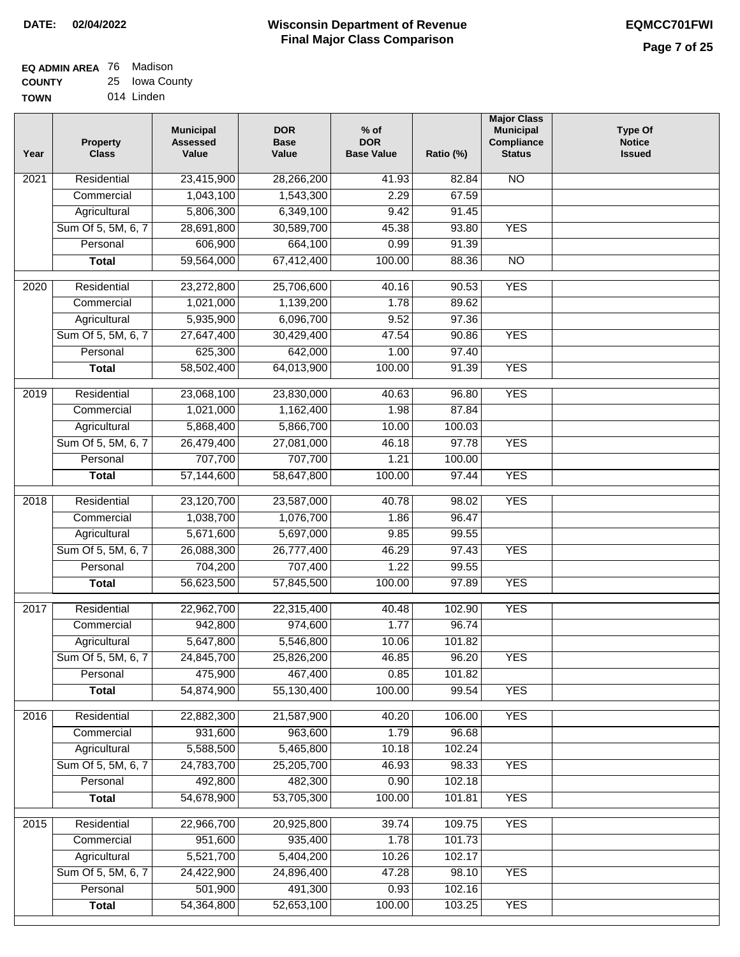| <b>EQ ADMIN AREA 76 Madison</b> |                |
|---------------------------------|----------------|
| <b>COUNTY</b>                   | 25 Iowa County |

| <b>TOWN</b> | 014 Linden |
|-------------|------------|
|             |            |

| Year              | <b>Property</b><br><b>Class</b>    | <b>Municipal</b><br><b>Assessed</b><br>Value | <b>DOR</b><br><b>Base</b><br>Value | % of<br><b>DOR</b><br><b>Base Value</b> | Ratio (%)       | <b>Major Class</b><br><b>Municipal</b><br>Compliance<br><b>Status</b> | <b>Type Of</b><br><b>Notice</b><br><b>Issued</b> |
|-------------------|------------------------------------|----------------------------------------------|------------------------------------|-----------------------------------------|-----------------|-----------------------------------------------------------------------|--------------------------------------------------|
| $\overline{202}1$ | Residential                        | 23,415,900                                   | 28,266,200                         | 41.93                                   | 82.84           | <b>NO</b>                                                             |                                                  |
|                   | Commercial                         | 1,043,100                                    | 1,543,300                          | 2.29                                    | 67.59           |                                                                       |                                                  |
|                   | Agricultural                       | 5,806,300                                    | 6,349,100                          | 9.42                                    | 91.45           |                                                                       |                                                  |
|                   | Sum Of 5, 5M, 6, 7                 | 28,691,800                                   | 30,589,700                         | 45.38                                   | 93.80           | <b>YES</b>                                                            |                                                  |
|                   | Personal                           | 606,900                                      | 664,100                            | 0.99                                    | 91.39           |                                                                       |                                                  |
|                   | <b>Total</b>                       | 59,564,000                                   | 67,412,400                         | 100.00                                  | 88.36           | $\overline{NO}$                                                       |                                                  |
| $\overline{2020}$ | Residential                        | 23,272,800                                   | 25,706,600                         | 40.16                                   | 90.53           | <b>YES</b>                                                            |                                                  |
|                   | Commercial                         | 1,021,000                                    | 1,139,200                          | 1.78                                    | 89.62           |                                                                       |                                                  |
|                   | Agricultural                       | 5,935,900                                    | 6,096,700                          | 9.52                                    | 97.36           |                                                                       |                                                  |
|                   | Sum Of 5, 5M, 6, 7                 | 27,647,400                                   | 30,429,400                         | 47.54                                   | 90.86           | <b>YES</b>                                                            |                                                  |
|                   | Personal                           | 625,300                                      | 642,000                            | 1.00                                    | 97.40           |                                                                       |                                                  |
|                   | <b>Total</b>                       | 58,502,400                                   | 64,013,900                         | 100.00                                  | 91.39           | <b>YES</b>                                                            |                                                  |
|                   |                                    |                                              |                                    |                                         |                 |                                                                       |                                                  |
| $\frac{2019}{ }$  | Residential                        | 23,068,100                                   | 23,830,000                         | 40.63                                   | 96.80           | <b>YES</b>                                                            |                                                  |
|                   | Commercial                         | 1,021,000                                    | 1,162,400                          | 1.98                                    | 87.84           |                                                                       |                                                  |
|                   | Agricultural                       | 5,868,400                                    | 5,866,700                          | 10.00                                   | 100.03          |                                                                       |                                                  |
|                   | Sum Of 5, 5M, 6, 7                 | 26,479,400                                   | 27,081,000                         | 46.18                                   | 97.78<br>100.00 | <b>YES</b>                                                            |                                                  |
|                   | Personal                           | 707,700                                      | 707,700                            | 1.21                                    |                 |                                                                       |                                                  |
|                   | <b>Total</b>                       | 57,144,600                                   | 58,647,800                         | 100.00                                  | 97.44           | <b>YES</b>                                                            |                                                  |
| 2018              | Residential                        | 23,120,700                                   | 23,587,000                         | 40.78                                   | 98.02           | <b>YES</b>                                                            |                                                  |
|                   | Commercial                         | 1,038,700                                    | 1,076,700                          | 1.86                                    | 96.47           |                                                                       |                                                  |
|                   | Agricultural                       | 5,671,600                                    | 5,697,000                          | 9.85                                    | 99.55           |                                                                       |                                                  |
|                   | Sum Of 5, 5M, 6, 7                 | 26,088,300                                   | 26,777,400                         | 46.29                                   | 97.43           | <b>YES</b>                                                            |                                                  |
|                   | Personal                           | 704,200                                      | 707,400                            | 1.22                                    | 99.55           |                                                                       |                                                  |
|                   | <b>Total</b>                       | 56,623,500                                   | 57,845,500                         | 100.00                                  | 97.89           | <b>YES</b>                                                            |                                                  |
| $\overline{2017}$ | Residential                        | 22,962,700                                   | 22,315,400                         | 40.48                                   | 102.90          | <b>YES</b>                                                            |                                                  |
|                   | Commercial                         | 942,800                                      | 974,600                            | 1.77                                    | 96.74           |                                                                       |                                                  |
|                   | Agricultural                       | 5,647,800                                    | 5,546,800                          | 10.06                                   | 101.82          |                                                                       |                                                  |
|                   | Sum Of 5, 5M, 6, 7                 | 24,845,700                                   | 25,826,200                         | 46.85                                   | 96.20           | <b>YES</b>                                                            |                                                  |
|                   | Personal                           | 475,900                                      | 467,400                            | 0.85                                    | 101.82          |                                                                       |                                                  |
|                   | <b>Total</b>                       | 54,874,900                                   | 55,130,400                         | 100.00                                  | 99.54           | <b>YES</b>                                                            |                                                  |
| 2016              | Residential                        | 22,882,300                                   | 21,587,900                         | 40.20                                   | 106.00          | <b>YES</b>                                                            |                                                  |
|                   | Commercial                         | 931,600                                      | 963,600                            | 1.79                                    | 96.68           |                                                                       |                                                  |
|                   | Agricultural                       | 5,588,500                                    | 5,465,800                          | 10.18                                   | 102.24          |                                                                       |                                                  |
|                   | Sum Of 5, 5M, 6, 7                 | 24,783,700                                   | 25,205,700                         | 46.93                                   | 98.33           | <b>YES</b>                                                            |                                                  |
|                   | Personal                           | 492,800                                      | 482,300                            | 0.90                                    | 102.18          |                                                                       |                                                  |
|                   | <b>Total</b>                       | 54,678,900                                   | 53,705,300                         | 100.00                                  | 101.81          | <b>YES</b>                                                            |                                                  |
|                   |                                    |                                              |                                    |                                         |                 |                                                                       |                                                  |
| 2015              | Residential                        | 22,966,700                                   | 20,925,800                         | 39.74                                   | 109.75          | <b>YES</b>                                                            |                                                  |
|                   | Commercial                         | 951,600                                      | 935,400                            | 1.78                                    | 101.73          |                                                                       |                                                  |
|                   | Agricultural<br>Sum Of 5, 5M, 6, 7 | 5,521,700<br>24,422,900                      | 5,404,200<br>24,896,400            | 10.26<br>47.28                          | 102.17<br>98.10 | <b>YES</b>                                                            |                                                  |
|                   | Personal                           | 501,900                                      | 491,300                            | 0.93                                    | 102.16          |                                                                       |                                                  |
|                   | <b>Total</b>                       | 54,364,800                                   | 52,653,100                         | 100.00                                  | 103.25          | <b>YES</b>                                                            |                                                  |
|                   |                                    |                                              |                                    |                                         |                 |                                                                       |                                                  |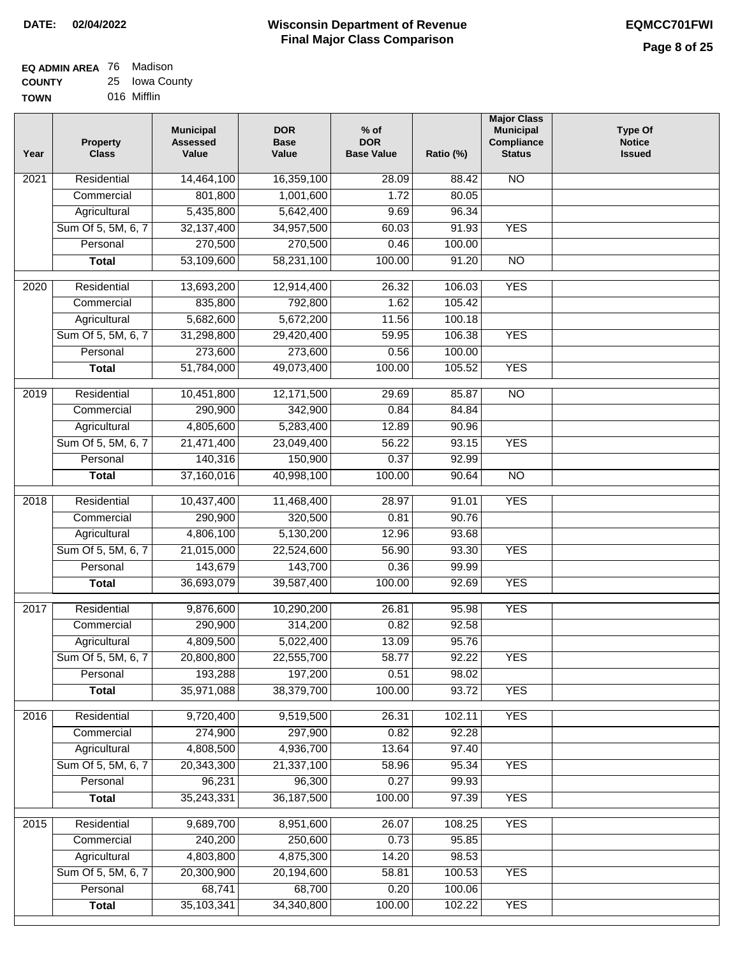| <b>EQ ADMIN AREA</b> 76 Madison |                |
|---------------------------------|----------------|
| <b>COUNTY</b>                   | 25 Iowa County |
| <b>TOWN</b>                     | 016 Mifflin    |

| Year              | <b>Property</b><br><b>Class</b> | <b>Municipal</b><br><b>Assessed</b><br>Value | <b>DOR</b><br><b>Base</b><br>Value | % of<br><b>DOR</b><br><b>Base Value</b> | Ratio (%) | <b>Major Class</b><br><b>Municipal</b><br>Compliance<br><b>Status</b> | <b>Type Of</b><br><b>Notice</b><br><b>Issued</b> |
|-------------------|---------------------------------|----------------------------------------------|------------------------------------|-----------------------------------------|-----------|-----------------------------------------------------------------------|--------------------------------------------------|
| $\overline{202}1$ | Residential                     | 14,464,100                                   | 16,359,100                         | 28.09                                   | 88.42     | N <sub>O</sub>                                                        |                                                  |
|                   | Commercial                      | 801,800                                      | 1,001,600                          | 1.72                                    | 80.05     |                                                                       |                                                  |
|                   | Agricultural                    | 5,435,800                                    | 5,642,400                          | 9.69                                    | 96.34     |                                                                       |                                                  |
|                   | Sum Of 5, 5M, 6, 7              | 32, 137, 400                                 | 34,957,500                         | 60.03                                   | 91.93     | <b>YES</b>                                                            |                                                  |
|                   | Personal                        | 270,500                                      | 270,500                            | 0.46                                    | 100.00    |                                                                       |                                                  |
|                   | <b>Total</b>                    | 53,109,600                                   | 58,231,100                         | 100.00                                  | 91.20     | $\overline{NO}$                                                       |                                                  |
| $\overline{2020}$ | Residential                     | 13,693,200                                   | 12,914,400                         | 26.32                                   | 106.03    | <b>YES</b>                                                            |                                                  |
|                   | Commercial                      | 835,800                                      | 792,800                            | 1.62                                    | 105.42    |                                                                       |                                                  |
|                   | Agricultural                    | 5,682,600                                    | 5,672,200                          | 11.56                                   | 100.18    |                                                                       |                                                  |
|                   | Sum Of 5, 5M, 6, 7              | 31,298,800                                   | 29,420,400                         | 59.95                                   | 106.38    | <b>YES</b>                                                            |                                                  |
|                   | Personal                        | 273,600                                      | 273,600                            | 0.56                                    | 100.00    |                                                                       |                                                  |
|                   | <b>Total</b>                    | 51,784,000                                   | 49,073,400                         | 100.00                                  | 105.52    | <b>YES</b>                                                            |                                                  |
| $\frac{2019}{ }$  | Residential                     | 10,451,800                                   | 12,171,500                         | 29.69                                   | 85.87     | $\overline{3}$                                                        |                                                  |
|                   | Commercial                      | 290,900                                      | 342,900                            | 0.84                                    | 84.84     |                                                                       |                                                  |
|                   | Agricultural                    | 4,805,600                                    | 5,283,400                          | 12.89                                   | 90.96     |                                                                       |                                                  |
|                   | Sum Of 5, 5M, 6, 7              | 21,471,400                                   | 23,049,400                         | 56.22                                   | 93.15     | <b>YES</b>                                                            |                                                  |
|                   | Personal                        | 140,316                                      | 150,900                            | 0.37                                    | 92.99     |                                                                       |                                                  |
|                   | <b>Total</b>                    | 37,160,016                                   | 40,998,100                         | 100.00                                  | 90.64     | $\overline{NO}$                                                       |                                                  |
| 2018              | Residential                     | 10,437,400                                   | 11,468,400                         | 28.97                                   | 91.01     | <b>YES</b>                                                            |                                                  |
|                   | Commercial                      | 290,900                                      | 320,500                            | 0.81                                    | 90.76     |                                                                       |                                                  |
|                   | Agricultural                    | 4,806,100                                    | 5,130,200                          | 12.96                                   | 93.68     |                                                                       |                                                  |
|                   | Sum Of 5, 5M, 6, 7              | 21,015,000                                   | 22,524,600                         | 56.90                                   | 93.30     | <b>YES</b>                                                            |                                                  |
|                   | Personal                        | 143,679                                      | 143,700                            | 0.36                                    | 99.99     |                                                                       |                                                  |
|                   | <b>Total</b>                    | 36,693,079                                   | 39,587,400                         | 100.00                                  | 92.69     | <b>YES</b>                                                            |                                                  |
| $\overline{2017}$ | Residential                     | 9,876,600                                    | 10,290,200                         | 26.81                                   | 95.98     | <b>YES</b>                                                            |                                                  |
|                   | Commercial                      | 290,900                                      | 314,200                            | 0.82                                    | 92.58     |                                                                       |                                                  |
|                   | Agricultural                    | 4,809,500                                    | 5,022,400                          | 13.09                                   | 95.76     |                                                                       |                                                  |
|                   | Sum Of 5, 5M, 6, 7              | 20,800,800                                   | 22,555,700                         | 58.77                                   | 92.22     | <b>YES</b>                                                            |                                                  |
|                   | Personal                        | 193,288                                      | 197,200                            | 0.51                                    | 98.02     |                                                                       |                                                  |
|                   | <b>Total</b>                    | 35,971,088                                   | 38,379,700                         | 100.00                                  | 93.72     | <b>YES</b>                                                            |                                                  |
| 2016              | Residential                     | 9,720,400                                    | 9,519,500                          | 26.31                                   | 102.11    | <b>YES</b>                                                            |                                                  |
|                   | Commercial                      | 274,900                                      | 297,900                            | 0.82                                    | 92.28     |                                                                       |                                                  |
|                   | Agricultural                    | 4,808,500                                    | 4,936,700                          | 13.64                                   | 97.40     |                                                                       |                                                  |
|                   | Sum Of 5, 5M, 6, 7              | 20,343,300                                   | 21,337,100                         | 58.96                                   | 95.34     | <b>YES</b>                                                            |                                                  |
|                   | Personal                        | 96,231                                       | 96,300                             | 0.27                                    | 99.93     |                                                                       |                                                  |
|                   | <b>Total</b>                    | 35,243,331                                   | 36, 187, 500                       | 100.00                                  | 97.39     | <b>YES</b>                                                            |                                                  |
| 2015              | Residential                     | 9,689,700                                    | 8,951,600                          | 26.07                                   | 108.25    | <b>YES</b>                                                            |                                                  |
|                   | Commercial                      | 240,200                                      | 250,600                            | 0.73                                    | 95.85     |                                                                       |                                                  |
|                   | Agricultural                    | 4,803,800                                    | 4,875,300                          | 14.20                                   | 98.53     |                                                                       |                                                  |
|                   | Sum Of 5, 5M, 6, 7              | 20,300,900                                   | 20,194,600                         | 58.81                                   | 100.53    | <b>YES</b>                                                            |                                                  |
|                   | Personal                        | 68,741                                       | 68,700                             | 0.20                                    | 100.06    |                                                                       |                                                  |
|                   | <b>Total</b>                    | 35,103,341                                   | 34,340,800                         | 100.00                                  | 102.22    | <b>YES</b>                                                            |                                                  |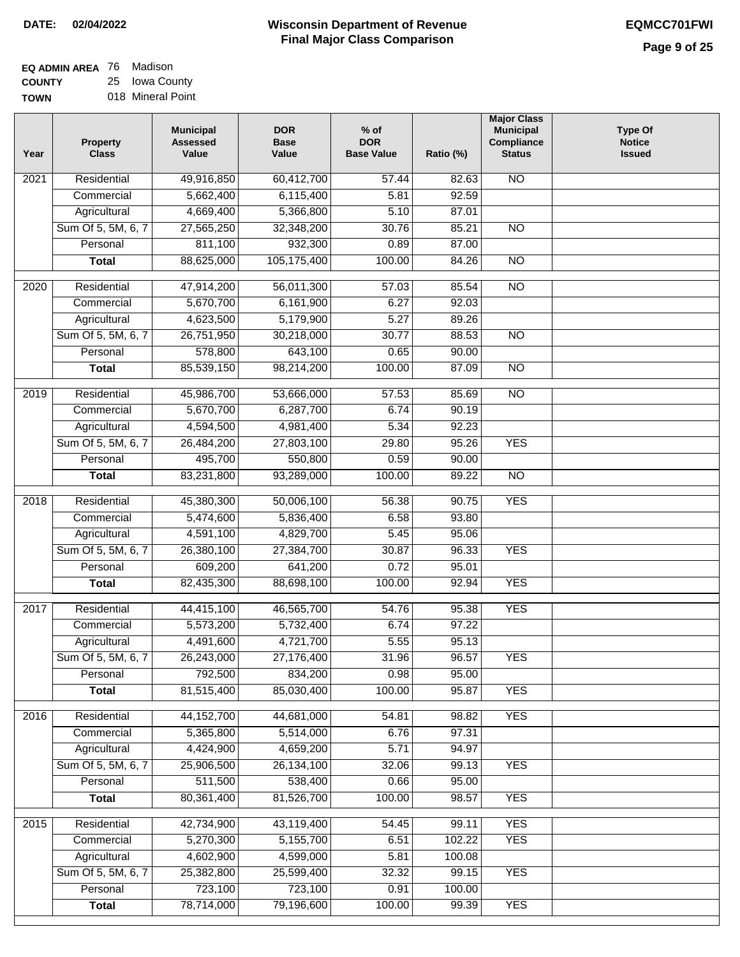| <b>EQ ADMIN AREA 76 Madison</b> |                   |
|---------------------------------|-------------------|
| <b>COUNTY</b>                   | 25 Iowa County    |
| <b>TOWN</b>                     | 018 Mineral Point |

| <b>NO</b><br>Residential<br>49,916,850<br>60,412,700<br>57.44<br>82.63<br>2021<br>5,662,400<br>6,115,400<br>92.59<br>Commercial<br>5.81<br>4,669,400<br>5,366,800<br>5.10<br>87.01<br>Agricultural<br>Sum Of 5, 5M, 6, 7<br>27,565,250<br>32,348,200<br>30.76<br>85.21<br>$\overline{NO}$ |  |
|-------------------------------------------------------------------------------------------------------------------------------------------------------------------------------------------------------------------------------------------------------------------------------------------|--|
|                                                                                                                                                                                                                                                                                           |  |
|                                                                                                                                                                                                                                                                                           |  |
|                                                                                                                                                                                                                                                                                           |  |
|                                                                                                                                                                                                                                                                                           |  |
| 811,100<br>932,300<br>Personal<br>0.89<br>87.00                                                                                                                                                                                                                                           |  |
| 88,625,000<br>105,175,400<br>100.00<br>$\overline{NO}$<br>84.26<br><b>Total</b>                                                                                                                                                                                                           |  |
| Residential<br>47,914,200<br>56,011,300<br>57.03<br>85.54<br>$\overline{NO}$<br>2020                                                                                                                                                                                                      |  |
| 5,670,700<br>92.03<br>Commercial<br>6,161,900<br>6.27                                                                                                                                                                                                                                     |  |
| 4,623,500<br>5,179,900<br>5.27<br>89.26<br>Agricultural                                                                                                                                                                                                                                   |  |
| Sum Of 5, 5M, 6, 7<br>26,751,950<br>30,218,000<br>30.77<br>88.53<br><b>NO</b>                                                                                                                                                                                                             |  |
| 578,800<br>643,100<br>Personal<br>0.65<br>90.00                                                                                                                                                                                                                                           |  |
| 100.00<br><b>Total</b><br>85,539,150<br>98,214,200<br>87.09<br><b>NO</b>                                                                                                                                                                                                                  |  |
|                                                                                                                                                                                                                                                                                           |  |
| $\overline{NO}$<br>$\frac{1}{2019}$<br>Residential<br>45,986,700<br>85.69<br>53,666,000<br>57.53                                                                                                                                                                                          |  |
| 5,670,700<br>Commercial<br>6,287,700<br>6.74<br>90.19                                                                                                                                                                                                                                     |  |
| 4,594,500<br>4,981,400<br>5.34<br>92.23<br>Agricultural                                                                                                                                                                                                                                   |  |
| Sum Of 5, 5M, 6, 7<br><b>YES</b><br>26,484,200<br>27,803,100<br>29.80<br>95.26                                                                                                                                                                                                            |  |
| 495,700<br>0.59<br>90.00<br>Personal<br>550,800                                                                                                                                                                                                                                           |  |
| 83,231,800<br>93,289,000<br>100.00<br>89.22<br>$\overline{NO}$<br><b>Total</b>                                                                                                                                                                                                            |  |
| 50,006,100<br><b>YES</b><br>Residential<br>45,380,300<br>56.38<br>90.75<br>2018                                                                                                                                                                                                           |  |
| Commercial<br>5,474,600<br>5,836,400<br>6.58<br>93.80                                                                                                                                                                                                                                     |  |
| 4,591,100<br>4,829,700<br>5.45<br>95.06<br>Agricultural                                                                                                                                                                                                                                   |  |
| Sum Of 5, 5M, 6, 7<br>26,380,100<br>30.87<br>96.33<br><b>YES</b><br>27,384,700                                                                                                                                                                                                            |  |
| 609,200<br>641,200<br>95.01<br>Personal<br>0.72                                                                                                                                                                                                                                           |  |
| <b>YES</b><br>82,435,300<br>88,698,100<br>100.00<br>92.94<br><b>Total</b>                                                                                                                                                                                                                 |  |
|                                                                                                                                                                                                                                                                                           |  |
| <b>YES</b><br>Residential<br>44,415,100<br>46,565,700<br>54.76<br>95.38<br>2017                                                                                                                                                                                                           |  |
| 97.22<br>5,573,200<br>5,732,400<br>6.74<br>Commercial                                                                                                                                                                                                                                     |  |
| 4,721,700<br>Agricultural<br>4,491,600<br>5.55<br>95.13                                                                                                                                                                                                                                   |  |
| Sum Of 5, 5M, 6, 7<br>26,243,000<br>27,176,400<br>31.96<br>96.57<br><b>YES</b>                                                                                                                                                                                                            |  |
| 792,500<br>834,200<br>Personal<br>0.98<br>95.00                                                                                                                                                                                                                                           |  |
| 81,515,400<br><b>YES</b><br>85,030,400<br>100.00<br>95.87<br><b>Total</b>                                                                                                                                                                                                                 |  |
| <b>YES</b><br>2016<br>Residential<br>44, 152, 700<br>44,681,000<br>54.81<br>98.82                                                                                                                                                                                                         |  |
| 5,365,800<br>97.31<br>Commercial<br>5,514,000<br>6.76                                                                                                                                                                                                                                     |  |
| 4,424,900<br>4,659,200<br>5.71<br>94.97<br>Agricultural                                                                                                                                                                                                                                   |  |
| Sum Of 5, 5M, 6, 7<br>25,906,500<br>26, 134, 100<br>32.06<br>99.13<br><b>YES</b>                                                                                                                                                                                                          |  |
| 511,500<br>538,400<br>95.00<br>Personal<br>0.66                                                                                                                                                                                                                                           |  |
| 80,361,400<br>100.00<br><b>YES</b><br>81,526,700<br>98.57<br><b>Total</b>                                                                                                                                                                                                                 |  |
|                                                                                                                                                                                                                                                                                           |  |
| 42,734,900<br>43,119,400<br><b>YES</b><br>2015<br>Residential<br>54.45<br>99.11                                                                                                                                                                                                           |  |
| <b>YES</b><br>5,270,300<br>5,155,700<br>102.22<br>Commercial<br>6.51                                                                                                                                                                                                                      |  |
| 4,602,900<br>4,599,000<br>100.08<br>Agricultural<br>5.81                                                                                                                                                                                                                                  |  |
| Sum Of 5, 5M, 6, 7<br>25,382,800<br>25,599,400<br>99.15<br><b>YES</b><br>32.32                                                                                                                                                                                                            |  |
| 723,100<br>723,100<br>Personal<br>0.91<br>100.00                                                                                                                                                                                                                                          |  |
| 78,714,000<br>79,196,600<br>100.00<br><b>YES</b><br>99.39<br><b>Total</b>                                                                                                                                                                                                                 |  |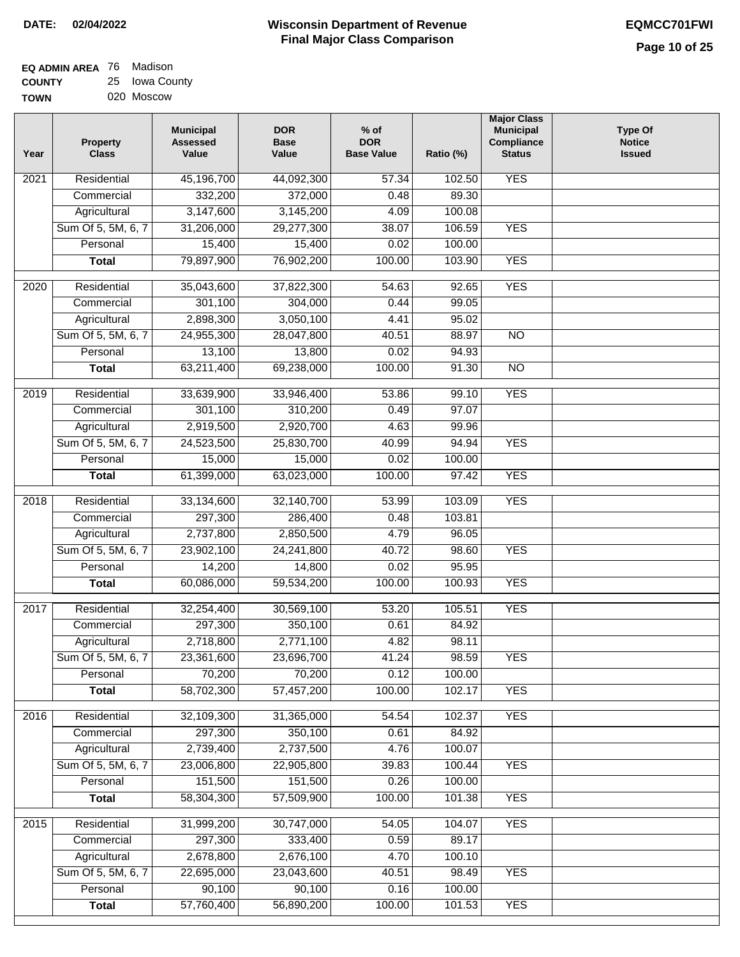| <b>EQ ADMIN AREA</b> 76 Madison |                |
|---------------------------------|----------------|
| <b>COUNTY</b>                   | 25 Iowa County |
| <b>TOWN</b>                     | 020 Moscow     |

| Year              | <b>Property</b><br><b>Class</b> | <b>Municipal</b><br><b>Assessed</b><br>Value | <b>DOR</b><br><b>Base</b><br>Value | $%$ of<br><b>DOR</b><br><b>Base Value</b> | Ratio (%) | <b>Major Class</b><br><b>Municipal</b><br>Compliance<br><b>Status</b> | <b>Type Of</b><br><b>Notice</b><br><b>Issued</b> |
|-------------------|---------------------------------|----------------------------------------------|------------------------------------|-------------------------------------------|-----------|-----------------------------------------------------------------------|--------------------------------------------------|
| 2021              | Residential                     | 45,196,700                                   | 44,092,300                         | 57.34                                     | 102.50    | <b>YES</b>                                                            |                                                  |
|                   | Commercial                      | 332,200                                      | 372,000                            | 0.48                                      | 89.30     |                                                                       |                                                  |
|                   | Agricultural                    | 3,147,600                                    | 3,145,200                          | 4.09                                      | 100.08    |                                                                       |                                                  |
|                   | Sum Of 5, 5M, 6, 7              | 31,206,000                                   | 29,277,300                         | 38.07                                     | 106.59    | <b>YES</b>                                                            |                                                  |
|                   | Personal                        | 15,400                                       | 15,400                             | 0.02                                      | 100.00    |                                                                       |                                                  |
|                   | <b>Total</b>                    | 79,897,900                                   | 76,902,200                         | 100.00                                    | 103.90    | <b>YES</b>                                                            |                                                  |
| 2020              | Residential                     | 35,043,600                                   | 37,822,300                         | 54.63                                     | 92.65     | <b>YES</b>                                                            |                                                  |
|                   | Commercial                      | 301,100                                      | 304,000                            | 0.44                                      | 99.05     |                                                                       |                                                  |
|                   | Agricultural                    | 2,898,300                                    | 3,050,100                          | 4.41                                      | 95.02     |                                                                       |                                                  |
|                   | Sum Of 5, 5M, 6, 7              | 24,955,300                                   | 28,047,800                         | 40.51                                     | 88.97     | $\overline{NO}$                                                       |                                                  |
|                   | Personal                        |                                              | 13,800                             | 0.02                                      | 94.93     |                                                                       |                                                  |
|                   |                                 | 13,100                                       |                                    |                                           |           |                                                                       |                                                  |
|                   | <b>Total</b>                    | 63,211,400                                   | 69,238,000                         | 100.00                                    | 91.30     | $\overline{NO}$                                                       |                                                  |
| 2019              | Residential                     | 33,639,900                                   | 33,946,400                         | 53.86                                     | 99.10     | <b>YES</b>                                                            |                                                  |
|                   | Commercial                      | 301,100                                      | 310,200                            | 0.49                                      | 97.07     |                                                                       |                                                  |
|                   | Agricultural                    | 2,919,500                                    | 2,920,700                          | 4.63                                      | 99.96     |                                                                       |                                                  |
|                   | Sum Of 5, 5M, 6, 7              | 24,523,500                                   | 25,830,700                         | 40.99                                     | 94.94     | <b>YES</b>                                                            |                                                  |
|                   | Personal                        | 15,000                                       | 15,000                             | 0.02                                      | 100.00    |                                                                       |                                                  |
|                   | <b>Total</b>                    | 61,399,000                                   | 63,023,000                         | 100.00                                    | 97.42     | <b>YES</b>                                                            |                                                  |
|                   |                                 |                                              |                                    |                                           |           |                                                                       |                                                  |
| 2018              | Residential                     | 33,134,600                                   | 32,140,700                         | 53.99                                     | 103.09    | <b>YES</b>                                                            |                                                  |
|                   | Commercial                      | 297,300                                      | 286,400                            | 0.48                                      | 103.81    |                                                                       |                                                  |
|                   | Agricultural                    | 2,737,800                                    | 2,850,500                          | 4.79                                      | 96.05     |                                                                       |                                                  |
|                   | Sum Of 5, 5M, 6, 7              | 23,902,100                                   | 24,241,800                         | 40.72                                     | 98.60     | <b>YES</b>                                                            |                                                  |
|                   | Personal                        | 14,200                                       | 14,800                             | 0.02                                      | 95.95     |                                                                       |                                                  |
|                   | <b>Total</b>                    | 60,086,000                                   | 59,534,200                         | 100.00                                    | 100.93    | <b>YES</b>                                                            |                                                  |
| 2017              | Residential                     | 32,254,400                                   | 30,569,100                         | 53.20                                     | 105.51    | <b>YES</b>                                                            |                                                  |
|                   | Commercial                      | 297,300                                      | 350,100                            | 0.61                                      | 84.92     |                                                                       |                                                  |
|                   | Agricultural                    | 2,718,800                                    | 2,771,100                          | 4.82                                      | 98.11     |                                                                       |                                                  |
|                   | Sum Of 5, 5M, 6, 7              | 23,361,600                                   | 23,696,700                         | 41.24                                     | 98.59     | <b>YES</b>                                                            |                                                  |
|                   | Personal                        | 70,200                                       | 70,200                             | 0.12                                      | 100.00    |                                                                       |                                                  |
|                   | <b>Total</b>                    | 58,702,300                                   | 57,457,200                         | 100.00                                    | 102.17    | <b>YES</b>                                                            |                                                  |
|                   |                                 |                                              |                                    |                                           |           |                                                                       |                                                  |
| 2016              | Residential                     | 32,109,300                                   | 31,365,000                         | 54.54                                     | 102.37    | <b>YES</b>                                                            |                                                  |
|                   | Commercial                      | 297,300                                      | 350,100                            | 0.61                                      | 84.92     |                                                                       |                                                  |
|                   | Agricultural                    | 2,739,400                                    | 2,737,500                          | 4.76                                      | 100.07    |                                                                       |                                                  |
|                   | Sum Of 5, 5M, 6, 7              | 23,006,800                                   | 22,905,800                         | 39.83                                     | 100.44    | <b>YES</b>                                                            |                                                  |
|                   | Personal                        | 151,500                                      | 151,500                            | 0.26                                      | 100.00    |                                                                       |                                                  |
|                   | <b>Total</b>                    | 58,304,300                                   | 57,509,900                         | 100.00                                    | 101.38    | <b>YES</b>                                                            |                                                  |
| $\overline{2015}$ | Residential                     | 31,999,200                                   | 30,747,000                         | 54.05                                     | 104.07    | <b>YES</b>                                                            |                                                  |
|                   | Commercial                      | 297,300                                      | 333,400                            | 0.59                                      | 89.17     |                                                                       |                                                  |
|                   | Agricultural                    | 2,678,800                                    | 2,676,100                          | 4.70                                      | 100.10    |                                                                       |                                                  |
|                   | Sum Of 5, 5M, 6, 7              | 22,695,000                                   | 23,043,600                         | 40.51                                     | 98.49     | <b>YES</b>                                                            |                                                  |
|                   | Personal                        | 90,100                                       | 90,100                             | 0.16                                      | 100.00    |                                                                       |                                                  |
|                   | <b>Total</b>                    | 57,760,400                                   | 56,890,200                         | 100.00                                    | 101.53    | <b>YES</b>                                                            |                                                  |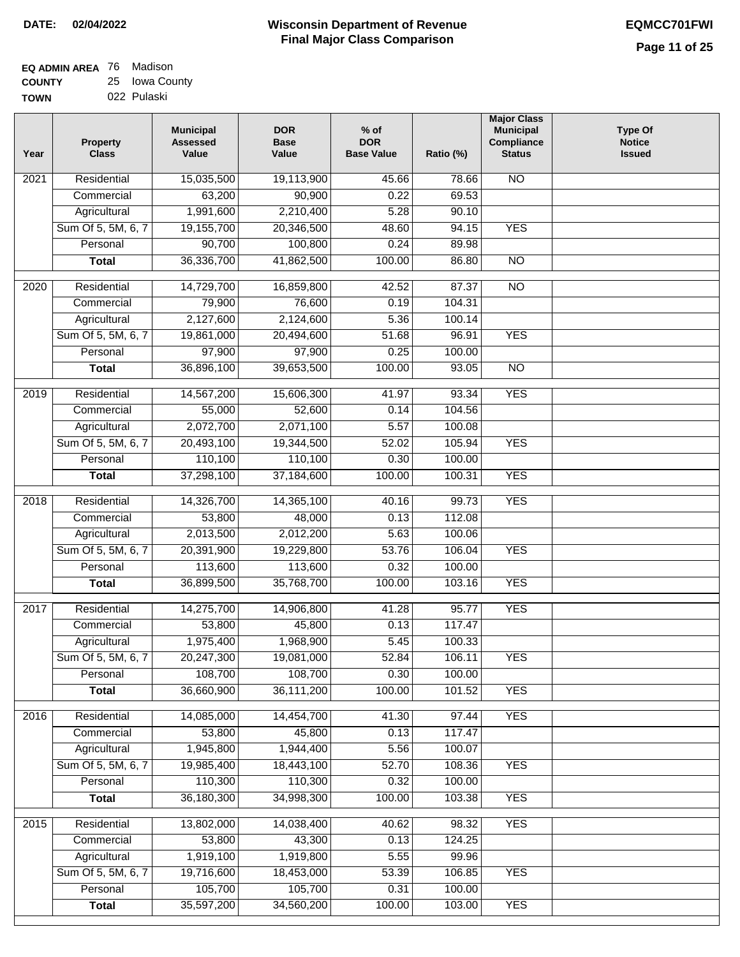| EQ ADMIN AREA 76 | Madison        |
|------------------|----------------|
| <b>COUNTY</b>    | 25 Iowa County |

| <b>TOWN</b> | 022 Pulaski |
|-------------|-------------|
|             |             |

| Year              | <b>Property</b><br><b>Class</b>    | <b>Municipal</b><br><b>Assessed</b><br>Value | <b>DOR</b><br><b>Base</b><br>Value | $%$ of<br><b>DOR</b><br><b>Base Value</b> | Ratio (%)        | <b>Major Class</b><br><b>Municipal</b><br>Compliance<br><b>Status</b> | <b>Type Of</b><br><b>Notice</b><br><b>Issued</b> |
|-------------------|------------------------------------|----------------------------------------------|------------------------------------|-------------------------------------------|------------------|-----------------------------------------------------------------------|--------------------------------------------------|
| $\overline{202}1$ | Residential                        | 15,035,500                                   | 19,113,900                         | 45.66                                     | 78.66            | N <sub>O</sub>                                                        |                                                  |
|                   | Commercial                         | 63,200                                       | 90,900                             | 0.22                                      | 69.53            |                                                                       |                                                  |
|                   | Agricultural                       | 1,991,600                                    | 2,210,400                          | 5.28                                      | 90.10            |                                                                       |                                                  |
|                   | Sum Of 5, 5M, 6, 7                 | 19,155,700                                   | 20,346,500                         | 48.60                                     | 94.15            | <b>YES</b>                                                            |                                                  |
|                   | Personal                           | 90,700                                       | 100,800                            | 0.24                                      | 89.98            |                                                                       |                                                  |
|                   | <b>Total</b>                       | 36,336,700                                   | 41,862,500                         | 100.00                                    | 86.80            | $\overline{NO}$                                                       |                                                  |
| 2020              | Residential                        | 14,729,700                                   | 16,859,800                         | 42.52                                     | 87.37            | $\overline{NO}$                                                       |                                                  |
|                   | Commercial                         | 79,900                                       | 76,600                             | 0.19                                      | 104.31           |                                                                       |                                                  |
|                   | Agricultural                       | 2,127,600                                    | 2,124,600                          | 5.36                                      | 100.14           |                                                                       |                                                  |
|                   | Sum Of 5, 5M, 6, 7                 | 19,861,000                                   | 20,494,600                         | 51.68                                     | 96.91            | <b>YES</b>                                                            |                                                  |
|                   | Personal                           | 97,900                                       | 97,900                             | 0.25                                      | 100.00           |                                                                       |                                                  |
|                   | <b>Total</b>                       | 36,896,100                                   | 39,653,500                         | 100.00                                    | 93.05            | $\overline{NO}$                                                       |                                                  |
|                   |                                    |                                              |                                    |                                           |                  |                                                                       |                                                  |
| 2019              | Residential                        | 14,567,200                                   | 15,606,300                         | 41.97                                     | 93.34            | <b>YES</b>                                                            |                                                  |
|                   | Commercial                         | 55,000                                       | 52,600                             | 0.14                                      | 104.56           |                                                                       |                                                  |
|                   | Agricultural                       | 2,072,700                                    | 2,071,100                          | 5.57                                      | 100.08           |                                                                       |                                                  |
|                   | Sum Of 5, 5M, 6, 7                 | 20,493,100                                   | 19,344,500                         | 52.02                                     | 105.94           | <b>YES</b>                                                            |                                                  |
|                   | Personal                           | 110,100                                      | 110,100                            | 0.30                                      | 100.00           |                                                                       |                                                  |
|                   | <b>Total</b>                       | 37,298,100                                   | 37,184,600                         | 100.00                                    | 100.31           | <b>YES</b>                                                            |                                                  |
| 2018              | Residential                        | 14,326,700                                   | 14,365,100                         | 40.16                                     | 99.73            | <b>YES</b>                                                            |                                                  |
|                   | Commercial                         | 53,800                                       | 48,000                             | 0.13                                      | 112.08           |                                                                       |                                                  |
|                   | Agricultural                       | 2,013,500                                    | 2,012,200                          | 5.63                                      | 100.06           |                                                                       |                                                  |
|                   | Sum Of 5, 5M, 6, 7                 | 20,391,900                                   | 19,229,800                         | 53.76                                     | 106.04           | <b>YES</b>                                                            |                                                  |
|                   | Personal                           | 113,600                                      | 113,600                            | 0.32                                      | 100.00           |                                                                       |                                                  |
|                   | <b>Total</b>                       | 36,899,500                                   | 35,768,700                         | 100.00                                    | 103.16           | <b>YES</b>                                                            |                                                  |
| 2017              | Residential                        | 14,275,700                                   | 14,906,800                         | 41.28                                     | 95.77            | <b>YES</b>                                                            |                                                  |
|                   | Commercial                         | 53,800                                       | 45,800                             | 0.13                                      | 117.47           |                                                                       |                                                  |
|                   | Agricultural                       | 1,975,400                                    | 1,968,900                          | 5.45                                      | 100.33           |                                                                       |                                                  |
|                   | Sum Of 5, 5M, 6, 7                 | 20,247,300                                   | 19,081,000                         | 52.84                                     | 106.11           | <b>YES</b>                                                            |                                                  |
|                   | Personal                           | 108,700                                      | 108,700                            | 0.30                                      | 100.00           |                                                                       |                                                  |
|                   | <b>Total</b>                       | 36,660,900                                   | 36,111,200                         | 100.00                                    | 101.52           | <b>YES</b>                                                            |                                                  |
|                   |                                    |                                              |                                    |                                           |                  |                                                                       |                                                  |
| 2016              | Residential                        | 14,085,000                                   | 14,454,700                         | 41.30                                     | 97.44            | <b>YES</b>                                                            |                                                  |
|                   | Commercial                         | 53,800<br>1,945,800                          | 45,800<br>1,944,400                | 0.13<br>5.56                              | 117.47<br>100.07 |                                                                       |                                                  |
|                   | Agricultural<br>Sum Of 5, 5M, 6, 7 | 19,985,400                                   | 18,443,100                         | 52.70                                     | 108.36           | <b>YES</b>                                                            |                                                  |
|                   | Personal                           | 110,300                                      | 110,300                            | 0.32                                      | 100.00           |                                                                       |                                                  |
|                   | <b>Total</b>                       | 36,180,300                                   | 34,998,300                         | 100.00                                    | 103.38           | <b>YES</b>                                                            |                                                  |
|                   |                                    |                                              |                                    |                                           |                  |                                                                       |                                                  |
| 2015              | Residential                        | 13,802,000                                   | 14,038,400                         | 40.62                                     | 98.32            | <b>YES</b>                                                            |                                                  |
|                   | Commercial                         | 53,800                                       | 43,300                             | 0.13                                      | 124.25           |                                                                       |                                                  |
|                   | Agricultural                       | 1,919,100                                    | 1,919,800                          | 5.55                                      | 99.96            |                                                                       |                                                  |
|                   | Sum Of 5, 5M, 6, 7                 | 19,716,600                                   | 18,453,000                         | 53.39                                     | 106.85           | <b>YES</b>                                                            |                                                  |
|                   | Personal                           | 105,700                                      | 105,700                            | 0.31                                      | 100.00           |                                                                       |                                                  |
|                   | <b>Total</b>                       | 35,597,200                                   | 34,560,200                         | 100.00                                    | 103.00           | <b>YES</b>                                                            |                                                  |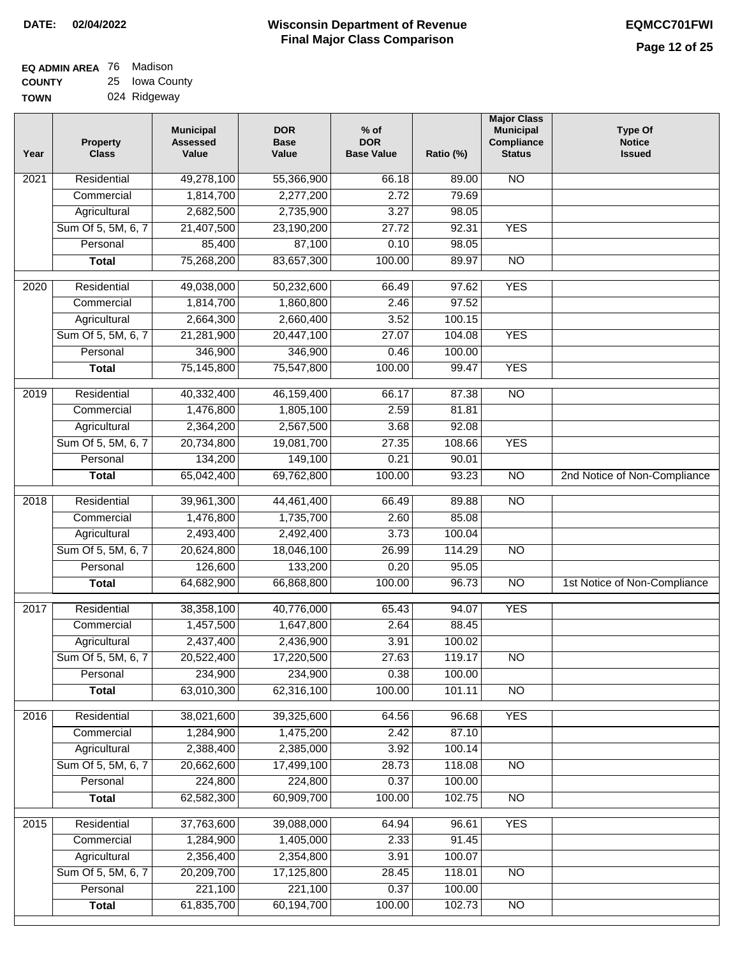| EQ ADMIN AREA 76 | Madison        |
|------------------|----------------|
| <b>COUNTY</b>    | 25 Iowa County |
| <b>TOWN</b>      | 024 Ridgeway   |

| ້ | <b>IOWA OUGHTY</b> |
|---|--------------------|
|   | 024 Ridgeway       |

| Year              | <b>Property</b><br><b>Class</b> | <b>Municipal</b><br><b>Assessed</b><br>Value | <b>DOR</b><br><b>Base</b><br>Value | $%$ of<br><b>DOR</b><br><b>Base Value</b> | Ratio (%) | <b>Major Class</b><br><b>Municipal</b><br>Compliance<br><b>Status</b> | <b>Type Of</b><br><b>Notice</b><br><b>Issued</b> |
|-------------------|---------------------------------|----------------------------------------------|------------------------------------|-------------------------------------------|-----------|-----------------------------------------------------------------------|--------------------------------------------------|
| 2021              | Residential                     | 49,278,100                                   | 55,366,900                         | 66.18                                     | 89.00     | <b>NO</b>                                                             |                                                  |
|                   | Commercial                      | 1,814,700                                    | 2,277,200                          | 2.72                                      | 79.69     |                                                                       |                                                  |
|                   | Agricultural                    | 2,682,500                                    | 2,735,900                          | 3.27                                      | 98.05     |                                                                       |                                                  |
|                   | Sum Of 5, 5M, 6, 7              | 21,407,500                                   | 23,190,200                         | 27.72                                     | 92.31     | <b>YES</b>                                                            |                                                  |
|                   | Personal                        | 85,400                                       | 87,100                             | 0.10                                      | 98.05     |                                                                       |                                                  |
|                   | <b>Total</b>                    | 75,268,200                                   | 83,657,300                         | 100.00                                    | 89.97     | $\overline{NO}$                                                       |                                                  |
| $\overline{2020}$ | Residential                     | 49,038,000                                   | 50,232,600                         | 66.49                                     | 97.62     | <b>YES</b>                                                            |                                                  |
|                   | Commercial                      | 1,814,700                                    | 1,860,800                          | 2.46                                      | 97.52     |                                                                       |                                                  |
|                   | Agricultural                    | 2,664,300                                    | 2,660,400                          | 3.52                                      | 100.15    |                                                                       |                                                  |
|                   | Sum Of 5, 5M, 6, 7              | 21,281,900                                   | 20,447,100                         | 27.07                                     | 104.08    | <b>YES</b>                                                            |                                                  |
|                   | Personal                        | 346,900                                      | 346,900                            | 0.46                                      | 100.00    |                                                                       |                                                  |
|                   | <b>Total</b>                    | 75,145,800                                   | 75,547,800                         | 100.00                                    | 99.47     | <b>YES</b>                                                            |                                                  |
| $\frac{2019}{ }$  | Residential                     | 40,332,400                                   | 46,159,400                         | 66.17                                     | 87.38     | $\overline{NO}$                                                       |                                                  |
|                   | Commercial                      | 1,476,800                                    | 1,805,100                          | 2.59                                      | 81.81     |                                                                       |                                                  |
|                   | Agricultural                    | 2,364,200                                    | 2,567,500                          | 3.68                                      | 92.08     |                                                                       |                                                  |
|                   | Sum Of 5, 5M, 6, 7              | 20,734,800                                   | 19,081,700                         | 27.35                                     | 108.66    | <b>YES</b>                                                            |                                                  |
|                   | Personal                        | 134,200                                      | 149,100                            | 0.21                                      | 90.01     |                                                                       |                                                  |
|                   | <b>Total</b>                    | 65,042,400                                   | 69,762,800                         | 100.00                                    | 93.23     | $\overline{NO}$                                                       | 2nd Notice of Non-Compliance                     |
| 2018              | Residential                     | 39,961,300                                   | 44,461,400                         | 66.49                                     | 89.88     | $\overline{NO}$                                                       |                                                  |
|                   | Commercial                      | 1,476,800                                    | 1,735,700                          | 2.60                                      | 85.08     |                                                                       |                                                  |
|                   | Agricultural                    | 2,493,400                                    | 2,492,400                          | 3.73                                      | 100.04    |                                                                       |                                                  |
|                   | Sum Of 5, 5M, 6, 7              | 20,624,800                                   | 18,046,100                         | 26.99                                     | 114.29    | <b>NO</b>                                                             |                                                  |
|                   | Personal                        | 126,600                                      | 133,200                            | 0.20                                      | 95.05     |                                                                       |                                                  |
|                   | <b>Total</b>                    | 64,682,900                                   | 66,868,800                         | 100.00                                    | 96.73     | $\overline{10}$                                                       | 1st Notice of Non-Compliance                     |
|                   |                                 |                                              |                                    |                                           |           |                                                                       |                                                  |
| 2017              | Residential                     | 38,358,100                                   | 40,776,000                         | 65.43                                     | 94.07     | <b>YES</b>                                                            |                                                  |
|                   | Commercial                      | 1,457,500                                    | 1,647,800                          | 2.64                                      | 88.45     |                                                                       |                                                  |
|                   | Agricultural                    | 2,437,400                                    | 2,436,900                          | 3.91                                      | 100.02    |                                                                       |                                                  |
|                   | Sum Of 5, 5M, 6, 7              | 20,522,400                                   | 17,220,500                         | 27.63                                     | 119.17    | $\overline{NO}$                                                       |                                                  |
|                   | Personal                        | 234,900                                      | 234,900                            | 0.38                                      | 100.00    |                                                                       |                                                  |
|                   | <b>Total</b>                    | 63,010,300                                   | 62,316,100                         | 100.00                                    | 101.11    | $\overline{10}$                                                       |                                                  |
| 2016              | Residential                     | 38,021,600                                   | 39,325,600                         | 64.56                                     | 96.68     | <b>YES</b>                                                            |                                                  |
|                   | Commercial                      | 1,284,900                                    | 1,475,200                          | 2.42                                      | 87.10     |                                                                       |                                                  |
|                   | Agricultural                    | 2,388,400                                    | 2,385,000                          | 3.92                                      | 100.14    |                                                                       |                                                  |
|                   | Sum Of 5, 5M, 6, 7              | 20,662,600                                   | 17,499,100                         | 28.73                                     | 118.08    | <b>NO</b>                                                             |                                                  |
|                   | Personal                        | 224,800                                      | 224,800                            | 0.37                                      | 100.00    |                                                                       |                                                  |
|                   | <b>Total</b>                    | 62,582,300                                   | 60,909,700                         | 100.00                                    | 102.75    | N <sub>O</sub>                                                        |                                                  |
| 2015              | Residential                     | 37,763,600                                   | 39,088,000                         | 64.94                                     | 96.61     | <b>YES</b>                                                            |                                                  |
|                   | Commercial                      | 1,284,900                                    | 1,405,000                          | 2.33                                      | 91.45     |                                                                       |                                                  |
|                   | Agricultural                    | 2,356,400                                    | 2,354,800                          | 3.91                                      | 100.07    |                                                                       |                                                  |
|                   | Sum Of 5, 5M, 6, 7              | 20,209,700                                   | 17,125,800                         | 28.45                                     | 118.01    | <b>NO</b>                                                             |                                                  |
|                   | Personal                        | 221,100                                      | 221,100                            | 0.37                                      | 100.00    |                                                                       |                                                  |
|                   | <b>Total</b>                    | 61,835,700                                   | 60,194,700                         | 100.00                                    | 102.73    | $\overline{NO}$                                                       |                                                  |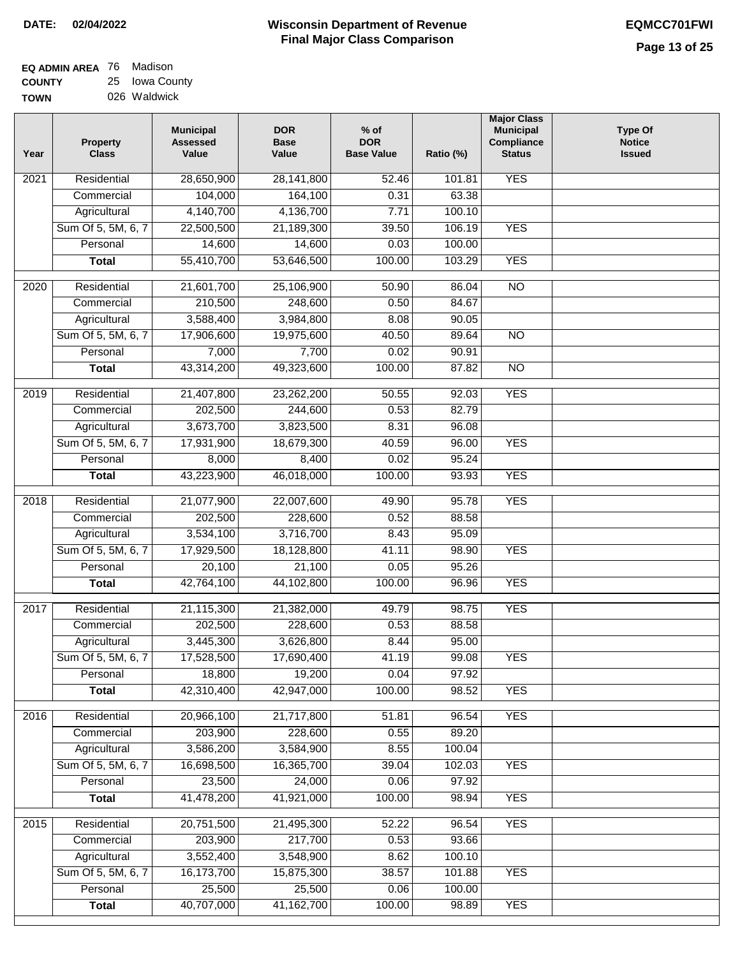| EQ ADMIN AREA 76 | Madison        |
|------------------|----------------|
| <b>COUNTY</b>    | 25 Iowa County |
| <b>TOWN</b>      | 026 Waldwick   |

| Year              | <b>Property</b><br><b>Class</b> | <b>Municipal</b><br><b>Assessed</b><br>Value | <b>DOR</b><br><b>Base</b><br>Value | $%$ of<br><b>DOR</b><br><b>Base Value</b> | Ratio (%)      | <b>Major Class</b><br><b>Municipal</b><br>Compliance<br><b>Status</b> | <b>Type Of</b><br><b>Notice</b><br><b>Issued</b> |
|-------------------|---------------------------------|----------------------------------------------|------------------------------------|-------------------------------------------|----------------|-----------------------------------------------------------------------|--------------------------------------------------|
| 2021              | Residential                     | 28,650,900                                   | 28,141,800                         | 52.46                                     | 101.81         | <b>YES</b>                                                            |                                                  |
|                   | Commercial                      | 104,000                                      | 164,100                            | 0.31                                      | 63.38          |                                                                       |                                                  |
|                   | Agricultural                    | 4,140,700                                    | 4,136,700                          | 7.71                                      | 100.10         |                                                                       |                                                  |
|                   | Sum Of 5, 5M, 6, 7              | 22,500,500                                   | 21,189,300                         | 39.50                                     | 106.19         | <b>YES</b>                                                            |                                                  |
|                   | Personal                        | 14,600                                       | 14,600                             | 0.03                                      | 100.00         |                                                                       |                                                  |
|                   | <b>Total</b>                    | 55,410,700                                   | 53,646,500                         | 100.00                                    | 103.29         | <b>YES</b>                                                            |                                                  |
| 2020              | Residential                     | 21,601,700                                   | 25,106,900                         | 50.90                                     | 86.04          | $\overline{NO}$                                                       |                                                  |
|                   | Commercial                      | 210,500                                      | 248,600                            | 0.50                                      | 84.67          |                                                                       |                                                  |
|                   | Agricultural                    | 3,588,400                                    | 3,984,800                          | 8.08                                      | 90.05          |                                                                       |                                                  |
|                   | Sum Of 5, 5M, 6, 7              | 17,906,600                                   | 19,975,600                         | 40.50                                     | 89.64          | $\overline{NO}$                                                       |                                                  |
|                   | Personal                        | 7,000                                        | 7,700                              | 0.02                                      | 90.91          |                                                                       |                                                  |
|                   | <b>Total</b>                    | 43,314,200                                   | 49,323,600                         | 100.00                                    | 87.82          | $\overline{NO}$                                                       |                                                  |
| $\frac{1}{2019}$  | Residential                     | 21,407,800                                   | 23,262,200                         | 50.55                                     | 92.03          | <b>YES</b>                                                            |                                                  |
|                   | Commercial                      | 202,500                                      | 244,600                            | 0.53                                      | 82.79          |                                                                       |                                                  |
|                   | Agricultural                    | 3,673,700                                    | 3,823,500                          | 8.31                                      | 96.08          |                                                                       |                                                  |
|                   | Sum Of 5, 5M, 6, 7              | 17,931,900                                   | 18,679,300                         | 40.59                                     | 96.00          | <b>YES</b>                                                            |                                                  |
|                   | Personal                        | 8,000                                        | 8,400                              | 0.02                                      | 95.24          |                                                                       |                                                  |
|                   | <b>Total</b>                    | 43,223,900                                   | 46,018,000                         | 100.00                                    | 93.93          | <b>YES</b>                                                            |                                                  |
| 2018              | Residential                     | 21,077,900                                   | 22,007,600                         | 49.90                                     | 95.78          | <b>YES</b>                                                            |                                                  |
|                   | Commercial                      | 202,500                                      | 228,600                            | 0.52                                      | 88.58          |                                                                       |                                                  |
|                   | Agricultural                    | 3,534,100                                    | 3,716,700                          | 8.43                                      | 95.09          |                                                                       |                                                  |
|                   | Sum Of 5, 5M, 6, 7              | 17,929,500                                   | 18,128,800                         | 41.11                                     | 98.90          | <b>YES</b>                                                            |                                                  |
|                   | Personal                        | 20,100                                       | 21,100                             | 0.05                                      | 95.26          |                                                                       |                                                  |
|                   | <b>Total</b>                    | 42,764,100                                   | 44,102,800                         | 100.00                                    | 96.96          | <b>YES</b>                                                            |                                                  |
|                   |                                 |                                              |                                    |                                           |                |                                                                       |                                                  |
| $\overline{20}17$ | Residential                     | 21,115,300                                   | 21,382,000                         | 49.79                                     | 98.75          | <b>YES</b>                                                            |                                                  |
|                   | Commercial                      | 202,500                                      | 228,600                            | 0.53                                      | 88.58          |                                                                       |                                                  |
|                   | Agricultural                    | 3,445,300                                    | 3,626,800                          | 8.44<br>41.19                             | 95.00<br>99.08 |                                                                       |                                                  |
|                   | Sum Of 5, 5M, 6, 7<br>Personal  | 17,528,500<br>18,800                         | 17,690,400                         | 0.04                                      | 97.92          | <b>YES</b>                                                            |                                                  |
|                   | <b>Total</b>                    | 42,310,400                                   | 19,200<br>42,947,000               | 100.00                                    | 98.52          | <b>YES</b>                                                            |                                                  |
|                   |                                 |                                              |                                    |                                           |                |                                                                       |                                                  |
| 2016              | Residential<br>Commercial       | 20,966,100<br>203,900                        | 21,717,800<br>228,600              | 51.81<br>0.55                             | 96.54<br>89.20 | <b>YES</b>                                                            |                                                  |
|                   | Agricultural                    | 3,586,200                                    | 3,584,900                          | 8.55                                      | 100.04         |                                                                       |                                                  |
|                   | Sum Of 5, 5M, 6, 7              | 16,698,500                                   | 16,365,700                         | 39.04                                     | 102.03         | <b>YES</b>                                                            |                                                  |
|                   | Personal                        | 23,500                                       | 24,000                             | 0.06                                      | 97.92          |                                                                       |                                                  |
|                   | <b>Total</b>                    | 41,478,200                                   | 41,921,000                         | 100.00                                    | 98.94          | <b>YES</b>                                                            |                                                  |
|                   |                                 |                                              |                                    |                                           |                |                                                                       |                                                  |
| 2015              | Residential                     | 20,751,500                                   | 21,495,300                         | 52.22                                     | 96.54          | <b>YES</b>                                                            |                                                  |
|                   | Commercial                      | 203,900                                      | 217,700                            | 0.53                                      | 93.66          |                                                                       |                                                  |
|                   | Agricultural                    | 3,552,400                                    | 3,548,900                          | 8.62                                      | 100.10         |                                                                       |                                                  |
|                   | Sum Of 5, 5M, 6, 7              | 16,173,700                                   | 15,875,300                         | 38.57                                     | 101.88         | <b>YES</b>                                                            |                                                  |
|                   | Personal                        | 25,500                                       | 25,500                             | 0.06                                      | 100.00         |                                                                       |                                                  |
|                   | <b>Total</b>                    | 40,707,000                                   | 41, 162, 700                       | 100.00                                    | 98.89          | <b>YES</b>                                                            |                                                  |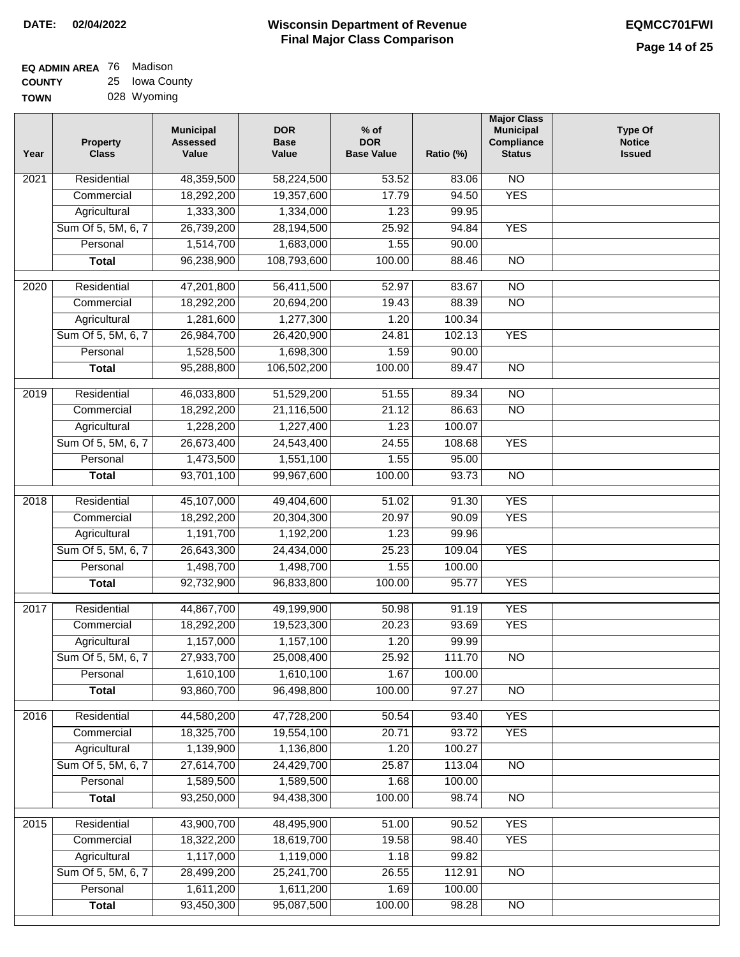# **Wisconsin Department of Revenue DATE: 02/04/2022 EQMCC701FWI Final Major Class Comparison**

**Major Class**

| <b>EQ ADMIN AREA</b> 76 Madison |                |
|---------------------------------|----------------|
| <b>COUNTY</b>                   | 25 Iowa County |
| <b>TOWN</b>                     | 028 Wyoming    |

**Commercial Agricultural** Sum Of 5, 5M, 6, 7 **Personal Total**

 18,322,200 1,117,000 28,499,200 1,611,200 93,450,300

 18,619,700 1,119,000 25,241,700 1,611,200 95,087,500

 19.58 1.18 26.55 1.69 100.00

 98.40 99.82 112.91 100.00 98.28

YES

NO

NO

| Year              | <b>Property</b><br><b>Class</b> | <b>Municipal</b><br><b>Assessed</b><br>Value | <b>DOR</b><br><b>Base</b><br>Value | $%$ of<br><b>DOR</b><br><b>Base Value</b> | Ratio (%) | <b>Municipal</b><br><b>Compliance</b><br><b>Status</b> | <b>Type Of</b><br><b>Notice</b><br><b>Issued</b> |
|-------------------|---------------------------------|----------------------------------------------|------------------------------------|-------------------------------------------|-----------|--------------------------------------------------------|--------------------------------------------------|
| 2021              | Residential                     | 48,359,500                                   | 58,224,500                         | 53.52                                     | 83.06     | $\overline{NO}$                                        |                                                  |
|                   | Commercial                      | 18,292,200                                   | 19,357,600                         | 17.79                                     | 94.50     | <b>YES</b>                                             |                                                  |
|                   | Agricultural                    | 1,333,300                                    | 1,334,000                          | 1.23                                      | 99.95     |                                                        |                                                  |
|                   | Sum Of 5, 5M, 6, 7              | 26,739,200                                   | 28,194,500                         | 25.92                                     | 94.84     | <b>YES</b>                                             |                                                  |
|                   | Personal                        | 1,514,700                                    | 1,683,000                          | 1.55                                      | 90.00     |                                                        |                                                  |
|                   | <b>Total</b>                    | 96,238,900                                   | 108,793,600                        | 100.00                                    | 88.46     | $\overline{NO}$                                        |                                                  |
| 2020              | Residential                     | 47,201,800                                   | 56,411,500                         | 52.97                                     | 83.67     | $\overline{NO}$                                        |                                                  |
|                   | Commercial                      | 18,292,200                                   | 20,694,200                         | 19.43                                     | 88.39     | $\overline{NO}$                                        |                                                  |
|                   | Agricultural                    | 1,281,600                                    | 1,277,300                          | 1.20                                      | 100.34    |                                                        |                                                  |
|                   | Sum Of 5, 5M, 6, 7              | 26,984,700                                   | 26,420,900                         | 24.81                                     | 102.13    | <b>YES</b>                                             |                                                  |
|                   | Personal                        | 1,528,500                                    | 1,698,300                          | 1.59                                      | 90.00     |                                                        |                                                  |
|                   | <b>Total</b>                    | 95,288,800                                   | 106,502,200                        | 100.00                                    | 89.47     | $\overline{NO}$                                        |                                                  |
| 2019              | Residential                     | 46,033,800                                   | 51,529,200                         | 51.55                                     | 89.34     | <b>NO</b>                                              |                                                  |
|                   | Commercial                      | 18,292,200                                   | 21,116,500                         | 21.12                                     | 86.63     | $\overline{NO}$                                        |                                                  |
|                   | Agricultural                    | 1,228,200                                    | 1,227,400                          | 1.23                                      | 100.07    |                                                        |                                                  |
|                   | Sum Of 5, 5M, 6, 7              | 26,673,400                                   | 24,543,400                         | 24.55                                     | 108.68    | <b>YES</b>                                             |                                                  |
|                   | Personal                        | 1,473,500                                    | 1,551,100                          | 1.55                                      | 95.00     |                                                        |                                                  |
|                   | <b>Total</b>                    | 93,701,100                                   | 99,967,600                         | 100.00                                    | 93.73     | $\overline{NO}$                                        |                                                  |
| $\overline{2018}$ | Residential                     | 45,107,000                                   | 49,404,600                         | 51.02                                     | 91.30     | <b>YES</b>                                             |                                                  |
|                   | Commercial                      | 18,292,200                                   | 20,304,300                         | 20.97                                     | 90.09     | <b>YES</b>                                             |                                                  |
|                   | Agricultural                    | 1,191,700                                    | 1,192,200                          | 1.23                                      | 99.96     |                                                        |                                                  |
|                   | Sum Of 5, 5M, 6, 7              | 26,643,300                                   | 24,434,000                         | 25.23                                     | 109.04    | <b>YES</b>                                             |                                                  |
|                   | Personal                        | 1,498,700                                    | 1,498,700                          | 1.55                                      | 100.00    |                                                        |                                                  |
|                   | <b>Total</b>                    | 92,732,900                                   | 96,833,800                         | 100.00                                    | 95.77     | <b>YES</b>                                             |                                                  |
| 2017              | Residential                     | 44,867,700                                   | 49,199,900                         | 50.98                                     | 91.19     | <b>YES</b>                                             |                                                  |
|                   | Commercial                      | 18,292,200                                   | 19,523,300                         | 20.23                                     | 93.69     | <b>YES</b>                                             |                                                  |
|                   | Agricultural                    | 1,157,000                                    | 1,157,100                          | 1.20                                      | 99.99     |                                                        |                                                  |
|                   | Sum Of 5, 5M, 6, 7              | 27,933,700                                   | 25,008,400                         | 25.92                                     | 111.70    | $\overline{NO}$                                        |                                                  |
|                   | Personal                        | 1,610,100                                    | 1,610,100                          | 1.67                                      | 100.00    |                                                        |                                                  |
|                   | <b>Total</b>                    | 93,860,700                                   | 96,498,800                         | 100.00                                    | 97.27     | $\overline{NO}$                                        |                                                  |
| 2016              | Residential                     | 44,580,200                                   | 47,728,200                         | 50.54                                     | 93.40     | <b>YES</b>                                             |                                                  |
|                   | Commercial                      | 18,325,700                                   | 19,554,100                         | 20.71                                     | 93.72     | <b>YES</b>                                             |                                                  |
|                   | Agricultural                    | 1,139,900                                    | 1,136,800                          | 1.20                                      | 100.27    |                                                        |                                                  |
|                   | Sum Of 5, 5M, 6, 7              | 27,614,700                                   | 24,429,700                         | 25.87                                     | 113.04    | $\overline{NO}$                                        |                                                  |
|                   | Personal                        | 1,589,500                                    | 1,589,500                          | 1.68                                      | 100.00    |                                                        |                                                  |
|                   | <b>Total</b>                    | 93,250,000                                   | 94,438,300                         | 100.00                                    | 98.74     | $\overline{NO}$                                        |                                                  |
| 2015              | Residential                     | 43,900,700                                   | 48,495,900                         | 51.00                                     | 90.52     | <b>YES</b>                                             |                                                  |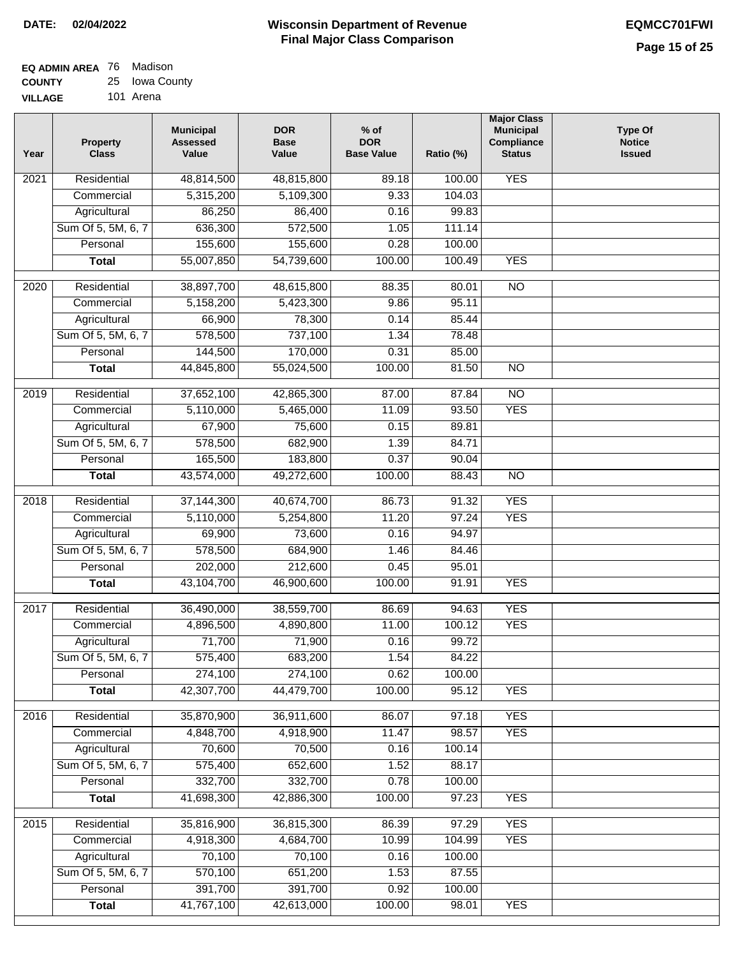| <b>EQ ADMIN AREA</b> 76 Madison |                |
|---------------------------------|----------------|
| <b>COUNTY</b>                   | 25 Iowa County |
| <b>VILLAGE</b>                  | 101 Arena      |

| Year | Property<br><b>Class</b> | <b>Municipal</b><br><b>Assessed</b><br>Value | <b>DOR</b><br><b>Base</b><br>Value | $%$ of<br><b>DOR</b><br><b>Base Value</b> | Ratio (%) | <b>Major Class</b><br><b>Municipal</b><br>Compliance<br><b>Status</b> | <b>Type Of</b><br><b>Notice</b><br><b>Issued</b> |
|------|--------------------------|----------------------------------------------|------------------------------------|-------------------------------------------|-----------|-----------------------------------------------------------------------|--------------------------------------------------|
| 2021 | Residential              | 48,814,500                                   | 48,815,800                         | 89.18                                     | 100.00    | <b>YES</b>                                                            |                                                  |
|      | Commercial               | 5,315,200                                    | 5,109,300                          | 9.33                                      | 104.03    |                                                                       |                                                  |
|      | Agricultural             | 86,250                                       | 86,400                             | 0.16                                      | 99.83     |                                                                       |                                                  |
|      | Sum Of 5, 5M, 6, 7       | 636,300                                      | 572,500                            | 1.05                                      | 111.14    |                                                                       |                                                  |
|      | Personal                 | 155,600                                      | 155,600                            | 0.28                                      | 100.00    |                                                                       |                                                  |
|      | <b>Total</b>             | 55,007,850                                   | 54,739,600                         | 100.00                                    | 100.49    | <b>YES</b>                                                            |                                                  |
| 2020 | Residential              | 38,897,700                                   | 48,615,800                         | 88.35                                     | 80.01     | $\overline{NO}$                                                       |                                                  |
|      | Commercial               | 5,158,200                                    | 5,423,300                          | 9.86                                      | 95.11     |                                                                       |                                                  |
|      | Agricultural             | 66,900                                       | 78,300                             | 0.14                                      | 85.44     |                                                                       |                                                  |
|      | Sum Of 5, 5M, 6, 7       | 578,500                                      | 737,100                            | 1.34                                      | 78.48     |                                                                       |                                                  |
|      | Personal                 | 144,500                                      | 170,000                            | 0.31                                      | 85.00     |                                                                       |                                                  |
|      | <b>Total</b>             | 44,845,800                                   | 55,024,500                         | 100.00                                    | 81.50     | $\overline{NO}$                                                       |                                                  |
|      |                          |                                              |                                    |                                           |           |                                                                       |                                                  |
| 2019 | Residential              | 37,652,100                                   | 42,865,300                         | 87.00                                     | 87.84     | $\overline{NO}$                                                       |                                                  |
|      | Commercial               | 5,110,000                                    | 5,465,000                          | 11.09                                     | 93.50     | <b>YES</b>                                                            |                                                  |
|      | Agricultural             | 67,900                                       | 75,600                             | 0.15                                      | 89.81     |                                                                       |                                                  |
|      | Sum Of 5, 5M, 6, 7       | 578,500                                      | 682,900                            | 1.39                                      | 84.71     |                                                                       |                                                  |
|      | Personal                 | 165,500                                      | 183,800                            | 0.37<br>100.00                            | 90.04     | $\overline{NO}$                                                       |                                                  |
|      | <b>Total</b>             | 43,574,000                                   | 49,272,600                         |                                           | 88.43     |                                                                       |                                                  |
| 2018 | Residential              | 37, 144, 300                                 | 40,674,700                         | 86.73                                     | 91.32     | <b>YES</b>                                                            |                                                  |
|      | Commercial               | 5,110,000                                    | 5,254,800                          | 11.20                                     | 97.24     | <b>YES</b>                                                            |                                                  |
|      | Agricultural             | 69,900                                       | 73,600                             | 0.16                                      | 94.97     |                                                                       |                                                  |
|      | Sum Of 5, 5M, 6, 7       | 578,500                                      | 684,900                            | 1.46                                      | 84.46     |                                                                       |                                                  |
|      | Personal                 | 202,000                                      | 212,600                            | 0.45                                      | 95.01     |                                                                       |                                                  |
|      | <b>Total</b>             | 43,104,700                                   | 46,900,600                         | 100.00                                    | 91.91     | <b>YES</b>                                                            |                                                  |
| 2017 | Residential              | 36,490,000                                   | 38,559,700                         | 86.69                                     | 94.63     | <b>YES</b>                                                            |                                                  |
|      | Commercial               | 4,896,500                                    | 4,890,800                          | 11.00                                     | 100.12    | <b>YES</b>                                                            |                                                  |
|      | Agricultural             | 71,700                                       | 71,900                             | 0.16                                      | 99.72     |                                                                       |                                                  |
|      | Sum Of 5, 5M, 6, 7       | 575,400                                      | 683,200                            | 1.54                                      | 84.22     |                                                                       |                                                  |
|      | Personal                 | 274,100                                      | 274,100                            | 0.62                                      | 100.00    |                                                                       |                                                  |
|      | <b>Total</b>             | 42,307,700                                   | 44,479,700                         | 100.00                                    | 95.12     | <b>YES</b>                                                            |                                                  |
| 2016 | Residential              | 35,870,900                                   | 36,911,600                         | 86.07                                     | 97.18     | <b>YES</b>                                                            |                                                  |
|      | Commercial               | 4,848,700                                    | 4,918,900                          | 11.47                                     | 98.57     | <b>YES</b>                                                            |                                                  |
|      | Agricultural             | 70,600                                       | 70,500                             | 0.16                                      | 100.14    |                                                                       |                                                  |
|      | Sum Of 5, 5M, 6, 7       | 575,400                                      | 652,600                            | 1.52                                      | 88.17     |                                                                       |                                                  |
|      | Personal                 | 332,700                                      | 332,700                            | 0.78                                      | 100.00    |                                                                       |                                                  |
|      | <b>Total</b>             | 41,698,300                                   | 42,886,300                         | 100.00                                    | 97.23     | <b>YES</b>                                                            |                                                  |
| 2015 | Residential              | 35,816,900                                   | 36,815,300                         | 86.39                                     | 97.29     | <b>YES</b>                                                            |                                                  |
|      | Commercial               | 4,918,300                                    | 4,684,700                          | 10.99                                     | 104.99    | <b>YES</b>                                                            |                                                  |
|      | Agricultural             | 70,100                                       | 70,100                             | 0.16                                      | 100.00    |                                                                       |                                                  |
|      | Sum Of 5, 5M, 6, 7       | 570,100                                      | 651,200                            | 1.53                                      | 87.55     |                                                                       |                                                  |
|      | Personal                 | 391,700                                      | 391,700                            | 0.92                                      | 100.00    |                                                                       |                                                  |
|      | <b>Total</b>             | 41,767,100                                   | 42,613,000                         | 100.00                                    | 98.01     | <b>YES</b>                                                            |                                                  |
|      |                          |                                              |                                    |                                           |           |                                                                       |                                                  |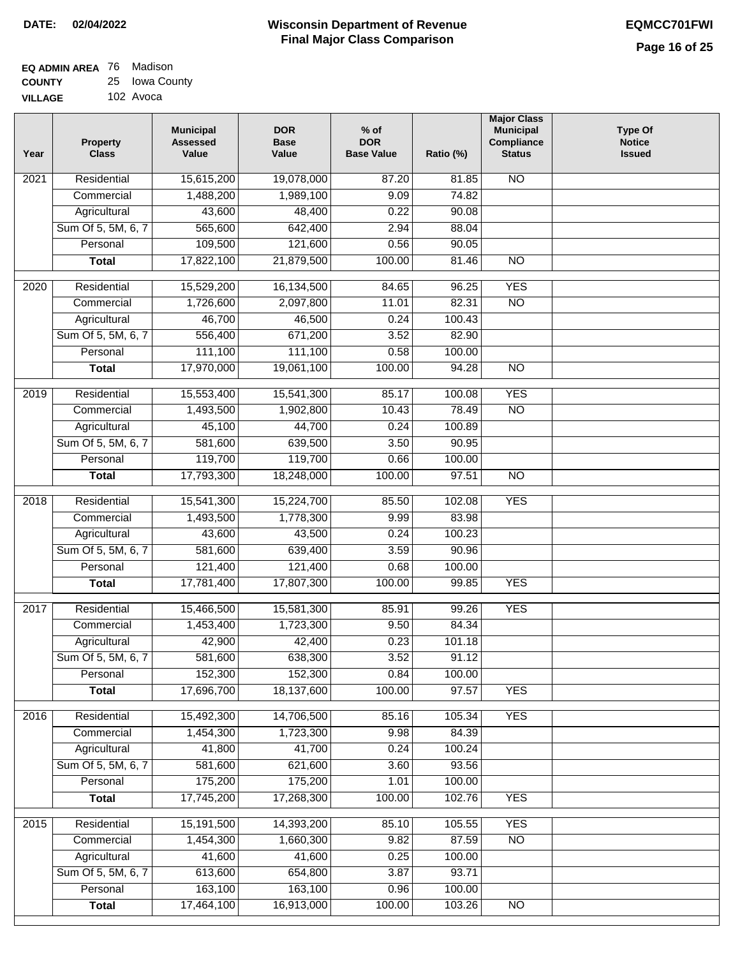| <b>EQ ADMIN AREA 76 Madison</b> |                |
|---------------------------------|----------------|
| <b>COUNTY</b>                   | 25 Iowa County |
| <b>VILLAGE</b>                  | 102 Avoca      |

| Year              | <b>Property</b><br><b>Class</b> | <b>Municipal</b><br><b>Assessed</b><br>Value | <b>DOR</b><br><b>Base</b><br>Value | % of<br><b>DOR</b><br><b>Base Value</b> | Ratio (%) | <b>Major Class</b><br><b>Municipal</b><br>Compliance<br><b>Status</b> | <b>Type Of</b><br><b>Notice</b><br><b>Issued</b> |
|-------------------|---------------------------------|----------------------------------------------|------------------------------------|-----------------------------------------|-----------|-----------------------------------------------------------------------|--------------------------------------------------|
| 2021              | Residential                     | 15,615,200                                   | 19,078,000                         | 87.20                                   | 81.85     | N <sub>O</sub>                                                        |                                                  |
|                   | Commercial                      | 1,488,200                                    | 1,989,100                          | 9.09                                    | 74.82     |                                                                       |                                                  |
|                   | Agricultural                    | 43,600                                       | 48,400                             | 0.22                                    | 90.08     |                                                                       |                                                  |
|                   | Sum Of 5, 5M, 6, 7              | 565,600                                      | 642,400                            | 2.94                                    | 88.04     |                                                                       |                                                  |
|                   | Personal                        | 109,500                                      | 121,600                            | 0.56                                    | 90.05     |                                                                       |                                                  |
|                   | <b>Total</b>                    | 17,822,100                                   | 21,879,500                         | 100.00                                  | 81.46     | $\overline{NO}$                                                       |                                                  |
| $\overline{2020}$ | Residential                     | 15,529,200                                   | 16,134,500                         | 84.65                                   | 96.25     | <b>YES</b>                                                            |                                                  |
|                   | Commercial                      | 1,726,600                                    | 2,097,800                          | 11.01                                   | 82.31     | $\overline{NO}$                                                       |                                                  |
|                   | Agricultural                    | 46,700                                       | 46,500                             | 0.24                                    | 100.43    |                                                                       |                                                  |
|                   | Sum Of 5, 5M, 6, 7              | 556,400                                      | 671,200                            | 3.52                                    | 82.90     |                                                                       |                                                  |
|                   | Personal                        | 111,100                                      | 111,100                            | 0.58                                    | 100.00    |                                                                       |                                                  |
|                   | <b>Total</b>                    | 17,970,000                                   | 19,061,100                         | 100.00                                  | 94.28     | $\overline{NO}$                                                       |                                                  |
|                   |                                 |                                              |                                    |                                         |           |                                                                       |                                                  |
| 2019              | Residential                     | 15,553,400                                   | 15,541,300                         | 85.17                                   | 100.08    | <b>YES</b>                                                            |                                                  |
|                   | Commercial                      | 1,493,500                                    | 1,902,800                          | 10.43                                   | 78.49     | $\overline{NO}$                                                       |                                                  |
|                   | Agricultural                    | 45,100                                       | 44,700                             | 0.24                                    | 100.89    |                                                                       |                                                  |
|                   | Sum Of 5, 5M, 6, 7              | 581,600                                      | 639,500                            | 3.50                                    | 90.95     |                                                                       |                                                  |
|                   | Personal                        | 119,700                                      | 119,700                            | 0.66                                    | 100.00    |                                                                       |                                                  |
|                   | <b>Total</b>                    | 17,793,300                                   | 18,248,000                         | 100.00                                  | 97.51     | $\overline{NO}$                                                       |                                                  |
| 2018              | Residential                     | 15,541,300                                   | 15,224,700                         | 85.50                                   | 102.08    | <b>YES</b>                                                            |                                                  |
|                   | Commercial                      | 1,493,500                                    | 1,778,300                          | 9.99                                    | 83.98     |                                                                       |                                                  |
|                   | Agricultural                    | 43,600                                       | 43,500                             | 0.24                                    | 100.23    |                                                                       |                                                  |
|                   | Sum Of 5, 5M, 6, 7              | 581,600                                      | 639,400                            | 3.59                                    | 90.96     |                                                                       |                                                  |
|                   | Personal                        | 121,400                                      | 121,400                            | 0.68                                    | 100.00    |                                                                       |                                                  |
|                   | <b>Total</b>                    | 17,781,400                                   | 17,807,300                         | 100.00                                  | 99.85     | <b>YES</b>                                                            |                                                  |
| 2017              | Residential                     | 15,466,500                                   | 15,581,300                         | 85.91                                   | 99.26     | <b>YES</b>                                                            |                                                  |
|                   | Commercial                      | 1,453,400                                    | 1,723,300                          | 9.50                                    | 84.34     |                                                                       |                                                  |
|                   | Agricultural                    | 42,900                                       | 42,400                             | 0.23                                    | 101.18    |                                                                       |                                                  |
|                   | Sum Of 5, 5M, 6, 7              | 581,600                                      | 638,300                            | 3.52                                    | 91.12     |                                                                       |                                                  |
|                   | Personal                        | 152,300                                      | 152,300                            | 0.84                                    | 100.00    |                                                                       |                                                  |
|                   | <b>Total</b>                    | 17,696,700                                   | 18,137,600                         | 100.00                                  | 97.57     | <b>YES</b>                                                            |                                                  |
| 2016              | Residential                     | 15,492,300                                   | 14,706,500                         | 85.16                                   | 105.34    | <b>YES</b>                                                            |                                                  |
|                   | Commercial                      | 1,454,300                                    | 1,723,300                          | 9.98                                    | 84.39     |                                                                       |                                                  |
|                   | Agricultural                    | 41,800                                       | 41,700                             | 0.24                                    | 100.24    |                                                                       |                                                  |
|                   | Sum Of 5, 5M, 6, 7              | 581,600                                      | 621,600                            | 3.60                                    | 93.56     |                                                                       |                                                  |
|                   | Personal                        | 175,200                                      | 175,200                            | 1.01                                    | 100.00    |                                                                       |                                                  |
|                   | <b>Total</b>                    | 17,745,200                                   | 17,268,300                         | 100.00                                  | 102.76    | <b>YES</b>                                                            |                                                  |
| 2015              | Residential                     | 15,191,500                                   | 14,393,200                         | 85.10                                   | 105.55    | <b>YES</b>                                                            |                                                  |
|                   | Commercial                      | 1,454,300                                    | 1,660,300                          | 9.82                                    | 87.59     | N <sub>O</sub>                                                        |                                                  |
|                   | Agricultural                    | 41,600                                       | 41,600                             | 0.25                                    | 100.00    |                                                                       |                                                  |
|                   | Sum Of 5, 5M, 6, 7              | 613,600                                      | 654,800                            | 3.87                                    | 93.71     |                                                                       |                                                  |
|                   | Personal                        | 163,100                                      | 163,100                            | 0.96                                    | 100.00    |                                                                       |                                                  |
|                   | <b>Total</b>                    | 17,464,100                                   | 16,913,000                         | 100.00                                  | 103.26    | N <sub>O</sub>                                                        |                                                  |
|                   |                                 |                                              |                                    |                                         |           |                                                                       |                                                  |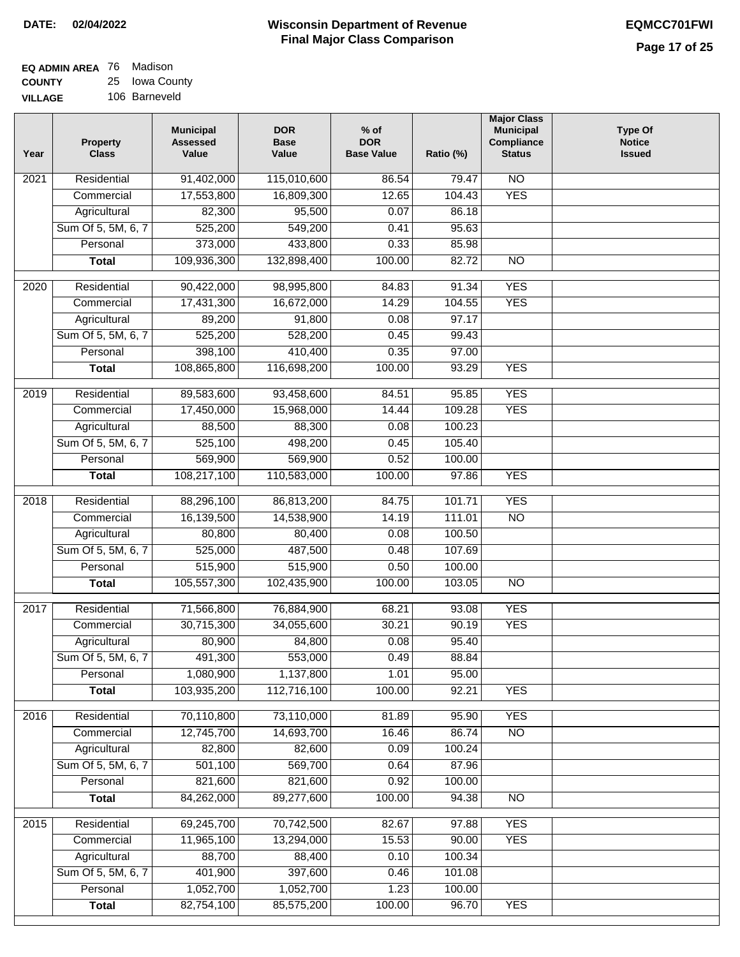$\Box$ 

| <b>EQ ADMIN AREA</b> 76 Madison |                |
|---------------------------------|----------------|
| <b>COUNTY</b>                   | 25 Iowa County |
| <b>VILLAGE</b>                  | 106 Barneveld  |

| Year | <b>Property</b><br><b>Class</b> | <b>Municipal</b><br><b>Assessed</b><br>Value | <b>DOR</b><br><b>Base</b><br>Value | $%$ of<br><b>DOR</b><br><b>Base Value</b> | Ratio (%)       | <b>Major Class</b><br><b>Municipal</b><br>Compliance<br><b>Status</b> | <b>Type Of</b><br><b>Notice</b><br><b>Issued</b> |
|------|---------------------------------|----------------------------------------------|------------------------------------|-------------------------------------------|-----------------|-----------------------------------------------------------------------|--------------------------------------------------|
| 2021 | Residential                     | 91,402,000                                   | 115,010,600                        | 86.54                                     | 79.47           | <b>NO</b>                                                             |                                                  |
|      | Commercial                      | 17,553,800                                   | 16,809,300                         | 12.65                                     | 104.43          | <b>YES</b>                                                            |                                                  |
|      | Agricultural                    | 82,300                                       | 95,500                             | 0.07                                      | 86.18           |                                                                       |                                                  |
|      | Sum Of 5, 5M, 6, 7              | 525,200                                      | 549,200                            | 0.41                                      | 95.63           |                                                                       |                                                  |
|      | Personal                        | 373,000                                      | 433,800                            | 0.33                                      | 85.98           |                                                                       |                                                  |
|      | <b>Total</b>                    | 109,936,300                                  | 132,898,400                        | 100.00                                    | 82.72           | $\overline{NO}$                                                       |                                                  |
| 2020 | Residential                     | 90,422,000                                   | 98,995,800                         | 84.83                                     | 91.34           | <b>YES</b>                                                            |                                                  |
|      | Commercial                      | 17,431,300                                   | 16,672,000                         | 14.29                                     | 104.55          | <b>YES</b>                                                            |                                                  |
|      | Agricultural                    | 89,200                                       | 91,800                             | 0.08                                      | 97.17           |                                                                       |                                                  |
|      | Sum Of 5, 5M, 6, 7              | 525,200                                      | 528,200                            | 0.45                                      | 99.43           |                                                                       |                                                  |
|      | Personal                        | 398,100                                      | 410,400                            | 0.35                                      | 97.00           |                                                                       |                                                  |
|      | <b>Total</b>                    | 108,865,800                                  | 116,698,200                        | 100.00                                    | 93.29           | <b>YES</b>                                                            |                                                  |
|      |                                 |                                              |                                    |                                           |                 |                                                                       |                                                  |
| 2019 | Residential                     | 89,583,600                                   | 93,458,600                         | 84.51                                     | 95.85           | <b>YES</b>                                                            |                                                  |
|      | Commercial                      | 17,450,000                                   | 15,968,000                         | 14.44                                     | 109.28          | <b>YES</b>                                                            |                                                  |
|      | Agricultural                    | 88,500                                       | 88,300                             | 0.08                                      | 100.23          |                                                                       |                                                  |
|      | Sum Of 5, 5M, 6, 7              | 525,100                                      | 498,200                            | 0.45                                      | 105.40          |                                                                       |                                                  |
|      | Personal                        | 569,900                                      | 569,900                            | 0.52                                      | 100.00          |                                                                       |                                                  |
|      | <b>Total</b>                    | 108,217,100                                  | 110,583,000                        | 100.00                                    | 97.86           | <b>YES</b>                                                            |                                                  |
| 2018 | Residential                     | 88,296,100                                   | 86,813,200                         | 84.75                                     | 101.71          | <b>YES</b>                                                            |                                                  |
|      | Commercial                      | 16,139,500                                   | 14,538,900                         | 14.19                                     | 111.01          | <b>NO</b>                                                             |                                                  |
|      | Agricultural                    | 80,800                                       | 80,400                             | 0.08                                      | 100.50          |                                                                       |                                                  |
|      | Sum Of 5, 5M, 6, 7              | 525,000                                      | 487,500                            | 0.48                                      | 107.69          |                                                                       |                                                  |
|      | Personal                        | 515,900                                      | 515,900                            | 0.50                                      | 100.00          |                                                                       |                                                  |
|      | <b>Total</b>                    | 105,557,300                                  | 102,435,900                        | 100.00                                    | 103.05          | N <sub>O</sub>                                                        |                                                  |
| 2017 | Residential                     | 71,566,800                                   | 76,884,900                         | 68.21                                     | 93.08           | <b>YES</b>                                                            |                                                  |
|      | Commercial                      | 30,715,300                                   | 34,055,600                         | 30.21                                     | 90.19           | <b>YES</b>                                                            |                                                  |
|      | Agricultural                    | 80,900                                       | 84,800                             | 0.08                                      | 95.40           |                                                                       |                                                  |
|      | Sum Of 5, 5M, 6, 7              | 491,300                                      | 553,000                            | 0.49                                      | 88.84           |                                                                       |                                                  |
|      | Personal                        | 1,080,900                                    | 1,137,800                          | 1.01                                      | 95.00           |                                                                       |                                                  |
|      | <b>Total</b>                    | 103,935,200                                  | 112,716,100                        | 100.00                                    | 92.21           | <b>YES</b>                                                            |                                                  |
| 2016 | Residential                     | 70,110,800                                   | 73,110,000                         | 81.89                                     | 95.90           | <b>YES</b>                                                            |                                                  |
|      | Commercial                      | 12,745,700                                   | 14,693,700                         | 16.46                                     | 86.74           | $\overline{NO}$                                                       |                                                  |
|      | Agricultural                    | 82,800                                       | 82,600                             | 0.09                                      | 100.24          |                                                                       |                                                  |
|      | Sum Of 5, 5M, 6, 7              | 501,100                                      | 569,700                            | 0.64                                      | 87.96           |                                                                       |                                                  |
|      | Personal                        | 821,600                                      | 821,600                            | 0.92                                      | 100.00          |                                                                       |                                                  |
|      | <b>Total</b>                    | 84,262,000                                   | 89,277,600                         | 100.00                                    | 94.38           | N <sub>O</sub>                                                        |                                                  |
|      |                                 |                                              |                                    |                                           |                 |                                                                       |                                                  |
| 2015 | Residential                     | 69,245,700                                   | 70,742,500                         | 82.67                                     | 97.88           | <b>YES</b>                                                            |                                                  |
|      | Commercial                      | 11,965,100                                   | 13,294,000                         | 15.53                                     | 90.00           | <b>YES</b>                                                            |                                                  |
|      | Agricultural                    | 88,700                                       | 88,400                             | 0.10                                      | 100.34          |                                                                       |                                                  |
|      | Sum Of 5, 5M, 6, 7              | 401,900<br>1,052,700                         | 397,600<br>1,052,700               | 0.46<br>1.23                              | 101.08          |                                                                       |                                                  |
|      | Personal                        | 82,754,100                                   | 85,575,200                         | 100.00                                    | 100.00<br>96.70 | <b>YES</b>                                                            |                                                  |
|      | <b>Total</b>                    |                                              |                                    |                                           |                 |                                                                       |                                                  |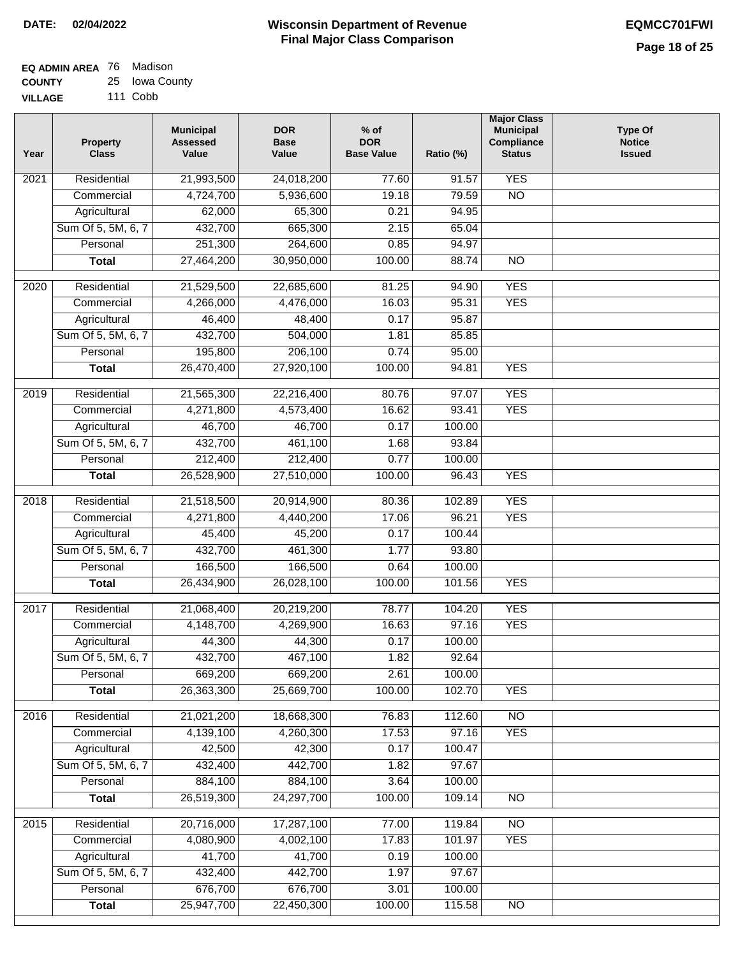| EQ ADMIN AREA 76 Madison |                |
|--------------------------|----------------|
| <b>COUNTY</b>            | 25 Iowa County |

**VILLAGE** 111 Cobb

| Year              | <b>Property</b><br><b>Class</b> | <b>Municipal</b><br><b>Assessed</b><br>Value | <b>DOR</b><br><b>Base</b><br>Value | % of<br><b>DOR</b><br><b>Base Value</b> | Ratio (%)       | <b>Major Class</b><br><b>Municipal</b><br>Compliance<br><b>Status</b> | <b>Type Of</b><br><b>Notice</b><br><b>Issued</b> |
|-------------------|---------------------------------|----------------------------------------------|------------------------------------|-----------------------------------------|-----------------|-----------------------------------------------------------------------|--------------------------------------------------|
| $\overline{202}1$ | Residential                     | 21,993,500                                   | 24,018,200                         | 77.60                                   | 91.57           | <b>YES</b>                                                            |                                                  |
|                   | Commercial                      | 4,724,700                                    | 5,936,600                          | 19.18                                   | 79.59           | $\overline{NO}$                                                       |                                                  |
|                   | Agricultural                    | 62,000                                       | 65,300                             | 0.21                                    | 94.95           |                                                                       |                                                  |
|                   | Sum Of 5, 5M, 6, 7              | 432,700                                      | 665,300                            | 2.15                                    | 65.04           |                                                                       |                                                  |
|                   | Personal                        | 251,300                                      | 264,600                            | 0.85                                    | 94.97           |                                                                       |                                                  |
|                   | <b>Total</b>                    | 27,464,200                                   | 30,950,000                         | 100.00                                  | 88.74           | $\overline{NO}$                                                       |                                                  |
| $\overline{2020}$ | Residential                     | 21,529,500                                   | 22,685,600                         | 81.25                                   | 94.90           | <b>YES</b>                                                            |                                                  |
|                   | Commercial                      | 4,266,000                                    | 4,476,000                          | 16.03                                   | 95.31           | <b>YES</b>                                                            |                                                  |
|                   | Agricultural                    | 46,400                                       | 48,400                             | 0.17                                    | 95.87           |                                                                       |                                                  |
|                   | Sum Of 5, 5M, 6, 7              | 432,700                                      | 504,000                            | 1.81                                    | 85.85           |                                                                       |                                                  |
|                   | Personal                        | 195,800                                      | 206,100                            | 0.74                                    | 95.00           |                                                                       |                                                  |
|                   | <b>Total</b>                    | 26,470,400                                   | 27,920,100                         | 100.00                                  | 94.81           | <b>YES</b>                                                            |                                                  |
| 2019              | Residential                     | 21,565,300                                   | 22,216,400                         | 80.76                                   | 97.07           | <b>YES</b>                                                            |                                                  |
|                   | Commercial                      | 4,271,800                                    | 4,573,400                          | 16.62                                   | 93.41           | <b>YES</b>                                                            |                                                  |
|                   | Agricultural                    | 46,700                                       | 46,700                             | 0.17                                    | 100.00          |                                                                       |                                                  |
|                   | Sum Of 5, 5M, 6, 7              | 432,700                                      | 461,100                            | 1.68                                    | 93.84           |                                                                       |                                                  |
|                   | Personal                        | 212,400                                      | 212,400                            | 0.77                                    | 100.00          |                                                                       |                                                  |
|                   | <b>Total</b>                    | 26,528,900                                   | 27,510,000                         | 100.00                                  | 96.43           | <b>YES</b>                                                            |                                                  |
|                   | Residential                     | 21,518,500                                   |                                    |                                         |                 | <b>YES</b>                                                            |                                                  |
| 2018              | Commercial                      | 4,271,800                                    | 20,914,900<br>4,440,200            | 80.36<br>17.06                          | 102.89<br>96.21 | <b>YES</b>                                                            |                                                  |
|                   | Agricultural                    | 45,400                                       | 45,200                             | 0.17                                    | 100.44          |                                                                       |                                                  |
|                   | Sum Of 5, 5M, 6, 7              | 432,700                                      | 461,300                            | 1.77                                    | 93.80           |                                                                       |                                                  |
|                   | Personal                        | 166,500                                      | 166,500                            | 0.64                                    | 100.00          |                                                                       |                                                  |
|                   | <b>Total</b>                    | 26,434,900                                   | 26,028,100                         | 100.00                                  | 101.56          | <b>YES</b>                                                            |                                                  |
|                   |                                 |                                              |                                    |                                         |                 |                                                                       |                                                  |
| 2017              | Residential                     | 21,068,400                                   | 20,219,200                         | 78.77                                   | 104.20          | <b>YES</b>                                                            |                                                  |
|                   | Commercial                      | 4,148,700                                    | 4,269,900                          | 16.63                                   | 97.16           | <b>YES</b>                                                            |                                                  |
|                   | Agricultural                    | 44,300                                       | 44,300                             | 0.17                                    | 100.00          |                                                                       |                                                  |
|                   | Sum Of 5, 5M, 6, 7              | 432,700                                      | 467,100                            | 1.82                                    | 92.64           |                                                                       |                                                  |
|                   | Personal                        | 669,200                                      | 669,200                            | 2.61                                    | 100.00          |                                                                       |                                                  |
|                   | <b>Total</b>                    | 26,363,300                                   | 25,669,700                         | 100.00                                  | 102.70          | <b>YES</b>                                                            |                                                  |
| 2016              | Residential                     | 21,021,200                                   | 18,668,300                         | 76.83                                   | 112.60          | N <sub>O</sub>                                                        |                                                  |
|                   | Commercial                      | 4,139,100                                    | 4,260,300                          | 17.53                                   | 97.16           | <b>YES</b>                                                            |                                                  |
|                   | Agricultural                    | 42,500                                       | 42,300                             | 0.17                                    | 100.47          |                                                                       |                                                  |
|                   | Sum Of 5, 5M, 6, 7              | 432,400                                      | 442,700                            | 1.82                                    | 97.67           |                                                                       |                                                  |
|                   | Personal                        | 884,100                                      | 884,100                            | 3.64                                    | 100.00          |                                                                       |                                                  |
|                   | <b>Total</b>                    | 26,519,300                                   | 24,297,700                         | 100.00                                  | 109.14          | $\overline{NO}$                                                       |                                                  |
| 2015              | Residential                     | 20,716,000                                   | 17,287,100                         | 77.00                                   | 119.84          | <b>NO</b>                                                             |                                                  |
|                   | Commercial                      | 4,080,900                                    | 4,002,100                          | 17.83                                   | 101.97          | <b>YES</b>                                                            |                                                  |
|                   | Agricultural                    | 41,700                                       | 41,700                             | 0.19                                    | 100.00          |                                                                       |                                                  |
|                   | Sum Of 5, 5M, 6, 7              | 432,400                                      | 442,700                            | 1.97                                    | 97.67           |                                                                       |                                                  |
|                   | Personal                        | 676,700                                      | 676,700                            | 3.01                                    | 100.00          |                                                                       |                                                  |
|                   | <b>Total</b>                    | 25,947,700                                   | 22,450,300                         | 100.00                                  | 115.58          | N <sub>O</sub>                                                        |                                                  |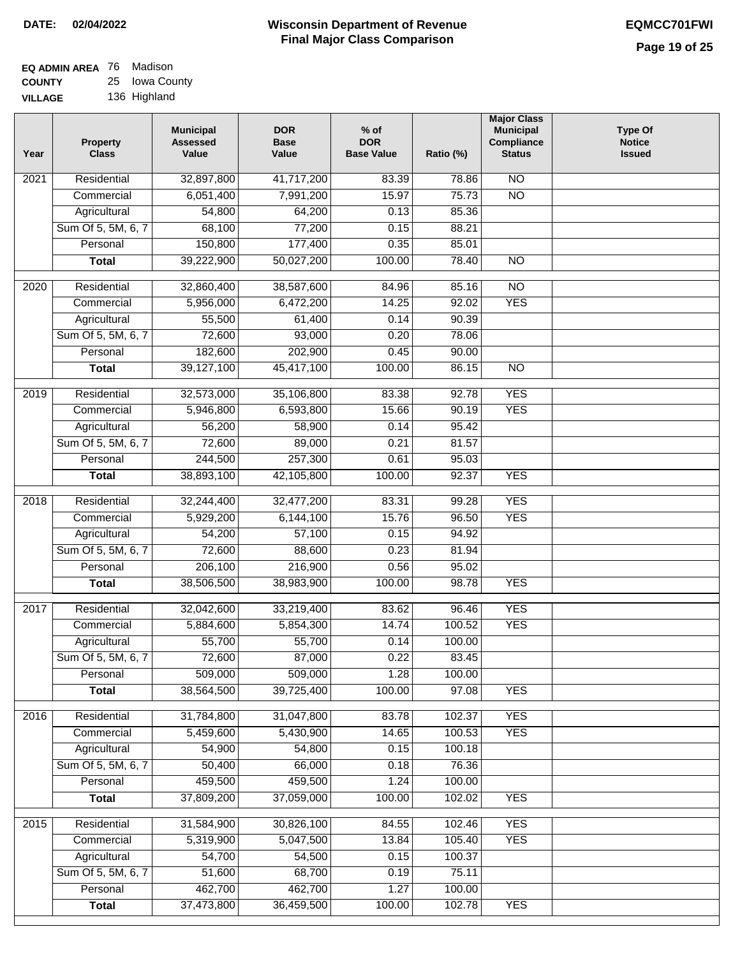| EQ ADMIN AREA 76 | Madison        |
|------------------|----------------|
| <b>COUNTY</b>    | 25 Iowa County |
| <b>VILLAGE</b>   | 136 Highland   |

| Year | <b>Property</b><br><b>Class</b> | <b>Municipal</b><br><b>Assessed</b><br>Value | <b>DOR</b><br><b>Base</b><br>Value | $%$ of<br><b>DOR</b><br><b>Base Value</b> | Ratio (%) | <b>Major Class</b><br><b>Municipal</b><br>Compliance<br><b>Status</b> | <b>Type Of</b><br><b>Notice</b><br><b>Issued</b> |
|------|---------------------------------|----------------------------------------------|------------------------------------|-------------------------------------------|-----------|-----------------------------------------------------------------------|--------------------------------------------------|
| 2021 | Residential                     | 32,897,800                                   | 41,717,200                         | 83.39                                     | 78.86     | <b>NO</b>                                                             |                                                  |
|      | Commercial                      | 6,051,400                                    | 7,991,200                          | 15.97                                     | 75.73     | $\overline{NO}$                                                       |                                                  |
|      | Agricultural                    | 54,800                                       | 64,200                             | 0.13                                      | 85.36     |                                                                       |                                                  |
|      | Sum Of 5, 5M, 6, 7              | 68,100                                       | 77,200                             | 0.15                                      | 88.21     |                                                                       |                                                  |
|      | Personal                        | 150,800                                      | 177,400                            | 0.35                                      | 85.01     |                                                                       |                                                  |
|      | <b>Total</b>                    | 39,222,900                                   | 50,027,200                         | 100.00                                    | 78.40     | $\overline{NO}$                                                       |                                                  |
| 2020 | Residential                     | 32,860,400                                   | 38,587,600                         | 84.96                                     | 85.16     | $\overline{10}$                                                       |                                                  |
|      | Commercial                      | 5,956,000                                    | 6,472,200                          | 14.25                                     | 92.02     | <b>YES</b>                                                            |                                                  |
|      | Agricultural                    | 55,500                                       | 61,400                             | 0.14                                      | 90.39     |                                                                       |                                                  |
|      | Sum Of 5, 5M, 6, 7              | 72,600                                       | 93,000                             | 0.20                                      | 78.06     |                                                                       |                                                  |
|      | Personal                        | 182,600                                      | 202,900                            | 0.45                                      | 90.00     |                                                                       |                                                  |
|      | <b>Total</b>                    | 39,127,100                                   | 45,417,100                         | 100.00                                    | 86.15     | $\overline{NO}$                                                       |                                                  |
| 2019 | Residential                     | 32,573,000                                   | 35,106,800                         | 83.38                                     | 92.78     | <b>YES</b>                                                            |                                                  |
|      | Commercial                      | 5,946,800                                    | 6,593,800                          | 15.66                                     | 90.19     | <b>YES</b>                                                            |                                                  |
|      | Agricultural                    | 56,200                                       | 58,900                             | 0.14                                      | 95.42     |                                                                       |                                                  |
|      | Sum Of 5, 5M, 6, 7              | 72,600                                       | 89,000                             | 0.21                                      | 81.57     |                                                                       |                                                  |
|      | Personal                        | 244,500                                      | 257,300                            | 0.61                                      | 95.03     |                                                                       |                                                  |
|      | <b>Total</b>                    | 38,893,100                                   | 42,105,800                         | 100.00                                    | 92.37     | <b>YES</b>                                                            |                                                  |
| 2018 | Residential                     | 32,244,400                                   | 32,477,200                         | 83.31                                     | 99.28     | <b>YES</b>                                                            |                                                  |
|      | Commercial                      | 5,929,200                                    | 6,144,100                          | 15.76                                     | 96.50     | <b>YES</b>                                                            |                                                  |
|      | Agricultural                    | 54,200                                       | 57,100                             | 0.15                                      | 94.92     |                                                                       |                                                  |
|      | Sum Of 5, 5M, 6, 7              | 72,600                                       | 88,600                             | 0.23                                      | 81.94     |                                                                       |                                                  |
|      | Personal                        | 206,100                                      | 216,900                            | 0.56                                      | 95.02     |                                                                       |                                                  |
|      | <b>Total</b>                    | 38,506,500                                   | 38,983,900                         | 100.00                                    | 98.78     | <b>YES</b>                                                            |                                                  |
|      |                                 |                                              |                                    |                                           |           |                                                                       |                                                  |
| 2017 | Residential                     | 32,042,600                                   | 33,219,400                         | 83.62                                     | 96.46     | <b>YES</b>                                                            |                                                  |
|      | Commercial                      | 5,884,600                                    | 5,854,300                          | 14.74                                     | 100.52    | <b>YES</b>                                                            |                                                  |
|      | Agricultural                    | 55,700                                       | 55,700                             | 0.14                                      | 100.00    |                                                                       |                                                  |
|      | Sum Of 5, 5M, 6, 7              | 72,600                                       | 87,000                             | 0.22                                      | 83.45     |                                                                       |                                                  |
|      | Personal                        | 509,000                                      | 509,000                            | 1.28                                      | 100.00    |                                                                       |                                                  |
|      | <b>Total</b>                    | 38,564,500                                   | 39,725,400                         | 100.00                                    | 97.08     | <b>YES</b>                                                            |                                                  |
| 2016 | Residential                     | 31,784,800                                   | 31,047,800                         | 83.78                                     | 102.37    | <b>YES</b>                                                            |                                                  |
|      | Commercial                      | 5,459,600                                    | 5,430,900                          | 14.65                                     | 100.53    | <b>YES</b>                                                            |                                                  |
|      | Agricultural                    | 54,900                                       | 54,800                             | 0.15                                      | 100.18    |                                                                       |                                                  |
|      | Sum Of 5, 5M, 6, 7              | 50,400                                       | 66,000                             | 0.18                                      | 76.36     |                                                                       |                                                  |
|      | Personal                        | 459,500                                      | 459,500                            | 1.24                                      | 100.00    |                                                                       |                                                  |
|      | <b>Total</b>                    | 37,809,200                                   | 37,059,000                         | 100.00                                    | 102.02    | <b>YES</b>                                                            |                                                  |
| 2015 | Residential                     | 31,584,900                                   | 30,826,100                         | 84.55                                     | 102.46    | <b>YES</b>                                                            |                                                  |
|      | Commercial                      | 5,319,900                                    | 5,047,500                          | 13.84                                     | 105.40    | <b>YES</b>                                                            |                                                  |
|      | Agricultural                    | 54,700                                       | 54,500                             | 0.15                                      | 100.37    |                                                                       |                                                  |
|      | Sum Of 5, 5M, 6, 7              | 51,600                                       | 68,700                             | 0.19                                      | 75.11     |                                                                       |                                                  |
|      | Personal                        | 462,700                                      | 462,700                            | 1.27                                      | 100.00    |                                                                       |                                                  |
|      | <b>Total</b>                    | 37,473,800                                   | 36,459,500                         | 100.00                                    | 102.78    | <b>YES</b>                                                            |                                                  |
|      |                                 |                                              |                                    |                                           |           |                                                                       |                                                  |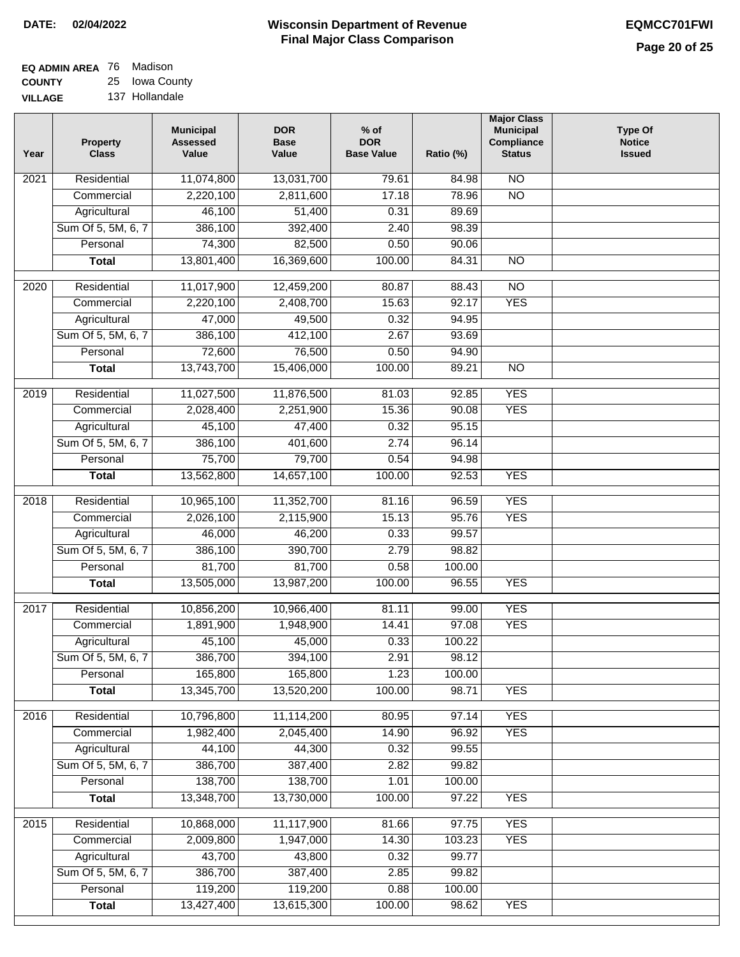| <b>EQ ADMIN AREA</b> 76 Madison |                |
|---------------------------------|----------------|
| <b>COUNTY</b>                   | 25 Iowa County |
|                                 |                |

**VILLAGE** 137 Hollandale

| Year | <b>Property</b><br><b>Class</b> | <b>Municipal</b><br><b>Assessed</b><br>Value | <b>DOR</b><br><b>Base</b><br>Value | $%$ of<br><b>DOR</b><br><b>Base Value</b> | Ratio (%) | <b>Major Class</b><br><b>Municipal</b><br>Compliance<br><b>Status</b> | <b>Type Of</b><br><b>Notice</b><br><b>Issued</b> |
|------|---------------------------------|----------------------------------------------|------------------------------------|-------------------------------------------|-----------|-----------------------------------------------------------------------|--------------------------------------------------|
| 2021 | Residential                     | 11,074,800                                   | 13,031,700                         | 79.61                                     | 84.98     | $\overline{NO}$                                                       |                                                  |
|      | Commercial                      | 2,220,100                                    | 2,811,600                          | 17.18                                     | 78.96     | $\overline{NO}$                                                       |                                                  |
|      | Agricultural                    | 46,100                                       | 51,400                             | 0.31                                      | 89.69     |                                                                       |                                                  |
|      | Sum Of 5, 5M, 6, 7              | 386,100                                      | 392,400                            | 2.40                                      | 98.39     |                                                                       |                                                  |
|      | Personal                        | 74,300                                       | 82,500                             | 0.50                                      | 90.06     |                                                                       |                                                  |
|      | <b>Total</b>                    | 13,801,400                                   | 16,369,600                         | 100.00                                    | 84.31     | $\overline{NO}$                                                       |                                                  |
| 2020 | Residential                     | 11,017,900                                   | 12,459,200                         | 80.87                                     | 88.43     | $\overline{NO}$                                                       |                                                  |
|      | Commercial                      | 2,220,100                                    | 2,408,700                          | 15.63                                     | 92.17     | <b>YES</b>                                                            |                                                  |
|      | Agricultural                    | 47,000                                       | 49,500                             | 0.32                                      | 94.95     |                                                                       |                                                  |
|      | Sum Of 5, 5M, 6, 7              | 386,100                                      | 412,100                            | 2.67                                      | 93.69     |                                                                       |                                                  |
|      | Personal                        | 72,600                                       | 76,500                             | 0.50                                      | 94.90     |                                                                       |                                                  |
|      | <b>Total</b>                    | 13,743,700                                   | 15,406,000                         | 100.00                                    | 89.21     | $\overline{NO}$                                                       |                                                  |
| 2019 | Residential                     | 11,027,500                                   | 11,876,500                         | 81.03                                     | 92.85     | <b>YES</b>                                                            |                                                  |
|      | Commercial                      | 2,028,400                                    | 2,251,900                          | 15.36                                     | 90.08     | <b>YES</b>                                                            |                                                  |
|      | Agricultural                    | 45,100                                       | 47,400                             | 0.32                                      | 95.15     |                                                                       |                                                  |
|      | Sum Of 5, 5M, 6, 7              | 386,100                                      | 401,600                            | 2.74                                      | 96.14     |                                                                       |                                                  |
|      | Personal                        | 75,700                                       | 79,700                             | 0.54                                      | 94.98     |                                                                       |                                                  |
|      | <b>Total</b>                    | 13,562,800                                   | 14,657,100                         | 100.00                                    | 92.53     | <b>YES</b>                                                            |                                                  |
|      |                                 |                                              |                                    |                                           |           |                                                                       |                                                  |
| 2018 | Residential                     | 10,965,100                                   | 11,352,700                         | 81.16                                     | 96.59     | <b>YES</b>                                                            |                                                  |
|      | Commercial                      | 2,026,100                                    | 2,115,900                          | 15.13                                     | 95.76     | <b>YES</b>                                                            |                                                  |
|      | Agricultural                    | 46,000                                       | 46,200                             | 0.33                                      | 99.57     |                                                                       |                                                  |
|      | Sum Of 5, 5M, 6, 7              | 386,100                                      | 390,700                            | 2.79                                      | 98.82     |                                                                       |                                                  |
|      | Personal                        | 81,700                                       | 81,700                             | 0.58                                      | 100.00    |                                                                       |                                                  |
|      | <b>Total</b>                    | 13,505,000                                   | 13,987,200                         | 100.00                                    | 96.55     | <b>YES</b>                                                            |                                                  |
| 2017 | Residential                     | 10,856,200                                   | 10,966,400                         | 81.11                                     | 99.00     | <b>YES</b>                                                            |                                                  |
|      | Commercial                      | 1,891,900                                    | 1,948,900                          | 14.41                                     | 97.08     | <b>YES</b>                                                            |                                                  |
|      | Agricultural                    | 45,100                                       | 45,000                             | 0.33                                      | 100.22    |                                                                       |                                                  |
|      | Sum Of 5, 5M, 6, 7              | 386,700                                      | 394,100                            | 2.91                                      | 98.12     |                                                                       |                                                  |
|      | Personal                        | 165,800                                      | 165,800                            | 1.23                                      | 100.00    |                                                                       |                                                  |
|      | <b>Total</b>                    | 13,345,700                                   | 13,520,200                         | 100.00                                    | 98.71     | <b>YES</b>                                                            |                                                  |
| 2016 | Residential                     | 10,796,800                                   | 11,114,200                         | 80.95                                     | 97.14     | <b>YES</b>                                                            |                                                  |
|      | Commercial                      | 1,982,400                                    | 2,045,400                          | 14.90                                     | 96.92     | <b>YES</b>                                                            |                                                  |
|      | Agricultural                    | 44,100                                       | 44,300                             | 0.32                                      | 99.55     |                                                                       |                                                  |
|      | Sum Of 5, 5M, 6, 7              | 386,700                                      | 387,400                            | 2.82                                      | 99.82     |                                                                       |                                                  |
|      | Personal                        | 138,700                                      | 138,700                            | 1.01                                      | 100.00    |                                                                       |                                                  |
|      | <b>Total</b>                    | 13,348,700                                   | 13,730,000                         | 100.00                                    | 97.22     | <b>YES</b>                                                            |                                                  |
|      |                                 |                                              |                                    |                                           |           |                                                                       |                                                  |
| 2015 | Residential                     | 10,868,000                                   | 11,117,900                         | 81.66                                     | 97.75     | <b>YES</b>                                                            |                                                  |
|      | Commercial                      | 2,009,800                                    | 1,947,000                          | 14.30                                     | 103.23    | <b>YES</b>                                                            |                                                  |
|      | Agricultural                    | 43,700                                       | 43,800                             | 0.32                                      | 99.77     |                                                                       |                                                  |
|      | Sum Of 5, 5M, 6, 7              | 386,700                                      | 387,400                            | 2.85                                      | 99.82     |                                                                       |                                                  |
|      | Personal                        | 119,200                                      | 119,200                            | 0.88                                      | 100.00    |                                                                       |                                                  |
|      | <b>Total</b>                    | 13,427,400                                   | 13,615,300                         | 100.00                                    | 98.62     | <b>YES</b>                                                            |                                                  |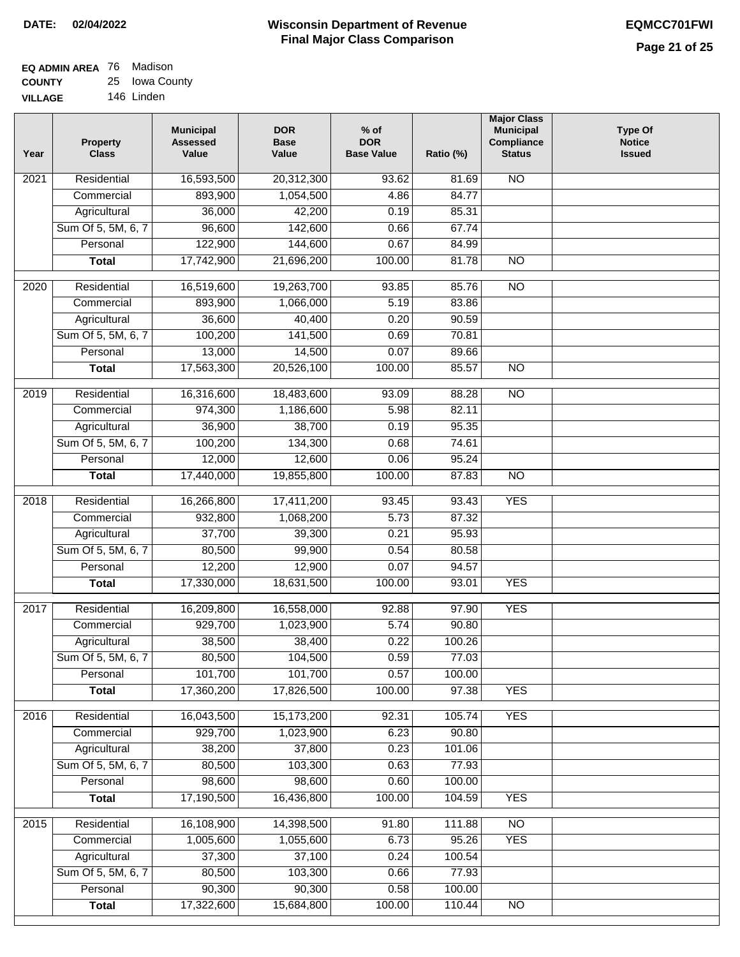| <b>EQ ADMIN AREA</b> 76 Madison |                |
|---------------------------------|----------------|
| <b>COUNTY</b>                   | 25 Iowa County |
| <b>VILLAGE</b>                  | 146 Linden     |

| Year              | <b>Property</b><br><b>Class</b> | <b>Municipal</b><br><b>Assessed</b><br>Value | <b>DOR</b><br><b>Base</b><br>Value | $%$ of<br><b>DOR</b><br><b>Base Value</b> | Ratio (%) | <b>Major Class</b><br><b>Municipal</b><br>Compliance<br><b>Status</b> | <b>Type Of</b><br><b>Notice</b><br><b>Issued</b> |
|-------------------|---------------------------------|----------------------------------------------|------------------------------------|-------------------------------------------|-----------|-----------------------------------------------------------------------|--------------------------------------------------|
| $\overline{202}1$ | Residential                     | 16,593,500                                   | 20,312,300                         | 93.62                                     | 81.69     | $\overline{NO}$                                                       |                                                  |
|                   | Commercial                      | 893,900                                      | 1,054,500                          | 4.86                                      | 84.77     |                                                                       |                                                  |
|                   | Agricultural                    | 36,000                                       | 42,200                             | 0.19                                      | 85.31     |                                                                       |                                                  |
|                   | Sum Of 5, 5M, 6, 7              | 96,600                                       | 142,600                            | 0.66                                      | 67.74     |                                                                       |                                                  |
|                   | Personal                        | 122,900                                      | 144,600                            | 0.67                                      | 84.99     |                                                                       |                                                  |
|                   | <b>Total</b>                    | 17,742,900                                   | 21,696,200                         | 100.00                                    | 81.78     | $\overline{NO}$                                                       |                                                  |
| 2020              | Residential                     | 16,519,600                                   | 19,263,700                         | 93.85                                     | 85.76     | $\overline{NO}$                                                       |                                                  |
|                   | Commercial                      | 893,900                                      | 1,066,000                          | 5.19                                      | 83.86     |                                                                       |                                                  |
|                   | Agricultural                    | 36,600                                       | 40,400                             | 0.20                                      | 90.59     |                                                                       |                                                  |
|                   | Sum Of 5, 5M, 6, 7              | 100,200                                      | 141,500                            | 0.69                                      | 70.81     |                                                                       |                                                  |
|                   | Personal                        | 13,000                                       | 14,500                             | 0.07                                      | 89.66     |                                                                       |                                                  |
|                   | <b>Total</b>                    | 17,563,300                                   | 20,526,100                         | 100.00                                    | 85.57     | $\overline{NO}$                                                       |                                                  |
|                   |                                 |                                              |                                    |                                           |           |                                                                       |                                                  |
| 2019              | Residential                     | 16,316,600                                   | 18,483,600                         | 93.09                                     | 88.28     | $\overline{NO}$                                                       |                                                  |
|                   | Commercial                      | 974,300                                      | 1,186,600                          | 5.98                                      | 82.11     |                                                                       |                                                  |
|                   | Agricultural                    | 36,900                                       | 38,700                             | 0.19                                      | 95.35     |                                                                       |                                                  |
|                   | Sum Of 5, 5M, 6, 7              | 100,200                                      | 134,300                            | 0.68                                      | 74.61     |                                                                       |                                                  |
|                   | Personal                        | 12,000                                       | 12,600                             | 0.06                                      | 95.24     |                                                                       |                                                  |
|                   | <b>Total</b>                    | 17,440,000                                   | 19,855,800                         | 100.00                                    | 87.83     | $\overline{NO}$                                                       |                                                  |
| 2018              | Residential                     | 16,266,800                                   | 17,411,200                         | 93.45                                     | 93.43     | <b>YES</b>                                                            |                                                  |
|                   | Commercial                      | 932,800                                      | 1,068,200                          | 5.73                                      | 87.32     |                                                                       |                                                  |
|                   | Agricultural                    | 37,700                                       | 39,300                             | 0.21                                      | 95.93     |                                                                       |                                                  |
|                   | Sum Of 5, 5M, 6, 7              | 80,500                                       | 99,900                             | 0.54                                      | 80.58     |                                                                       |                                                  |
|                   | Personal                        | 12,200                                       | 12,900                             | 0.07                                      | 94.57     |                                                                       |                                                  |
|                   | <b>Total</b>                    | 17,330,000                                   | 18,631,500                         | 100.00                                    | 93.01     | <b>YES</b>                                                            |                                                  |
| $\overline{2017}$ | Residential                     | 16,209,800                                   | 16,558,000                         | 92.88                                     | 97.90     | <b>YES</b>                                                            |                                                  |
|                   | Commercial                      | 929,700                                      | 1,023,900                          | 5.74                                      | 90.80     |                                                                       |                                                  |
|                   | Agricultural                    | 38,500                                       | 38,400                             | 0.22                                      | 100.26    |                                                                       |                                                  |
|                   | Sum Of 5, 5M, 6, 7              | 80,500                                       | 104,500                            | 0.59                                      | 77.03     |                                                                       |                                                  |
|                   | Personal                        | 101,700                                      | 101,700                            | 0.57                                      | 100.00    |                                                                       |                                                  |
|                   | <b>Total</b>                    | 17,360,200                                   | 17,826,500                         | 100.00                                    | 97.38     | <b>YES</b>                                                            |                                                  |
| 2016              | Residential                     | 16,043,500                                   | 15,173,200                         | 92.31                                     | 105.74    | <b>YES</b>                                                            |                                                  |
|                   | Commercial                      | 929,700                                      | 1,023,900                          | 6.23                                      | 90.80     |                                                                       |                                                  |
|                   | Agricultural                    | 38,200                                       | 37,800                             | 0.23                                      | 101.06    |                                                                       |                                                  |
|                   | Sum Of 5, 5M, 6, 7              | 80,500                                       | 103,300                            | 0.63                                      | 77.93     |                                                                       |                                                  |
|                   | Personal                        | 98,600                                       | 98,600                             | 0.60                                      | 100.00    |                                                                       |                                                  |
|                   | <b>Total</b>                    | 17,190,500                                   | 16,436,800                         | 100.00                                    | 104.59    | <b>YES</b>                                                            |                                                  |
| 2015              | Residential                     | 16,108,900                                   | 14,398,500                         | 91.80                                     | 111.88    | N <sub>O</sub>                                                        |                                                  |
|                   | Commercial                      | 1,005,600                                    | 1,055,600                          | 6.73                                      | 95.26     | <b>YES</b>                                                            |                                                  |
|                   | Agricultural                    | 37,300                                       | 37,100                             | 0.24                                      | 100.54    |                                                                       |                                                  |
|                   | Sum Of 5, 5M, 6, 7              | 80,500                                       | 103,300                            | 0.66                                      | 77.93     |                                                                       |                                                  |
|                   | Personal                        | 90,300                                       | 90,300                             | 0.58                                      | 100.00    |                                                                       |                                                  |
|                   | <b>Total</b>                    | 17,322,600                                   | 15,684,800                         | 100.00                                    | 110.44    | $\overline{NO}$                                                       |                                                  |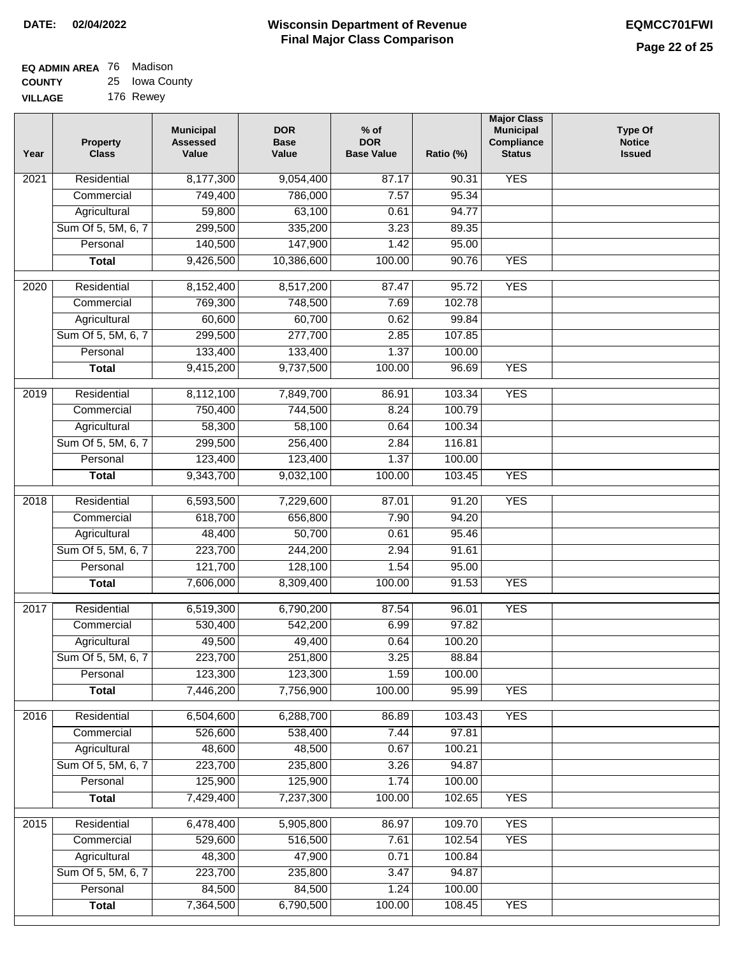| <b>EQ ADMIN AREA 76 Madison</b> |                |
|---------------------------------|----------------|
| <b>COUNTY</b>                   | 25 Iowa County |
| <b>VILLAGE</b>                  | 176 Rewey      |

| Year | <b>Property</b><br><b>Class</b> | <b>Municipal</b><br><b>Assessed</b><br>Value | <b>DOR</b><br><b>Base</b><br>Value | $%$ of<br><b>DOR</b><br><b>Base Value</b> | Ratio (%)        | <b>Major Class</b><br><b>Municipal</b><br>Compliance<br><b>Status</b> | <b>Type Of</b><br><b>Notice</b><br><b>Issued</b> |
|------|---------------------------------|----------------------------------------------|------------------------------------|-------------------------------------------|------------------|-----------------------------------------------------------------------|--------------------------------------------------|
| 2021 | Residential                     | 8,177,300                                    | 9,054,400                          | 87.17                                     | 90.31            | <b>YES</b>                                                            |                                                  |
|      | Commercial                      | 749,400                                      | 786,000                            | 7.57                                      | 95.34            |                                                                       |                                                  |
|      | Agricultural                    | 59,800                                       | 63,100                             | 0.61                                      | 94.77            |                                                                       |                                                  |
|      | Sum Of 5, 5M, 6, 7              | 299,500                                      | 335,200                            | 3.23                                      | 89.35            |                                                                       |                                                  |
|      | Personal                        | 140,500                                      | 147,900                            | 1.42                                      | 95.00            |                                                                       |                                                  |
|      | <b>Total</b>                    | 9,426,500                                    | 10,386,600                         | 100.00                                    | 90.76            | <b>YES</b>                                                            |                                                  |
| 2020 | Residential                     | 8,152,400                                    | 8,517,200                          | 87.47                                     | 95.72            | <b>YES</b>                                                            |                                                  |
|      | Commercial                      | 769,300                                      | 748,500                            | 7.69                                      | 102.78           |                                                                       |                                                  |
|      | Agricultural                    | 60,600                                       | 60,700                             | 0.62                                      | 99.84            |                                                                       |                                                  |
|      | Sum Of 5, 5M, 6, 7              | 299,500                                      | 277,700                            | 2.85                                      | 107.85           |                                                                       |                                                  |
|      | Personal                        | 133,400                                      | 133,400                            | 1.37                                      | 100.00           |                                                                       |                                                  |
|      | <b>Total</b>                    | 9,415,200                                    | 9,737,500                          | 100.00                                    | 96.69            | <b>YES</b>                                                            |                                                  |
|      |                                 |                                              |                                    |                                           |                  |                                                                       |                                                  |
| 2019 | Residential                     | 8,112,100                                    | 7,849,700                          | 86.91<br>8.24                             | 103.34<br>100.79 | <b>YES</b>                                                            |                                                  |
|      | Commercial                      | 750,400                                      | 744,500                            |                                           | 100.34           |                                                                       |                                                  |
|      | Agricultural                    | 58,300                                       | 58,100                             | 0.64                                      |                  |                                                                       |                                                  |
|      | Sum Of 5, 5M, 6, 7              | 299,500                                      | 256,400                            | 2.84                                      | 116.81           |                                                                       |                                                  |
|      | Personal                        | 123,400                                      | 123,400                            | 1.37                                      | 100.00           |                                                                       |                                                  |
|      | <b>Total</b>                    | 9,343,700                                    | 9,032,100                          | 100.00                                    | 103.45           | <b>YES</b>                                                            |                                                  |
| 2018 | Residential                     | 6,593,500                                    | 7,229,600                          | 87.01                                     | 91.20            | <b>YES</b>                                                            |                                                  |
|      | Commercial                      | 618,700                                      | 656,800                            | 7.90                                      | 94.20            |                                                                       |                                                  |
|      | Agricultural                    | 48,400                                       | 50,700                             | 0.61                                      | 95.46            |                                                                       |                                                  |
|      | Sum Of 5, 5M, 6, 7              | 223,700                                      | 244,200                            | 2.94                                      | 91.61            |                                                                       |                                                  |
|      | Personal                        | 121,700                                      | 128,100                            | 1.54                                      | 95.00            |                                                                       |                                                  |
|      | <b>Total</b>                    | 7,606,000                                    | 8,309,400                          | 100.00                                    | 91.53            | <b>YES</b>                                                            |                                                  |
| 2017 | Residential                     | 6,519,300                                    | 6,790,200                          | 87.54                                     | 96.01            | <b>YES</b>                                                            |                                                  |
|      | Commercial                      | 530,400                                      | 542,200                            | 6.99                                      | 97.82            |                                                                       |                                                  |
|      | Agricultural                    | 49,500                                       | 49,400                             | 0.64                                      | 100.20           |                                                                       |                                                  |
|      | Sum Of 5, 5M, 6, 7              | 223,700                                      | 251,800                            | 3.25                                      | 88.84            |                                                                       |                                                  |
|      | Personal                        | 123,300                                      | 123,300                            | 1.59                                      | 100.00           |                                                                       |                                                  |
|      | <b>Total</b>                    | 7,446,200                                    | 7,756,900                          | 100.00                                    | 95.99            | <b>YES</b>                                                            |                                                  |
| 2016 | Residential                     | 6,504,600                                    | 6,288,700                          | 86.89                                     | 103.43           | <b>YES</b>                                                            |                                                  |
|      | Commercial                      | 526,600                                      | 538,400                            | 7.44                                      | 97.81            |                                                                       |                                                  |
|      | Agricultural                    | 48,600                                       | 48,500                             | 0.67                                      | 100.21           |                                                                       |                                                  |
|      | Sum Of 5, 5M, 6, 7              | 223,700                                      | 235,800                            | 3.26                                      | 94.87            |                                                                       |                                                  |
|      | Personal                        | 125,900                                      | 125,900                            | 1.74                                      | 100.00           |                                                                       |                                                  |
|      | <b>Total</b>                    | 7,429,400                                    | 7,237,300                          | 100.00                                    | 102.65           | <b>YES</b>                                                            |                                                  |
|      |                                 |                                              |                                    |                                           |                  |                                                                       |                                                  |
| 2015 | Residential<br>Commercial       | 6,478,400<br>529,600                         | 5,905,800<br>516,500               | 86.97<br>7.61                             | 109.70<br>102.54 | <b>YES</b><br><b>YES</b>                                              |                                                  |
|      | Agricultural                    | 48,300                                       | 47,900                             | 0.71                                      | 100.84           |                                                                       |                                                  |
|      | Sum Of 5, 5M, 6, 7              | 223,700                                      | 235,800                            | 3.47                                      | 94.87            |                                                                       |                                                  |
|      | Personal                        | 84,500                                       | 84,500                             | 1.24                                      | 100.00           |                                                                       |                                                  |
|      | <b>Total</b>                    | 7,364,500                                    | 6,790,500                          | 100.00                                    | 108.45           | <b>YES</b>                                                            |                                                  |
|      |                                 |                                              |                                    |                                           |                  |                                                                       |                                                  |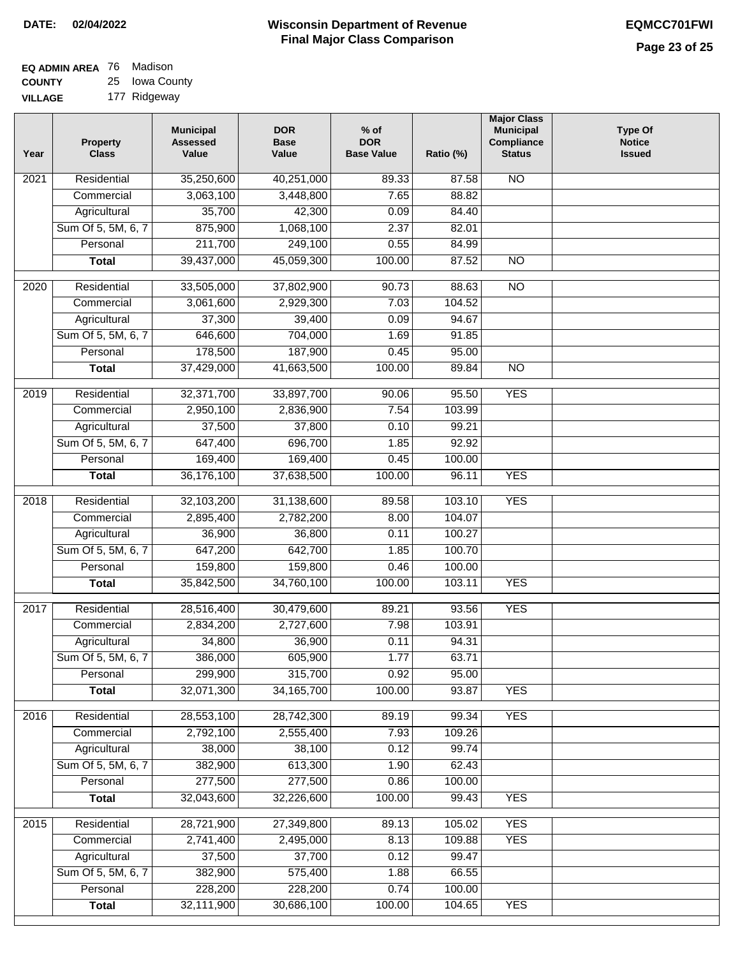| <b>EQ ADMIN AREA 76 Madison</b> |                |
|---------------------------------|----------------|
| <b>COUNTY</b>                   | 25 Iowa County |

**VILLAGE** 177 Ridgeway

| Year | <b>Property</b><br><b>Class</b>    | <b>Municipal</b><br><b>Assessed</b><br>Value | <b>DOR</b><br><b>Base</b><br>Value | $%$ of<br><b>DOR</b><br><b>Base Value</b> | Ratio (%)       | <b>Major Class</b><br><b>Municipal</b><br>Compliance<br><b>Status</b> | <b>Type Of</b><br><b>Notice</b><br><b>Issued</b> |
|------|------------------------------------|----------------------------------------------|------------------------------------|-------------------------------------------|-----------------|-----------------------------------------------------------------------|--------------------------------------------------|
| 2021 | Residential                        | 35,250,600                                   | 40,251,000                         | 89.33                                     | 87.58           | <b>NO</b>                                                             |                                                  |
|      | Commercial                         | 3,063,100                                    | 3,448,800                          | 7.65                                      | 88.82           |                                                                       |                                                  |
|      | Agricultural                       | 35,700                                       | 42,300                             | 0.09                                      | 84.40           |                                                                       |                                                  |
|      | Sum Of 5, 5M, 6, 7                 | 875,900                                      | 1,068,100                          | 2.37                                      | 82.01           |                                                                       |                                                  |
|      | Personal                           | 211,700                                      | 249,100                            | 0.55                                      | 84.99           |                                                                       |                                                  |
|      | <b>Total</b>                       | 39,437,000                                   | 45,059,300                         | 100.00                                    | 87.52           | $\overline{NO}$                                                       |                                                  |
| 2020 | Residential                        | 33,505,000                                   | 37,802,900                         | 90.73                                     | 88.63           | $\overline{NO}$                                                       |                                                  |
|      | Commercial                         | 3,061,600                                    | 2,929,300                          | 7.03                                      | 104.52          |                                                                       |                                                  |
|      | Agricultural                       | 37,300                                       | 39,400                             | 0.09                                      | 94.67           |                                                                       |                                                  |
|      | Sum Of 5, 5M, 6, 7                 | 646,600                                      | 704,000                            | 1.69                                      | 91.85           |                                                                       |                                                  |
|      | Personal                           | 178,500                                      | 187,900                            | 0.45                                      | 95.00           |                                                                       |                                                  |
|      | <b>Total</b>                       | 37,429,000                                   | 41,663,500                         | 100.00                                    | 89.84           | $\overline{NO}$                                                       |                                                  |
|      |                                    |                                              |                                    |                                           |                 |                                                                       |                                                  |
| 2019 | Residential                        | 32,371,700                                   | 33,897,700                         | 90.06                                     | 95.50           | <b>YES</b>                                                            |                                                  |
|      | Commercial                         | 2,950,100                                    | 2,836,900                          | 7.54                                      | 103.99          |                                                                       |                                                  |
|      | Agricultural                       | 37,500                                       | 37,800                             | 0.10                                      | 99.21           |                                                                       |                                                  |
|      | Sum Of 5, 5M, 6, 7                 | 647,400                                      | 696,700                            | 1.85                                      | 92.92           |                                                                       |                                                  |
|      | Personal                           | 169,400                                      | 169,400                            | 0.45                                      | 100.00          |                                                                       |                                                  |
|      | <b>Total</b>                       | 36,176,100                                   | 37,638,500                         | 100.00                                    | 96.11           | <b>YES</b>                                                            |                                                  |
| 2018 | Residential                        | 32,103,200                                   | 31,138,600                         | 89.58                                     | 103.10          | <b>YES</b>                                                            |                                                  |
|      | Commercial                         | 2,895,400                                    | 2,782,200                          | 8.00                                      | 104.07          |                                                                       |                                                  |
|      | Agricultural                       | 36,900                                       | 36,800                             | 0.11                                      | 100.27          |                                                                       |                                                  |
|      | Sum Of 5, 5M, 6, 7                 | 647,200                                      | 642,700                            | 1.85                                      | 100.70          |                                                                       |                                                  |
|      | Personal                           | 159,800                                      | 159,800                            | 0.46                                      | 100.00          |                                                                       |                                                  |
|      | <b>Total</b>                       | 35,842,500                                   | 34,760,100                         | 100.00                                    | 103.11          | <b>YES</b>                                                            |                                                  |
| 2017 | Residential                        | 28,516,400                                   | 30,479,600                         | 89.21                                     | 93.56           | <b>YES</b>                                                            |                                                  |
|      | Commercial                         | 2,834,200                                    | 2,727,600                          | 7.98                                      | 103.91          |                                                                       |                                                  |
|      | Agricultural                       | 34,800                                       | 36,900                             | 0.11                                      | 94.31           |                                                                       |                                                  |
|      | Sum Of 5, 5M, 6, 7                 | 386,000                                      | 605,900                            | 1.77                                      | 63.71           |                                                                       |                                                  |
|      | Personal                           | 299,900                                      | 315,700                            | 0.92                                      | 95.00           |                                                                       |                                                  |
|      | <b>Total</b>                       | 32,071,300                                   | 34, 165, 700                       | 100.00                                    | 93.87           | <b>YES</b>                                                            |                                                  |
|      |                                    |                                              |                                    |                                           |                 |                                                                       |                                                  |
| 2016 | Residential                        | 28,553,100                                   | 28,742,300                         | 89.19                                     | 99.34           | <b>YES</b>                                                            |                                                  |
|      | Commercial                         | 2,792,100<br>38,000                          | 2,555,400<br>38,100                | 7.93<br>0.12                              | 109.26<br>99.74 |                                                                       |                                                  |
|      | Agricultural<br>Sum Of 5, 5M, 6, 7 | 382,900                                      | 613,300                            | 1.90                                      | 62.43           |                                                                       |                                                  |
|      | Personal                           | 277,500                                      | 277,500                            | 0.86                                      | 100.00          |                                                                       |                                                  |
|      | <b>Total</b>                       | 32,043,600                                   | 32,226,600                         | 100.00                                    | 99.43           | <b>YES</b>                                                            |                                                  |
|      |                                    |                                              |                                    |                                           |                 |                                                                       |                                                  |
| 2015 | Residential                        | 28,721,900                                   | 27,349,800                         | 89.13                                     | 105.02          | <b>YES</b>                                                            |                                                  |
|      | Commercial                         | 2,741,400                                    | 2,495,000                          | 8.13                                      | 109.88          | <b>YES</b>                                                            |                                                  |
|      | Agricultural                       | 37,500                                       | 37,700                             | 0.12                                      | 99.47           |                                                                       |                                                  |
|      | Sum Of 5, 5M, 6, 7                 | 382,900                                      | 575,400                            | 1.88                                      | 66.55           |                                                                       |                                                  |
|      | Personal                           | 228,200                                      | 228,200                            | 0.74                                      | 100.00          |                                                                       |                                                  |
|      | <b>Total</b>                       | 32,111,900                                   | 30,686,100                         | 100.00                                    | 104.65          | <b>YES</b>                                                            |                                                  |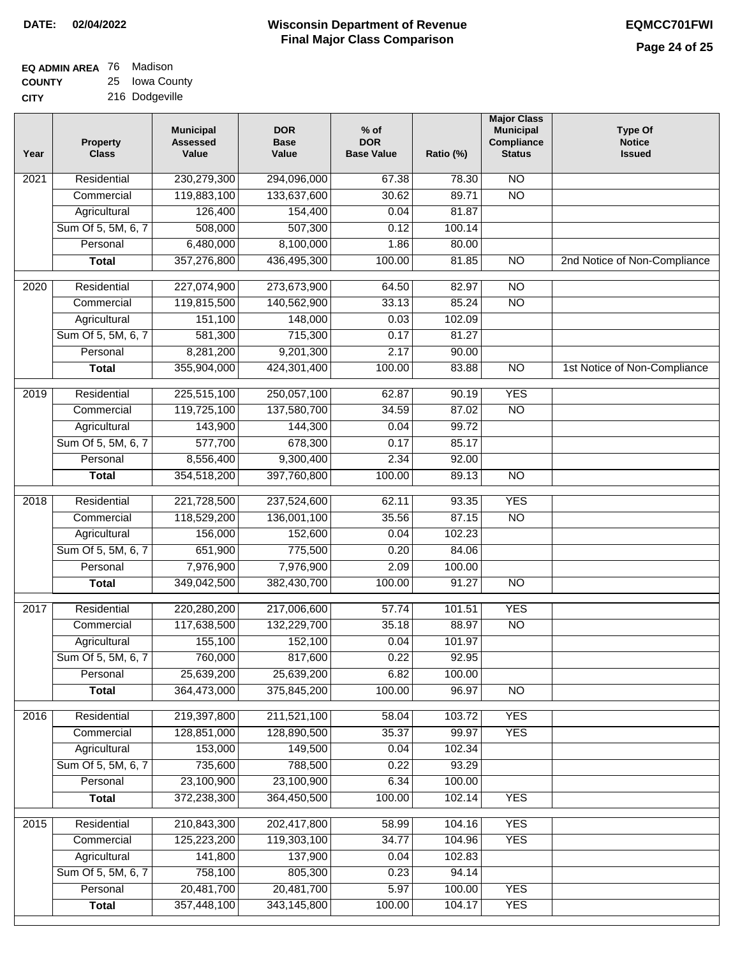| EQ ADMIN AREA 76 Madison |                |
|--------------------------|----------------|
| <b>COUNTY</b>            | 25 Iowa County |

**CITY** 216 Dodgeville

| Year             | <b>Property</b><br><b>Class</b> | <b>Municipal</b><br><b>Assessed</b><br>Value | <b>DOR</b><br><b>Base</b><br>Value | $%$ of<br><b>DOR</b><br><b>Base Value</b> | Ratio (%)      | <b>Major Class</b><br><b>Municipal</b><br>Compliance<br><b>Status</b> | <b>Type Of</b><br><b>Notice</b><br><b>Issued</b> |
|------------------|---------------------------------|----------------------------------------------|------------------------------------|-------------------------------------------|----------------|-----------------------------------------------------------------------|--------------------------------------------------|
| 2021             | Residential                     | 230,279,300                                  | 294,096,000                        | 67.38                                     | 78.30          | <b>NO</b>                                                             |                                                  |
|                  | Commercial                      | 119,883,100                                  | 133,637,600                        | 30.62                                     | 89.71          | $\overline{NO}$                                                       |                                                  |
|                  | Agricultural                    | 126,400                                      | 154,400                            | 0.04                                      | 81.87          |                                                                       |                                                  |
|                  | Sum Of 5, 5M, 6, 7              | 508,000                                      | 507,300                            | 0.12                                      | 100.14         |                                                                       |                                                  |
|                  | Personal                        | 6,480,000                                    | 8,100,000                          | 1.86                                      | 80.00          |                                                                       |                                                  |
|                  | <b>Total</b>                    | 357,276,800                                  | 436,495,300                        | 100.00                                    | 81.85          | $\overline{NO}$                                                       | 2nd Notice of Non-Compliance                     |
| $\frac{1}{2020}$ | Residential                     | 227,074,900                                  | 273,673,900                        | 64.50                                     | 82.97          | $\overline{NO}$                                                       |                                                  |
|                  | Commercial                      | 119,815,500                                  | 140,562,900                        | 33.13                                     | 85.24          | $\overline{NO}$                                                       |                                                  |
|                  | Agricultural                    | 151,100                                      | 148,000                            | 0.03                                      | 102.09         |                                                                       |                                                  |
|                  | Sum Of 5, 5M, 6, 7              | 581,300                                      | 715,300                            | 0.17                                      | 81.27          |                                                                       |                                                  |
|                  | Personal                        | 8,281,200                                    | 9,201,300                          | 2.17                                      | 90.00          |                                                                       |                                                  |
|                  | <b>Total</b>                    | 355,904,000                                  | 424,301,400                        | 100.00                                    | 83.88          | $\overline{NO}$                                                       | 1st Notice of Non-Compliance                     |
| $\frac{1}{2019}$ | Residential                     | 225,515,100                                  | 250,057,100                        |                                           | 90.19          | <b>YES</b>                                                            |                                                  |
|                  | Commercial                      | 119,725,100                                  |                                    | 62.87<br>34.59                            | 87.02          | $\overline{NO}$                                                       |                                                  |
|                  |                                 | 143,900                                      | 137,580,700<br>144,300             |                                           | 99.72          |                                                                       |                                                  |
|                  | Agricultural                    |                                              |                                    | 0.04                                      |                |                                                                       |                                                  |
|                  | Sum Of 5, 5M, 6, 7              | 577,700                                      | 678,300                            | 0.17<br>2.34                              | 85.17          |                                                                       |                                                  |
|                  | Personal                        | 8,556,400<br>354,518,200                     | 9,300,400                          |                                           | 92.00<br>89.13 | $\overline{NO}$                                                       |                                                  |
|                  | <b>Total</b>                    |                                              | 397,760,800                        | 100.00                                    |                |                                                                       |                                                  |
| 2018             | Residential                     | 221,728,500                                  | 237,524,600                        | 62.11                                     | 93.35          | <b>YES</b>                                                            |                                                  |
|                  | Commercial                      | 118,529,200                                  | 136,001,100                        | 35.56                                     | 87.15          | <b>NO</b>                                                             |                                                  |
|                  | Agricultural                    | 156,000                                      | 152,600                            | 0.04                                      | 102.23         |                                                                       |                                                  |
|                  | Sum Of 5, 5M, 6, 7              | 651,900                                      | 775,500                            | 0.20                                      | 84.06          |                                                                       |                                                  |
|                  | Personal                        | 7,976,900                                    | 7,976,900                          | 2.09                                      | 100.00         |                                                                       |                                                  |
|                  | <b>Total</b>                    | 349,042,500                                  | 382,430,700                        | 100.00                                    | 91.27          | N <sub>O</sub>                                                        |                                                  |
| 2017             | Residential                     | 220,280,200                                  | 217,006,600                        | 57.74                                     | 101.51         | <b>YES</b>                                                            |                                                  |
|                  | Commercial                      | 117,638,500                                  | 132,229,700                        | 35.18                                     | 88.97          | <b>NO</b>                                                             |                                                  |
|                  | Agricultural                    | 155,100                                      | 152,100                            | 0.04                                      | 101.97         |                                                                       |                                                  |
|                  | Sum Of 5, 5M, 6, 7              | 760,000                                      | 817,600                            | 0.22                                      | 92.95          |                                                                       |                                                  |
|                  | Personal                        | 25,639,200                                   | 25,639,200                         | 6.82                                      | 100.00         |                                                                       |                                                  |
|                  | <b>Total</b>                    | 364,473,000                                  | 375,845,200                        | 100.00                                    | 96.97          | $\overline{N}$                                                        |                                                  |
| 2016             | Residential                     | 219,397,800                                  | 211,521,100                        | 58.04                                     | 103.72         | <b>YES</b>                                                            |                                                  |
|                  | Commercial                      | 128,851,000                                  | 128,890,500                        | 35.37                                     | 99.97          | <b>YES</b>                                                            |                                                  |
|                  | Agricultural                    | 153,000                                      | 149,500                            | 0.04                                      | 102.34         |                                                                       |                                                  |
|                  | Sum Of 5, 5M, 6, 7              | 735,600                                      | 788,500                            | 0.22                                      | 93.29          |                                                                       |                                                  |
|                  | Personal                        | 23,100,900                                   | 23,100,900                         | 6.34                                      | 100.00         |                                                                       |                                                  |
|                  | <b>Total</b>                    | 372,238,300                                  | 364,450,500                        | 100.00                                    | 102.14         | <b>YES</b>                                                            |                                                  |
| 2015             | Residential                     | 210,843,300                                  | 202,417,800                        | 58.99                                     | 104.16         | <b>YES</b>                                                            |                                                  |
|                  | Commercial                      | 125,223,200                                  | 119,303,100                        | 34.77                                     | 104.96         | <b>YES</b>                                                            |                                                  |
|                  | Agricultural                    | 141,800                                      | 137,900                            | 0.04                                      | 102.83         |                                                                       |                                                  |
|                  | Sum Of 5, 5M, 6, 7              | 758,100                                      | 805,300                            | 0.23                                      | 94.14          |                                                                       |                                                  |
|                  | Personal                        | 20,481,700                                   | 20,481,700                         | 5.97                                      | 100.00         | <b>YES</b>                                                            |                                                  |
|                  | <b>Total</b>                    | 357,448,100                                  | 343,145,800                        | 100.00                                    | 104.17         | <b>YES</b>                                                            |                                                  |
|                  |                                 |                                              |                                    |                                           |                |                                                                       |                                                  |